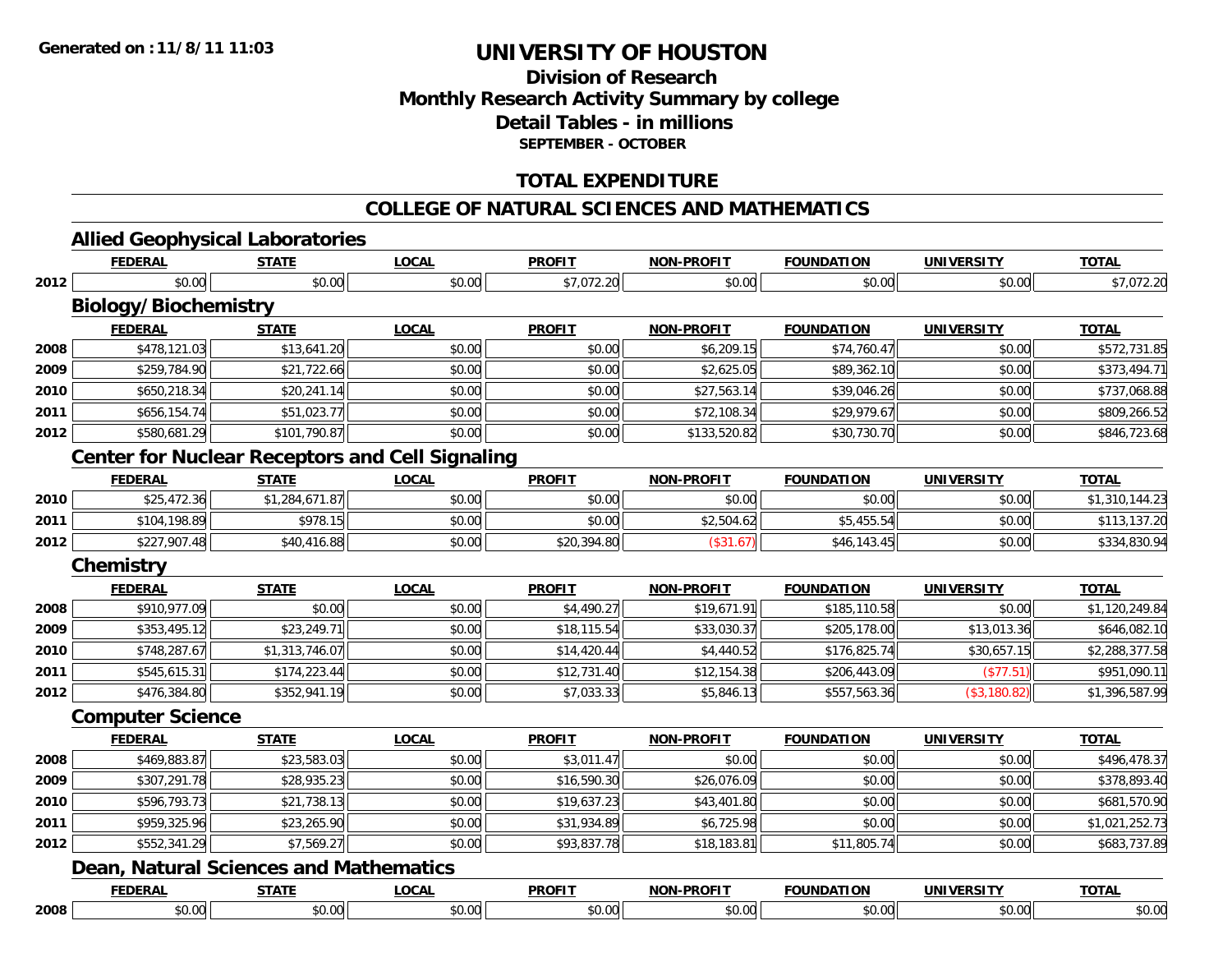### **Division of ResearchMonthly Research Activity Summary by college Detail Tables - in millions SEPTEMBER - OCTOBER**

#### **TOTAL EXPENDITURE**

#### **COLLEGE OF NATURAL SCIENCES AND MATHEMATICS**

# **Allied Geophysical Laboratories**

|      | <b>FEDERAL</b>                                         | <b>STATE</b>   | <b>LOCAL</b> | <b>PROFIT</b> | <b>NON-PROFIT</b> | <b>FOUNDATION</b> | <b>UNIVERSITY</b> | <b>TOTAL</b>   |
|------|--------------------------------------------------------|----------------|--------------|---------------|-------------------|-------------------|-------------------|----------------|
| 2012 | \$0.00                                                 | \$0.00         | \$0.00       | \$7,072.20    | \$0.00            | \$0.00            | \$0.00            | \$7,072.20     |
|      | <b>Biology/Biochemistry</b>                            |                |              |               |                   |                   |                   |                |
|      | <b>FEDERAL</b>                                         | <b>STATE</b>   | <b>LOCAL</b> | <b>PROFIT</b> | <b>NON-PROFIT</b> | <b>FOUNDATION</b> | <b>UNIVERSITY</b> | <b>TOTAL</b>   |
| 2008 | \$478,121.03                                           | \$13,641.20    | \$0.00       | \$0.00        | \$6,209.15        | \$74,760.47       | \$0.00            | \$572,731.85   |
| 2009 | \$259,784.90                                           | \$21,722.66    | \$0.00       | \$0.00        | \$2,625.05        | \$89,362.10       | \$0.00            | \$373,494.71   |
| 2010 | \$650,218.34                                           | \$20,241.14    | \$0.00       | \$0.00        | \$27,563.14       | \$39,046.26       | \$0.00            | \$737,068.88   |
| 2011 | \$656,154.74                                           | \$51,023.77    | \$0.00       | \$0.00        | \$72,108.34       | \$29,979.67       | \$0.00            | \$809,266.52   |
| 2012 | \$580,681.29                                           | \$101,790.87   | \$0.00       | \$0.00        | \$133,520.82      | \$30,730.70       | \$0.00            | \$846,723.68   |
|      | <b>Center for Nuclear Receptors and Cell Signaling</b> |                |              |               |                   |                   |                   |                |
|      | <b>FEDERAL</b>                                         | <b>STATE</b>   | <b>LOCAL</b> | <b>PROFIT</b> | <b>NON-PROFIT</b> | <b>FOUNDATION</b> | <b>UNIVERSITY</b> | <b>TOTAL</b>   |
| 2010 | \$25,472.36                                            | \$1,284,671.87 | \$0.00       | \$0.00        | \$0.00            | \$0.00            | \$0.00            | \$1,310,144.23 |
| 2011 | \$104,198.89                                           | \$978.15       | \$0.00       | \$0.00        | \$2,504.62        | \$5,455.54        | \$0.00            | \$113,137.20   |
| 2012 | \$227,907.48                                           | \$40,416.88    | \$0.00       | \$20,394.80   | (\$31.67)         | \$46,143.45       | \$0.00            | \$334,830.94   |
|      | <b>Chemistry</b>                                       |                |              |               |                   |                   |                   |                |
|      | <b>FEDERAL</b>                                         | <b>STATE</b>   | <b>LOCAL</b> | <b>PROFIT</b> | <b>NON-PROFIT</b> | <b>FOUNDATION</b> | <b>UNIVERSITY</b> | <b>TOTAL</b>   |
| 2008 | \$910,977.09                                           | \$0.00         | \$0.00       | \$4,490.27    | \$19,671.91       | \$185,110.58      | \$0.00            | \$1,120,249.84 |
| 2009 | \$353,495.12                                           | \$23,249.71    | \$0.00       | \$18,115.54   | \$33,030.37       | \$205,178.00      | \$13,013.36       | \$646,082.10   |
| 2010 | \$748,287.67                                           | \$1,313,746.07 | \$0.00       | \$14,420.44   | \$4,440.52        | \$176,825.74      | \$30,657.15       | \$2,288,377.58 |
| 2011 | \$545,615.31                                           | \$174,223.44   | \$0.00       | \$12,731.40   | \$12,154.38       | \$206,443.09      | (\$77.51)         | \$951,090.11   |
| 2012 | \$476,384.80                                           | \$352,941.19   | \$0.00       | \$7,033.33    | \$5,846.13        | \$557,563.36      | (\$3,180.82)      | \$1,396,587.99 |
|      | <b>Computer Science</b>                                |                |              |               |                   |                   |                   |                |
|      | <b>FEDERAL</b>                                         | <b>STATE</b>   | <b>LOCAL</b> | <b>PROFIT</b> | <b>NON-PROFIT</b> | <b>FOUNDATION</b> | <b>UNIVERSITY</b> | <b>TOTAL</b>   |
| 2008 | \$469,883.87                                           | \$23,583.03    | \$0.00       | \$3,011.47    | \$0.00            | \$0.00            | \$0.00            | \$496,478.37   |
| 2009 | \$307,291.78                                           | \$28,935.23    | \$0.00       | \$16,590.30   | \$26,076.09       | \$0.00            | \$0.00            | \$378,893.40   |
| 2010 | \$596,793.73                                           | \$21,738.13    | \$0.00       | \$19,637.23   | \$43,401.80       | \$0.00            | \$0.00            | \$681,570.90   |
| 2011 | \$959,325.96                                           | \$23,265.90    | \$0.00       | \$31,934.89   | \$6,725.98        | \$0.00            | \$0.00            | \$1,021,252.73 |
| 2012 | \$552,341.29                                           | \$7,569.27     | \$0.00       | \$93,837.78   | \$18,183.81       | \$11,805.74       | \$0.00            | \$683,737.89   |
|      | <b>Dean, Natural Sciences and Mathematics</b>          |                |              |               |                   |                   |                   |                |
|      | <b>FEDERAL</b>                                         | <b>STATE</b>   | <b>LOCAL</b> | <b>PROFIT</b> | <b>NON-PROFIT</b> | <b>FOUNDATION</b> | <b>UNIVERSITY</b> | <b>TOTAL</b>   |
| 2008 | \$0.00                                                 | \$0.00         | \$0.00       | \$0.00        | \$0.00            | \$0.00            | \$0.00            | \$0.00         |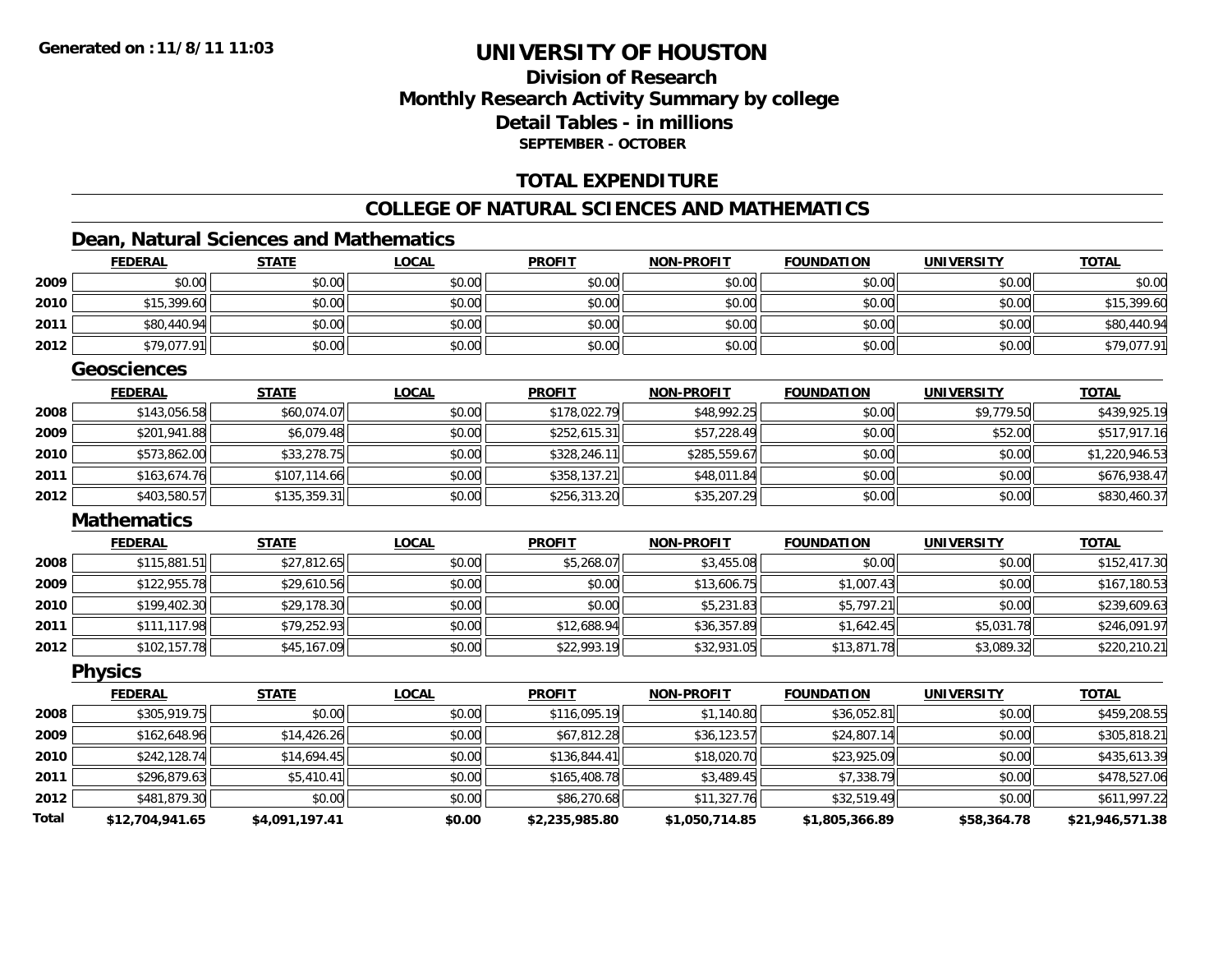### **Division of ResearchMonthly Research Activity Summary by college Detail Tables - in millionsSEPTEMBER - OCTOBER**

#### **TOTAL EXPENDITURE**

#### **COLLEGE OF NATURAL SCIENCES AND MATHEMATICS**

### **Dean, Natural Sciences and Mathematics**

|              | <b>FEDERAL</b>     | <b>STATE</b>   | <b>LOCAL</b> | <b>PROFIT</b>  | <b>NON-PROFIT</b> | <b>FOUNDATION</b> | <b>UNIVERSITY</b> | <b>TOTAL</b>    |
|--------------|--------------------|----------------|--------------|----------------|-------------------|-------------------|-------------------|-----------------|
| 2009         | \$0.00             | \$0.00         | \$0.00       | \$0.00         | \$0.00            | \$0.00            | \$0.00            | \$0.00          |
| 2010         | \$15,399.60        | \$0.00         | \$0.00       | \$0.00         | \$0.00            | \$0.00            | \$0.00            | \$15,399.60     |
| 2011         | \$80,440.94        | \$0.00         | \$0.00       | \$0.00         | \$0.00            | \$0.00            | \$0.00            | \$80,440.94     |
| 2012         | \$79,077.91        | \$0.00         | \$0.00       | \$0.00         | \$0.00            | \$0.00            | \$0.00            | \$79,077.91     |
|              | <b>Geosciences</b> |                |              |                |                   |                   |                   |                 |
|              | <b>FEDERAL</b>     | <b>STATE</b>   | <b>LOCAL</b> | <b>PROFIT</b>  | <b>NON-PROFIT</b> | <b>FOUNDATION</b> | <b>UNIVERSITY</b> | <b>TOTAL</b>    |
| 2008         | \$143,056.58       | \$60,074.07    | \$0.00       | \$178,022.79   | \$48,992.25       | \$0.00            | \$9,779.50        | \$439,925.19    |
| 2009         | \$201,941.88       | \$6,079.48     | \$0.00       | \$252,615.31   | \$57,228.49       | \$0.00            | \$52.00           | \$517,917.16    |
| 2010         | \$573,862.00       | \$33,278.75    | \$0.00       | \$328,246.11   | \$285,559.67      | \$0.00            | \$0.00            | \$1,220,946.53  |
| 2011         | \$163,674.76       | \$107,114.66   | \$0.00       | \$358,137.21   | \$48,011.84       | \$0.00            | \$0.00            | \$676,938.47    |
| 2012         | \$403,580.57       | \$135,359.31   | \$0.00       | \$256,313.20   | \$35,207.29       | \$0.00            | \$0.00            | \$830,460.37    |
|              | <b>Mathematics</b> |                |              |                |                   |                   |                   |                 |
|              | <b>FEDERAL</b>     | <b>STATE</b>   | <b>LOCAL</b> | <b>PROFIT</b>  | <b>NON-PROFIT</b> | <b>FOUNDATION</b> | <b>UNIVERSITY</b> | <b>TOTAL</b>    |
| 2008         | \$115,881.51       | \$27,812.65    | \$0.00       | \$5,268.07     | \$3,455.08        | \$0.00            | \$0.00            | \$152,417.30    |
| 2009         | \$122,955.78       | \$29,610.56    | \$0.00       | \$0.00         | \$13,606.75       | \$1,007.43        | \$0.00            | \$167,180.53    |
| 2010         | \$199,402.30       | \$29,178.30    | \$0.00       | \$0.00         | \$5,231.83        | \$5,797.21        | \$0.00            | \$239,609.63    |
| 2011         | \$111,117.98       | \$79,252.93    | \$0.00       | \$12,688.94    | \$36,357.89       | \$1,642.45        | \$5,031.78        | \$246,091.97    |
| 2012         | \$102,157.78       | \$45,167.09    | \$0.00       | \$22,993.19    | \$32,931.05       | \$13,871.78       | \$3,089.32        | \$220,210.21    |
|              | <b>Physics</b>     |                |              |                |                   |                   |                   |                 |
|              | <b>FEDERAL</b>     | <b>STATE</b>   | <b>LOCAL</b> | <b>PROFIT</b>  | <b>NON-PROFIT</b> | <b>FOUNDATION</b> | <b>UNIVERSITY</b> | <b>TOTAL</b>    |
| 2008         | \$305,919.75       | \$0.00         | \$0.00       | \$116,095.19   | \$1,140.80        | \$36,052.81       | \$0.00            | \$459,208.55    |
| 2009         | \$162,648.96       | \$14,426.26    | \$0.00       | \$67,812.28    | \$36,123.57       | \$24,807.14       | \$0.00            | \$305,818.21    |
| 2010         | \$242,128.74       | \$14,694.45    | \$0.00       | \$136,844.41   | \$18,020.70       | \$23,925.09       | \$0.00            | \$435,613.39    |
| 2011         | \$296,879.63       | \$5,410.41     | \$0.00       | \$165,408.78   | \$3,489.45        | \$7,338.79        | \$0.00            | \$478,527.06    |
| 2012         | \$481,879.30       | \$0.00         | \$0.00       | \$86,270.68    | \$11,327.76       | \$32,519.49       | \$0.00            | \$611,997.22    |
| <b>Total</b> | \$12,704,941.65    | \$4,091,197.41 | \$0.00       | \$2,235,985.80 | \$1,050,714.85    | \$1,805,366.89    | \$58,364.78       | \$21,946,571.38 |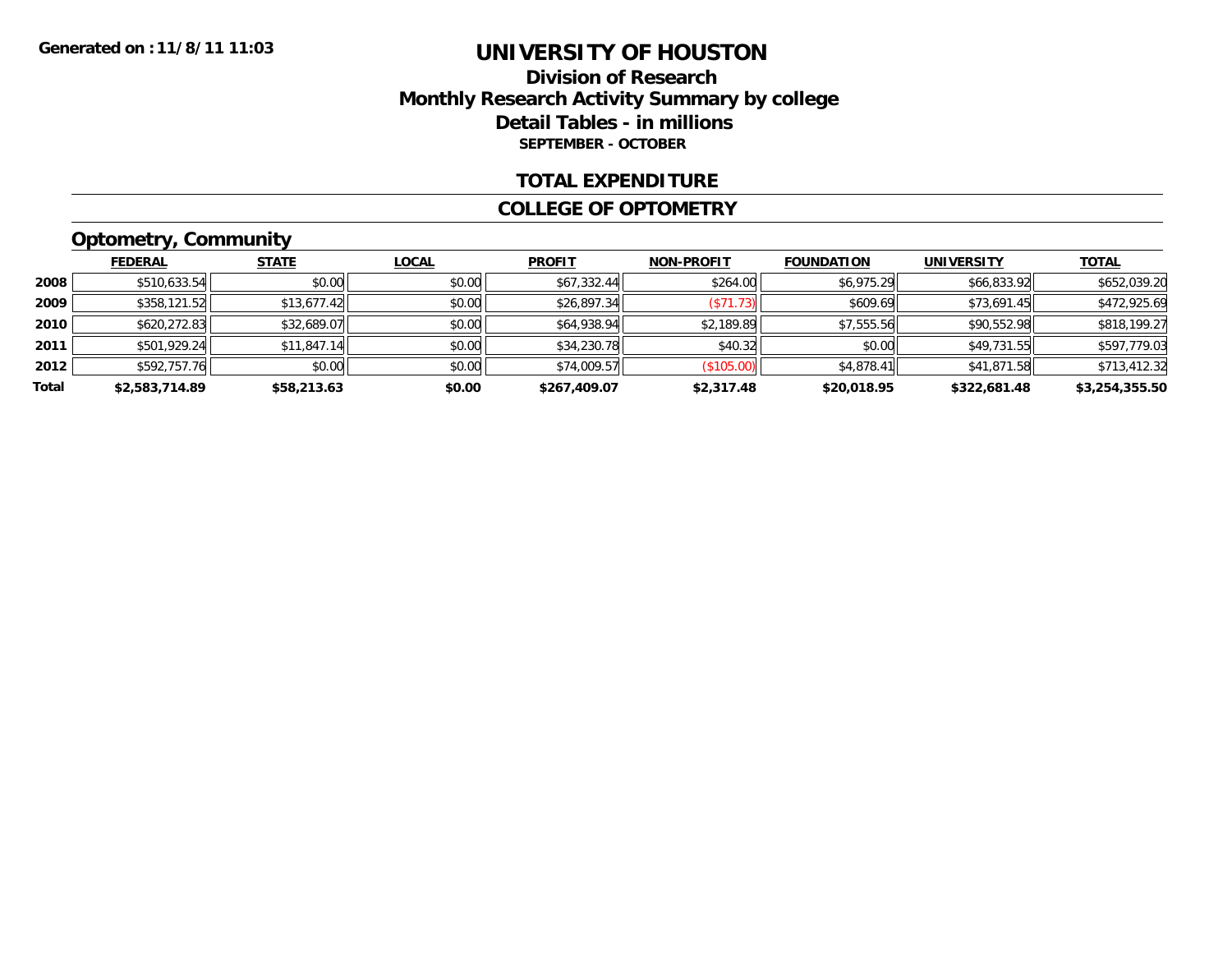### **Division of ResearchMonthly Research Activity Summary by college Detail Tables - in millions SEPTEMBER - OCTOBER**

#### **TOTAL EXPENDITURE**

#### **COLLEGE OF OPTOMETRY**

### **Optometry, Community**

|       | <b>FEDERAL</b> | <b>STATE</b> | <b>LOCAL</b> | <b>PROFIT</b> | <b>NON-PROFIT</b> | <b>FOUNDATION</b> | <b>UNIVERSITY</b> | <b>TOTAL</b>   |
|-------|----------------|--------------|--------------|---------------|-------------------|-------------------|-------------------|----------------|
| 2008  | \$510,633.54   | \$0.00       | \$0.00       | \$67,332.44   | \$264.00          | \$6,975.29        | \$66,833.92       | \$652,039.20   |
| 2009  | \$358,121.52   | \$13.677.42  | \$0.00       | \$26,897.34   | ( \$71.73)        | \$609.69          | \$73.691.45       | \$472,925.69   |
| 2010  | \$620,272.83   | \$32,689.07  | \$0.00       | \$64,938.94   | \$2,189.89        | \$7,555.56        | \$90,552.98       | \$818,199.27   |
| 2011  | \$501,929.24   | \$11,847.14  | \$0.00       | \$34,230.78   | \$40.32           | \$0.00            | \$49,731.55       | \$597,779.03   |
| 2012  | \$592.757.76   | \$0.00       | \$0.00       | \$74,009.57   | (S105.00)         | \$4,878.41        | \$41,871.58       | \$713,412.32   |
| Total | \$2,583,714.89 | \$58,213.63  | \$0.00       | \$267,409.07  | \$2,317.48        | \$20,018.95       | \$322,681.48      | \$3,254,355.50 |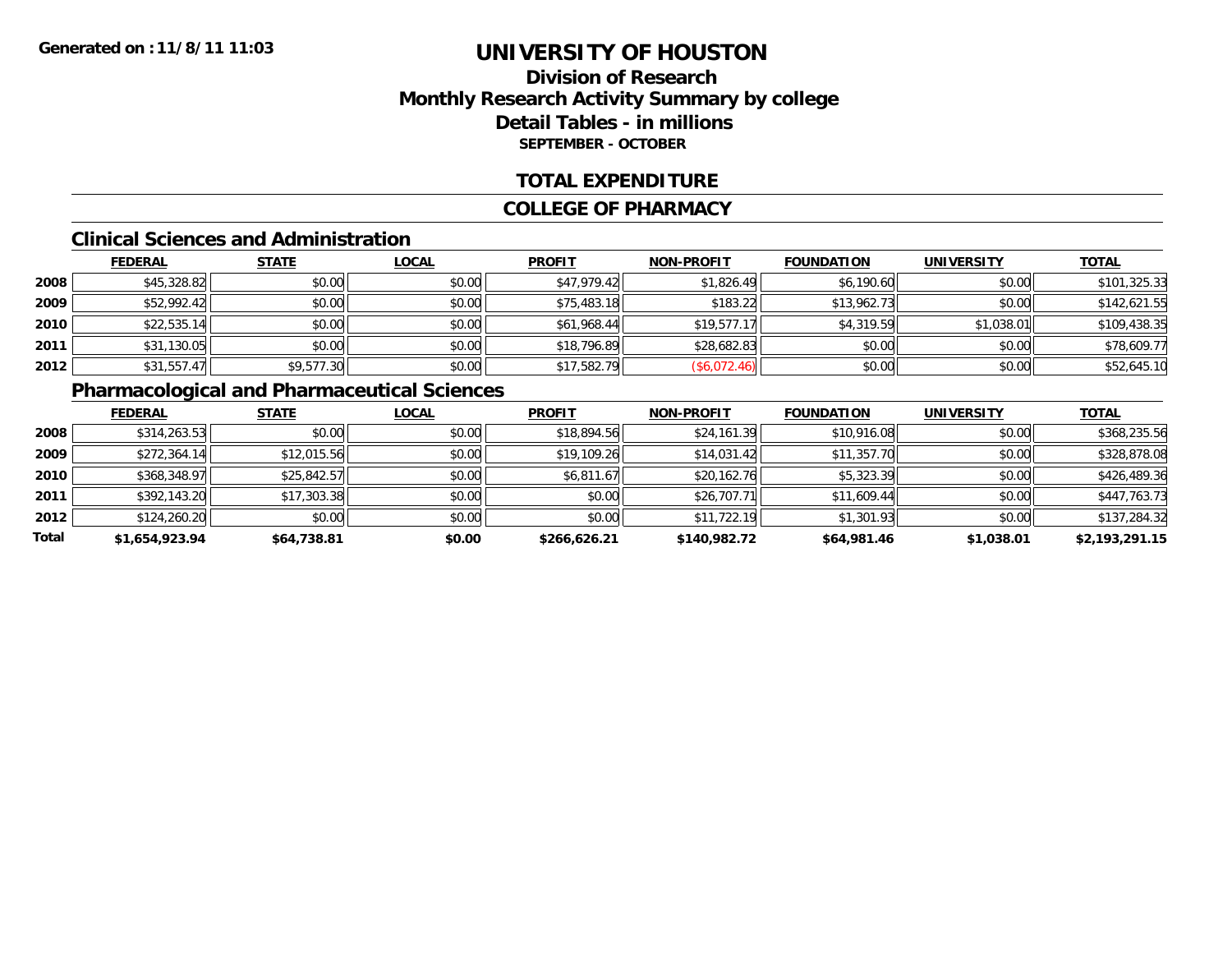### **Division of ResearchMonthly Research Activity Summary by college Detail Tables - in millions SEPTEMBER - OCTOBER**

#### **TOTAL EXPENDITURE**

#### **COLLEGE OF PHARMACY**

#### **Clinical Sciences and Administration**

|      | <b>FEDERAL</b> | <b>STATE</b> | <b>LOCAL</b> | <b>PROFIT</b> | <b>NON-PROFIT</b> | <b>FOUNDATION</b> | <b>UNIVERSITY</b> | <b>TOTAL</b> |
|------|----------------|--------------|--------------|---------------|-------------------|-------------------|-------------------|--------------|
| 2008 | \$45,328.82    | \$0.00       | \$0.00       | \$47.979.42   | \$1,826.49        | \$6,190.60        | \$0.00            | \$101,325.33 |
| 2009 | \$52,992.42    | \$0.00       | \$0.00       | \$75,483.18   | \$183.22          | \$13,962.73       | \$0.00            | \$142,621.55 |
| 2010 | \$22,535.14    | \$0.00       | \$0.00       | \$61,968.44   | \$19,577.17       | \$4,319.59        | \$1,038.01        | \$109,438.35 |
| 2011 | \$31,130.05    | \$0.00       | \$0.00       | \$18,796.89   | \$28,682.83       | \$0.00            | \$0.00            | \$78,609.77  |
| 2012 | \$31,557.47    | \$9,577.30   | \$0.00       | \$17,582.79   | (\$6,072.46)      | \$0.00            | \$0.00            | \$52,645.10  |

### **Pharmacological and Pharmaceutical Sciences**

|       | <b>FEDERAL</b> | <b>STATE</b> | <b>LOCAL</b> | <b>PROFIT</b> | <b>NON-PROFIT</b> | <b>FOUNDATION</b> | <b>UNIVERSITY</b> | <b>TOTAL</b>   |
|-------|----------------|--------------|--------------|---------------|-------------------|-------------------|-------------------|----------------|
| 2008  | \$314,263.53   | \$0.00       | \$0.00       | \$18,894.56   | \$24,161.39       | \$10,916.08       | \$0.00            | \$368,235.56   |
| 2009  | \$272,364.14   | \$12,015.56  | \$0.00       | \$19,109.26   | \$14,031.42       | \$11,357.70       | \$0.00            | \$328,878.08   |
| 2010  | \$368,348.97   | \$25,842.57  | \$0.00       | \$6,811.67    | \$20,162.76       | \$5,323.39        | \$0.00            | \$426,489.36   |
| 2011  | \$392,143.20   | \$17,303.38  | \$0.00       | \$0.00        | \$26,707.71       | \$11,609.44       | \$0.00            | \$447,763.73   |
| 2012  | \$124,260.20   | \$0.00       | \$0.00       | \$0.00        | \$11,722.19       | \$1,301.93        | \$0.00            | \$137,284.32   |
| Total | \$1,654,923.94 | \$64,738.81  | \$0.00       | \$266,626.21  | \$140,982.72      | \$64,981.46       | \$1,038.01        | \$2,193,291.15 |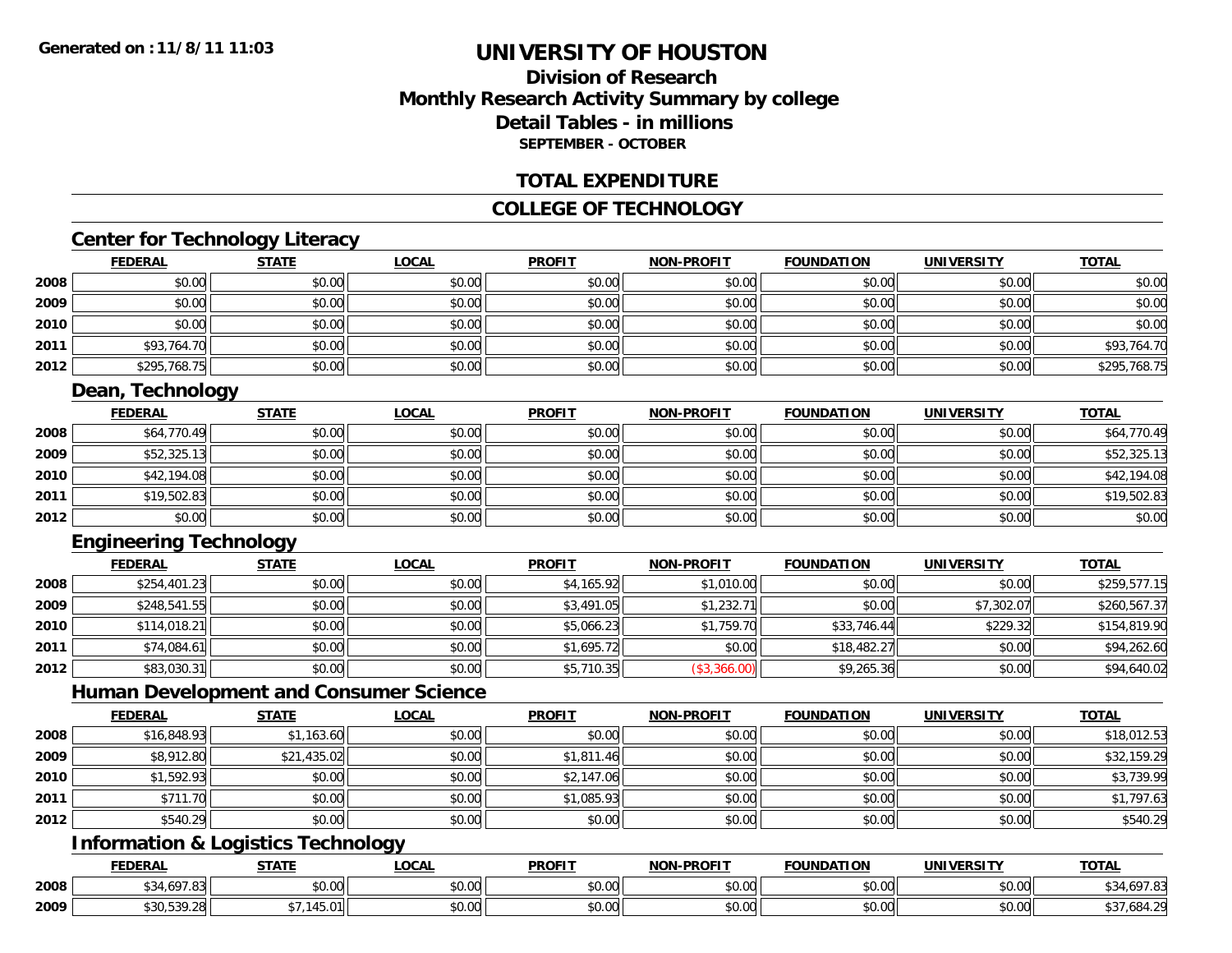### **Division of ResearchMonthly Research Activity Summary by college Detail Tables - in millionsSEPTEMBER - OCTOBER**

#### **TOTAL EXPENDITURE**

#### **COLLEGE OF TECHNOLOGY**

### **Center for Technology Literacy**

|      | <b>FEDERAL</b> | <b>STATE</b> | <u>LOCAL</u> | <b>PROFIT</b> | <b>NON-PROFIT</b> | <b>FOUNDATION</b> | <b>UNIVERSITY</b> | <b>TOTAL</b> |
|------|----------------|--------------|--------------|---------------|-------------------|-------------------|-------------------|--------------|
| 2008 | \$0.00         | \$0.00       | \$0.00       | \$0.00        | \$0.00            | \$0.00            | \$0.00            | \$0.00       |
| 2009 | \$0.00         | \$0.00       | \$0.00       | \$0.00        | \$0.00            | \$0.00            | \$0.00            | \$0.00       |
| 2010 | \$0.00         | \$0.00       | \$0.00       | \$0.00        | \$0.00            | \$0.00            | \$0.00            | \$0.00       |
| 2011 | \$93,764.70    | \$0.00       | \$0.00       | \$0.00        | \$0.00            | \$0.00            | \$0.00            | \$93,764.70  |
| 2012 | \$295,768.75   | \$0.00       | \$0.00       | \$0.00        | \$0.00            | \$0.00            | \$0.00            | \$295,768.75 |

### **Dean, Technology**

|      | <b>FEDERAL</b> | <b>STATE</b> | <u>LOCAL</u> | <b>PROFIT</b> | <b>NON-PROFIT</b> | <b>FOUNDATION</b> | <b>UNIVERSITY</b> | <u>TOTAL</u> |
|------|----------------|--------------|--------------|---------------|-------------------|-------------------|-------------------|--------------|
| 2008 | \$64,770.49    | \$0.00       | \$0.00       | \$0.00        | \$0.00            | \$0.00            | \$0.00            | \$64,770.49  |
| 2009 | \$52,325.13    | \$0.00       | \$0.00       | \$0.00        | \$0.00            | \$0.00            | \$0.00            | \$52,325.13  |
| 2010 | \$42,194.08    | \$0.00       | \$0.00       | \$0.00        | \$0.00            | \$0.00            | \$0.00            | \$42,194.08  |
| 2011 | \$19,502.83    | \$0.00       | \$0.00       | \$0.00        | \$0.00            | \$0.00            | \$0.00            | \$19,502.83  |
| 2012 | \$0.00         | \$0.00       | \$0.00       | \$0.00        | \$0.00            | \$0.00            | \$0.00            | \$0.00       |

### **Engineering Technology**

|      | <b>FEDERAL</b> | <b>STATE</b> | <b>LOCAL</b> | <b>PROFIT</b> | <b>NON-PROFIT</b> | <b>FOUNDATION</b> | <b>UNIVERSITY</b> | <u>TOTAL</u> |
|------|----------------|--------------|--------------|---------------|-------------------|-------------------|-------------------|--------------|
| 2008 | \$254,401.23   | \$0.00       | \$0.00       | \$4,165.92    | \$1,010.00        | \$0.00            | \$0.00            | \$259,577.15 |
| 2009 | \$248,541.55   | \$0.00       | \$0.00       | \$3,491.05    | \$1,232.71        | \$0.00            | \$7,302.07        | \$260,567.37 |
| 2010 | \$114,018.21   | \$0.00       | \$0.00       | \$5,066.23    | \$1,759.70        | \$33,746.44       | \$229.32          | \$154,819.90 |
| 2011 | \$74,084.61    | \$0.00       | \$0.00       | \$1,695.72    | \$0.00            | \$18,482.27       | \$0.00            | \$94,262.60  |
| 2012 | \$83,030.31    | \$0.00       | \$0.00       | \$5,710.35    | (\$3,366.00)      | \$9,265.36        | \$0.00            | \$94,640.02  |

#### **Human Development and Consumer Science**

|      | <b>FEDERAL</b> | <b>STATE</b> | <b>LOCAL</b> | <b>PROFIT</b> | <b>NON-PROFIT</b> | <b>FOUNDATION</b> | <b>UNIVERSITY</b> | <b>TOTAL</b> |
|------|----------------|--------------|--------------|---------------|-------------------|-------------------|-------------------|--------------|
| 2008 | \$16,848.93    | \$1,163.60   | \$0.00       | \$0.00        | \$0.00            | \$0.00            | \$0.00            | \$18,012.53  |
| 2009 | \$8,912.80     | \$21,435.02  | \$0.00       | \$1,811.46    | \$0.00            | \$0.00            | \$0.00            | \$32,159.29  |
| 2010 | \$1,592.93     | \$0.00       | \$0.00       | \$2,147.06    | \$0.00            | \$0.00            | \$0.00            | \$3,739.99   |
| 2011 | \$711.70       | \$0.00       | \$0.00       | \$1,085.93    | \$0.00            | \$0.00            | \$0.00            | \$1,797.63   |
| 2012 | \$540.29       | \$0.00       | \$0.00       | \$0.00        | \$0.00            | \$0.00            | \$0.00            | \$540.29     |

### **Information & Logistics Technology**

|      | <b>FEDERAL</b>                     | <b>STATE</b>          | LOCAL                  | <b>PROFIT</b> | <b>NON-PROFIT</b>                                           | <b>FOUNDATION</b> | <b>UNIVERSITY</b>         | <b>TOTAL</b>  |
|------|------------------------------------|-----------------------|------------------------|---------------|-------------------------------------------------------------|-------------------|---------------------------|---------------|
| 2008 | 107.0<br>ぐつん<br>34.OY<br>. ن.<br>ں | \$0.00                | ሖ へ<br>$\sim$<br>vv.vv | 0000<br>DU.UG | $\mathfrak{g} \cap \mathfrak{g} \cap \mathfrak{g}$<br>DU.UG | \$0.00            | $\sim$ 00<br><b>JU.UU</b> | \$34,697.83   |
| 2009 | \$30.539.26                        | $4.45$ $0.4$<br>145.U | ሶስ ሰሰ<br>90.UU         | 0000<br>DU.UU | $\circ$ $\circ$ $\circ$<br>DU.UG                            | \$0.00            | 0.00<br><b>JU.UU</b>      | .684.2'<br>ັບ |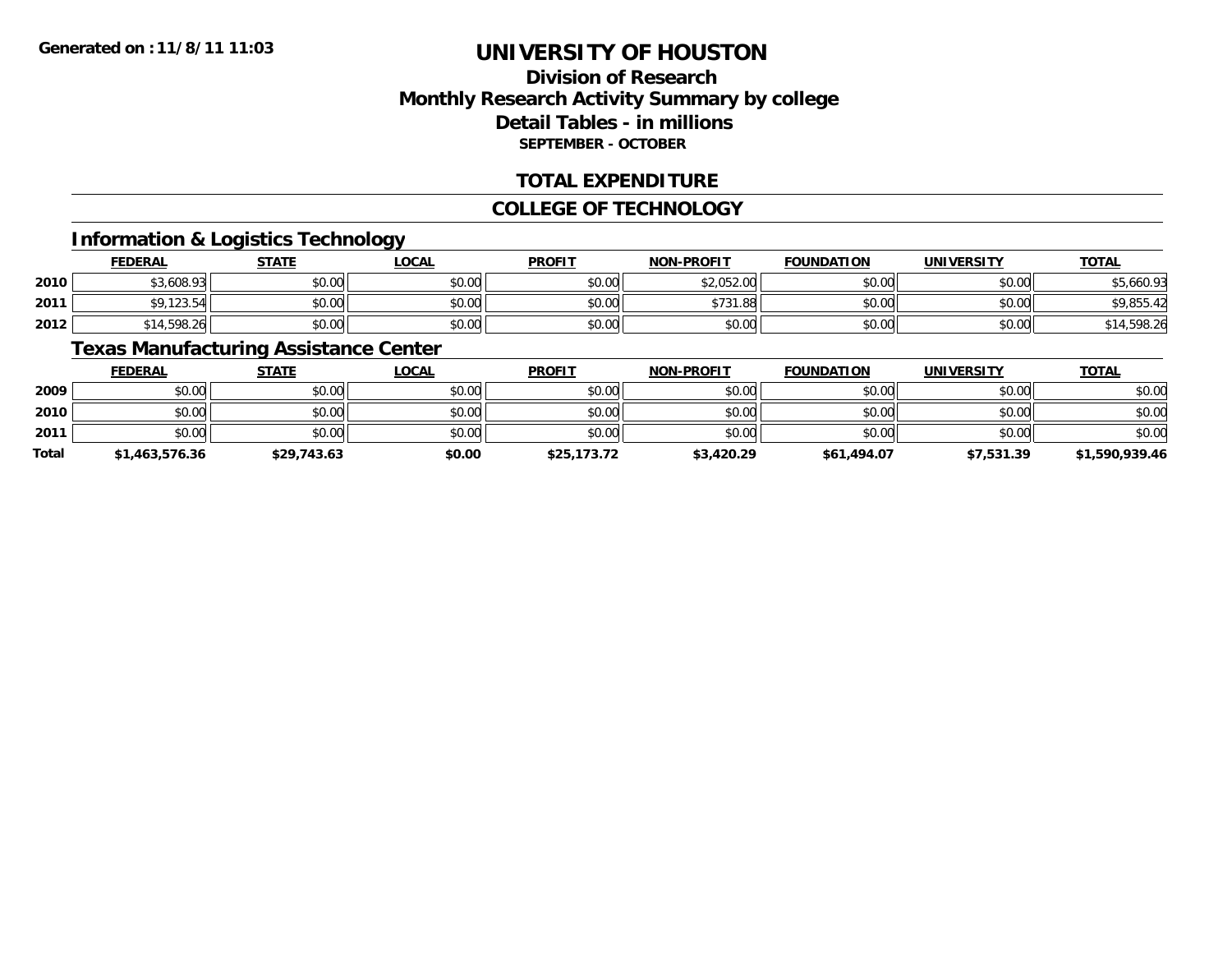### **Division of ResearchMonthly Research Activity Summary by college Detail Tables - in millions SEPTEMBER - OCTOBER**

#### **TOTAL EXPENDITURE**

#### **COLLEGE OF TECHNOLOGY**

### **Information & Logistics Technology**

|      | <b>FEDERAL</b>           | <b>STATE</b> | <b>LOCAL</b> | <b>PROFIT</b> | <b>NON-PROFIT</b> | <b>FOUNDATION</b> | <b>UNIVERSITY</b> | <b>TOTAL</b> |
|------|--------------------------|--------------|--------------|---------------|-------------------|-------------------|-------------------|--------------|
| 2010 | \$3,608.93               | \$0.00       | \$0.00       | \$0.00        | \$2,052.00        | \$0.00            | \$0.00            | \$5,660.93   |
| 2011 | \$9,123.54               | \$0.00       | \$0.00       | \$0.00        | \$731.88          | \$0.00            | \$0.00            | \$9,855.42   |
| 2012 | <sup>ا 1</sup> 4,598.26, | \$0.00       | \$0.00       | \$0.00        | \$0.00            | \$0.00            | \$0.00            | 1,598.26     |

### **Texas Manufacturing Assistance Center**

|       | <b>FEDERAL</b> | <b>STATE</b> | <u>LOCAL</u> | <b>PROFIT</b> | <b>NON-PROFIT</b> | <b>FOUNDATION</b> | <b>UNIVERSITY</b> | <u>TOTAL</u>   |
|-------|----------------|--------------|--------------|---------------|-------------------|-------------------|-------------------|----------------|
| 2009  | \$0.00         | \$0.00       | \$0.00       | \$0.00        | \$0.00            | \$0.00            | \$0.00            | \$0.00         |
| 2010  | \$0.00         | \$0.00       | \$0.00       | \$0.00        | \$0.00            | \$0.00            | \$0.00            | \$0.00         |
| 2011  | \$0.00         | \$0.00       | \$0.00       | \$0.00        | \$0.00            | \$0.00            | \$0.00            | \$0.00         |
| Total | \$1,463,576.36 | \$29,743.63  | \$0.00       | \$25,173.72   | \$3,420.29        | \$61,494.07       | \$7,531.39        | \$1,590,939.46 |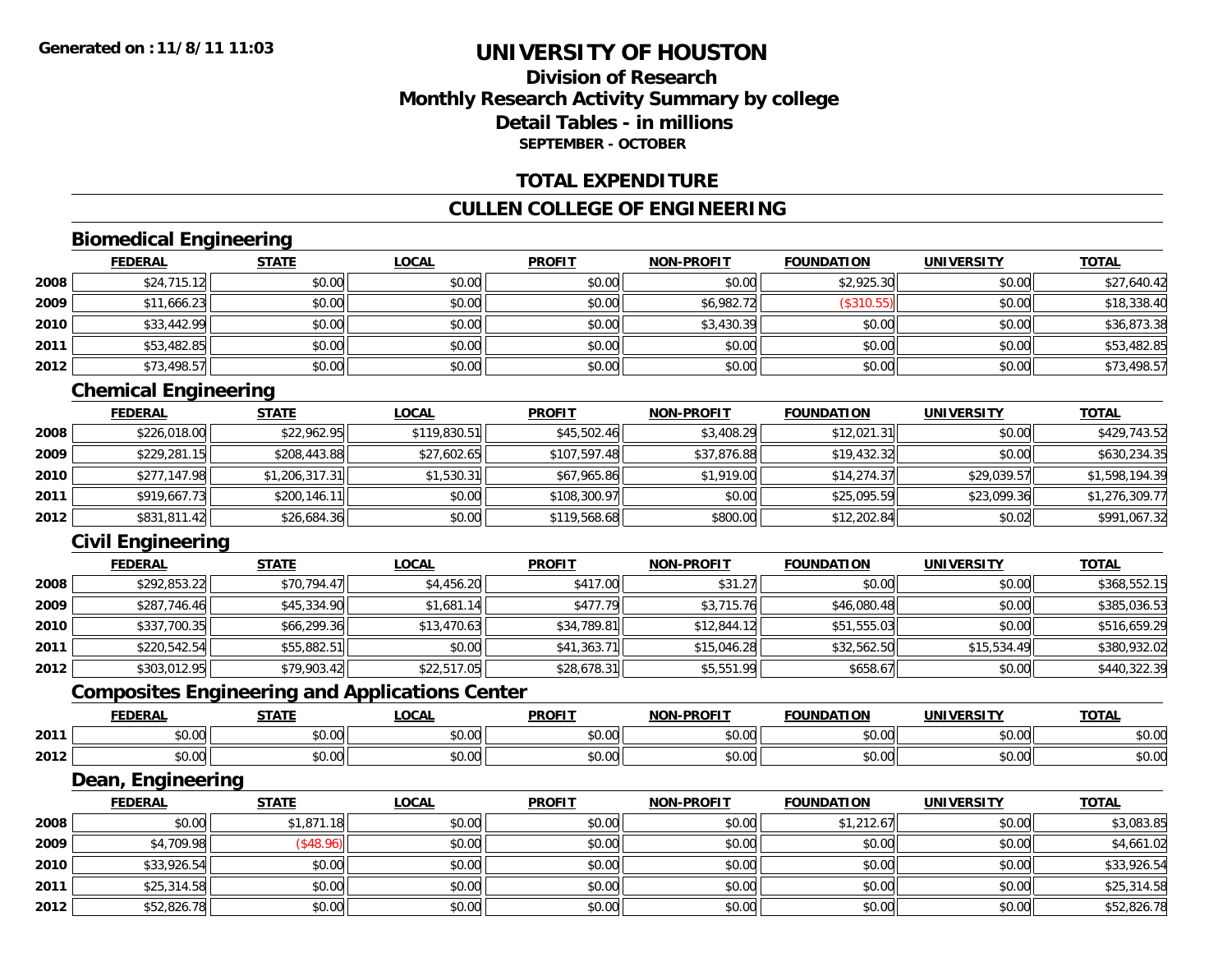### **Division of ResearchMonthly Research Activity Summary by college Detail Tables - in millionsSEPTEMBER - OCTOBER**

#### **TOTAL EXPENDITURE**

#### **CULLEN COLLEGE OF ENGINEERING**

# **Biomedical Engineering**

|      | <b>FEDERAL</b> | <b>STATE</b> | <b>LOCAL</b> | <b>PROFIT</b> | <b>NON-PROFIT</b> | <b>FOUNDATION</b> | <b>UNIVERSITY</b> | <b>TOTAL</b> |
|------|----------------|--------------|--------------|---------------|-------------------|-------------------|-------------------|--------------|
| 2008 | \$24,715.12    | \$0.00       | \$0.00       | \$0.00        | \$0.00            | \$2,925.30        | \$0.00            | \$27,640.42  |
| 2009 | \$11,666.23    | \$0.00       | \$0.00       | \$0.00        | \$6,982.72        | (\$310.55)        | \$0.00            | \$18,338.40  |
| 2010 | \$33,442.99    | \$0.00       | \$0.00       | \$0.00        | \$3,430.39        | \$0.00            | \$0.00            | \$36,873.38  |
| 2011 | \$53,482.85    | \$0.00       | \$0.00       | \$0.00        | \$0.00            | \$0.00            | \$0.00            | \$53,482.85  |
| 2012 | \$73,498.57    | \$0.00       | \$0.00       | \$0.00        | \$0.00            | \$0.00            | \$0.00            | \$73,498.57  |

### **Chemical Engineering**

|      | <b>FEDERAL</b> | <b>STATE</b>   | <b>LOCAL</b> | <b>PROFIT</b> | <b>NON-PROFIT</b> | <b>FOUNDATION</b> | <b>UNIVERSITY</b> | <u>TOTAL</u>   |
|------|----------------|----------------|--------------|---------------|-------------------|-------------------|-------------------|----------------|
| 2008 | \$226,018.00   | \$22,962.95    | \$119,830.51 | \$45,502.46   | \$3,408.29        | \$12,021.31       | \$0.00            | \$429,743.52   |
| 2009 | \$229,281.15   | \$208,443.88   | \$27,602.65  | \$107,597.48  | \$37,876.88       | \$19,432.32       | \$0.00            | \$630,234.35   |
| 2010 | \$277.147.98   | \$1,206,317.31 | \$1,530.31   | \$67,965.86   | \$1,919.00        | \$14.274.37       | \$29,039.57       | \$1,598,194.39 |
| 2011 | \$919,667.73   | \$200,146.11   | \$0.00       | \$108,300.97  | \$0.00            | \$25,095.59       | \$23,099.36       | \$1,276,309.77 |
| 2012 | \$831,811.42   | \$26,684.36    | \$0.00       | \$119,568.68  | \$800.00          | \$12,202.84       | \$0.02            | \$991,067.32   |

### **Civil Engineering**

|      | <b>FEDERAL</b> | <b>STATE</b> | <b>LOCAL</b> | <b>PROFIT</b> | <b>NON-PROFIT</b> | <b>FOUNDATION</b> | <b>UNIVERSITY</b> | <b>TOTAL</b> |
|------|----------------|--------------|--------------|---------------|-------------------|-------------------|-------------------|--------------|
| 2008 | \$292,853.22   | \$70,794.47  | \$4,456.20   | \$417.00      | \$31.27           | \$0.00            | \$0.00            | \$368,552.15 |
| 2009 | \$287,746.46   | \$45,334.90  | \$1,681.14   | \$477.79      | \$3,715.76        | \$46,080.48       | \$0.00            | \$385,036.53 |
| 2010 | \$337,700.35   | \$66,299.36  | \$13,470.63  | \$34,789.81   | \$12,844.12       | \$51,555.03       | \$0.00            | \$516,659.29 |
| 2011 | \$220,542.54   | \$55,882.51  | \$0.00       | \$41,363.71   | \$15,046.28       | \$32,562.50       | \$15,534.49       | \$380,932.02 |
| 2012 | \$303,012.95   | \$79,903.42  | \$22,517.05  | \$28,678.31   | \$5,551.99        | \$658.67          | \$0.00            | \$440,322.39 |

### **Composites Engineering and Applications Center**

|      | <b>FEDERAL</b>          | <b>STATI</b>                                                  | LOCAI                  | <b>PROFIT</b> | <b>I-PROFIT</b><br>NON- | ΊΟΝ<br>FOI INDA'                     | UNIVERSITY     | <b>TOTAL</b>  |
|------|-------------------------|---------------------------------------------------------------|------------------------|---------------|-------------------------|--------------------------------------|----------------|---------------|
| 2011 | 0000<br>ט.טי            | $\uparrow$ $\uparrow$ $\uparrow$ $\uparrow$ $\uparrow$<br>ט.ט | $\sim$ $\sim$<br>vv.vv | 0.00<br>JU.UU | 0 <sub>n</sub><br>vu.vu | $\sim$ $\sim$ $\sim$ $\sim$<br>10.00 | 0.00<br>∕∪.∪∪  | 0000<br>DU.UU |
| 2012 | 0 <sub>0</sub><br>pu.uu | $\sim$<br>ט.ט                                                 | 0000<br>JU.UU          | 0.00<br>JU.UU | 0000<br>ง∪.∪บ           | $+ - - -$<br>ww.                     | ልስ ባህ<br>DU.UG | \$0.00        |

#### **Dean, Engineering**

|      | <b>FEDERAL</b> | <b>STATE</b>     | <b>LOCAL</b> | <b>PROFIT</b> | <b>NON-PROFIT</b> | <b>FOUNDATION</b> | <b>UNIVERSITY</b> | <b>TOTAL</b> |
|------|----------------|------------------|--------------|---------------|-------------------|-------------------|-------------------|--------------|
| 2008 | \$0.00         | \$1,871.18       | \$0.00       | \$0.00        | \$0.00            | \$1,212.67        | \$0.00            | \$3,083.85   |
| 2009 | \$4,709.98     | $($ \$48.96) $ $ | \$0.00       | \$0.00        | \$0.00            | \$0.00            | \$0.00            | \$4,661.02   |
| 2010 | \$33,926.54    | \$0.00           | \$0.00       | \$0.00        | \$0.00            | \$0.00            | \$0.00            | \$33,926.54  |
| 2011 | \$25,314.58    | \$0.00           | \$0.00       | \$0.00        | \$0.00            | \$0.00            | \$0.00            | \$25,314.58  |
| 2012 | \$52,826.78    | \$0.00           | \$0.00       | \$0.00        | \$0.00            | \$0.00            | \$0.00            | \$52,826.78  |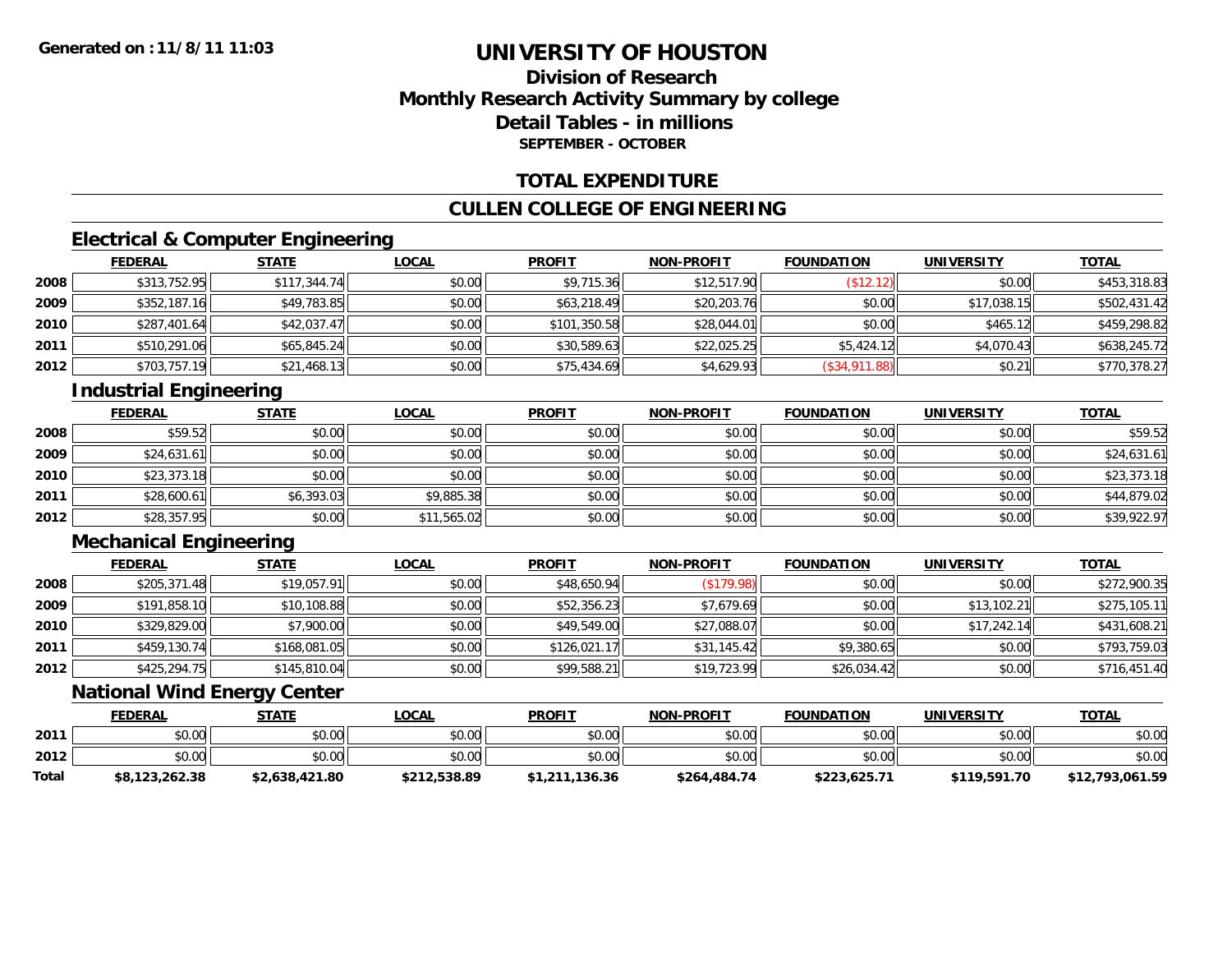### **Division of ResearchMonthly Research Activity Summary by college Detail Tables - in millionsSEPTEMBER - OCTOBER**

#### **TOTAL EXPENDITURE**

#### **CULLEN COLLEGE OF ENGINEERING**

### **Electrical & Computer Engineering**

|      | <b>FEDERAL</b> | <b>STATE</b> | <b>LOCAL</b> | <b>PROFIT</b> | <b>NON-PROFIT</b> | <b>FOUNDATION</b> | <b>UNIVERSITY</b> | <b>TOTAL</b> |
|------|----------------|--------------|--------------|---------------|-------------------|-------------------|-------------------|--------------|
| 2008 | \$313,752.95   | \$117,344.74 | \$0.00       | \$9.715.36    | \$12,517.90       | (\$12.12)         | \$0.00            | \$453,318.83 |
| 2009 | \$352,187.16   | \$49,783.85  | \$0.00       | \$63,218.49   | \$20,203.76       | \$0.00            | \$17.038.15       | \$502,431.42 |
| 2010 | \$287,401.64   | \$42,037.47  | \$0.00       | \$101,350.58  | \$28,044.01       | \$0.00            | \$465.12          | \$459,298.82 |
| 2011 | \$510,291.06   | \$65,845.24  | \$0.00       | \$30,589.63   | \$22,025.25       | \$5,424.12        | \$4,070.43        | \$638,245.72 |
| 2012 | \$703,757.19   | \$21,468.13  | \$0.00       | \$75,434.69   | \$4,629.93        | (S34, 911.88)     | \$0.21            | \$770,378.27 |

### **Industrial Engineering**

|      | <b>FEDERAL</b> | <b>STATE</b> | <u>LOCAL</u> | <b>PROFIT</b> | <b>NON-PROFIT</b> | <b>FOUNDATION</b> | <b>UNIVERSITY</b> | <b>TOTAL</b> |
|------|----------------|--------------|--------------|---------------|-------------------|-------------------|-------------------|--------------|
| 2008 | \$59.52        | \$0.00       | \$0.00       | \$0.00        | \$0.00            | \$0.00            | \$0.00            | \$59.52      |
| 2009 | \$24,631.61    | \$0.00       | \$0.00       | \$0.00        | \$0.00            | \$0.00            | \$0.00            | \$24,631.61  |
| 2010 | \$23,373.18    | \$0.00       | \$0.00       | \$0.00        | \$0.00            | \$0.00            | \$0.00            | \$23,373.18  |
| 2011 | \$28,600.61    | \$6,393.03   | \$9,885.38   | \$0.00        | \$0.00            | \$0.00            | \$0.00            | \$44,879.02  |
| 2012 | \$28,357.95    | \$0.00       | \$11,565.02  | \$0.00        | \$0.00            | \$0.00            | \$0.00            | \$39,922.97  |

### **Mechanical Engineering**

|      | <u>FEDERAL</u> | <b>STATE</b> | <b>LOCAL</b> | <b>PROFIT</b> | <b>NON-PROFIT</b> | <b>FOUNDATION</b> | <b>UNIVERSITY</b> | <b>TOTAL</b> |
|------|----------------|--------------|--------------|---------------|-------------------|-------------------|-------------------|--------------|
| 2008 | \$205,371.48   | \$19,057.91  | \$0.00       | \$48,650.94   | (\$179.98)        | \$0.00            | \$0.00            | \$272,900.35 |
| 2009 | \$191,858.10   | \$10,108.88  | \$0.00       | \$52,356.23   | \$7,679.69        | \$0.00            | \$13,102.21       | \$275,105.11 |
| 2010 | \$329,829.00   | \$7,900.00   | \$0.00       | \$49,549.00   | \$27,088.07       | \$0.00            | \$17,242.14       | \$431,608.21 |
| 2011 | \$459,130.74   | \$168,081.05 | \$0.00       | \$126,021.17  | \$31,145.42       | \$9,380.65        | \$0.00            | \$793,759.03 |
| 2012 | \$425,294.75   | \$145,810.04 | \$0.00       | \$99,588.21   | \$19,723.99       | \$26,034.42       | \$0.00            | \$716,451.40 |

#### **National Wind Energy Center**

|       | <b>FEDERAL</b> | <b>STATE</b>   | <u>LOCAL</u> | <b>PROFIT</b>  | <b>NON-PROFIT</b> | <b>FOUNDATION</b> | <b>UNIVERSITY</b> | <b>TOTAL</b>    |
|-------|----------------|----------------|--------------|----------------|-------------------|-------------------|-------------------|-----------------|
| 2011  | \$0.00         | \$0.00         | \$0.00       | \$0.00         | \$0.00            | \$0.00            | \$0.00            | \$0.00          |
| 2012  | \$0.00         | \$0.00         | \$0.00       | \$0.00         | \$0.00            | \$0.00            | \$0.00            | \$0.00          |
| Total | \$8,123,262.38 | \$2,638,421.80 | \$212,538.89 | \$1,211,136.36 | \$264,484,74      | \$223,625.71      | \$119,591.70      | \$12,793,061.59 |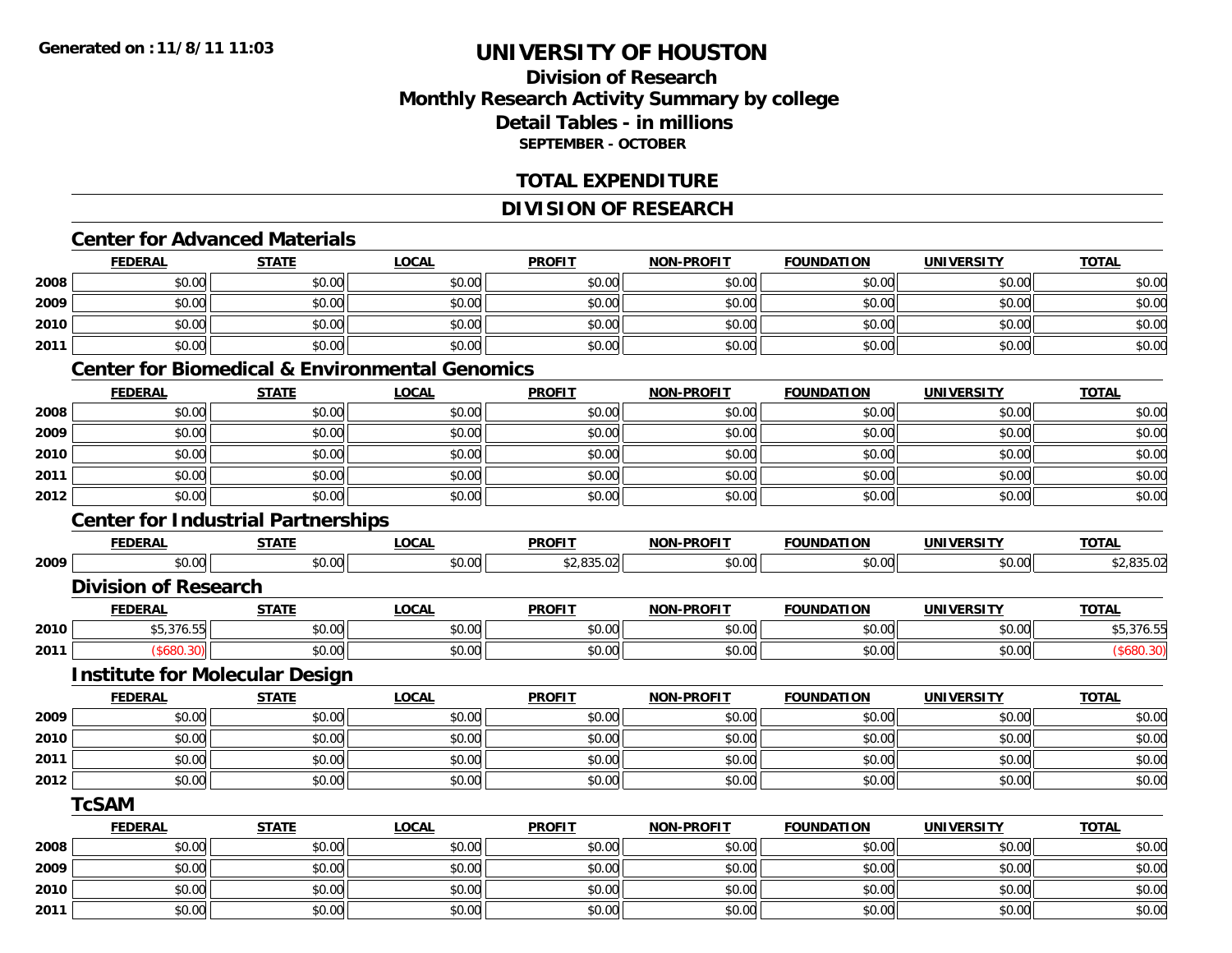**2011**

# **UNIVERSITY OF HOUSTON**

### **Division of ResearchMonthly Research Activity Summary by college Detail Tables - in millions SEPTEMBER - OCTOBER**

#### **TOTAL EXPENDITURE**

#### **DIVISION OF RESEARCH**

# **Center for Advanced Materials**

|      | <b>FEDERAL</b>                            | <b>STATE</b> | <b>LOCAL</b>                                              | <b>PROFIT</b> | <b>NON-PROFIT</b> | <b>FOUNDATION</b> | <b>UNIVERSITY</b> | <b>TOTAL</b> |
|------|-------------------------------------------|--------------|-----------------------------------------------------------|---------------|-------------------|-------------------|-------------------|--------------|
| 2008 | \$0.00                                    | \$0.00       | \$0.00                                                    | \$0.00        | \$0.00            | \$0.00            | \$0.00            | \$0.00       |
| 2009 | \$0.00                                    | \$0.00       | \$0.00                                                    | \$0.00        | \$0.00            | \$0.00            | \$0.00            | \$0.00       |
| 2010 | \$0.00                                    | \$0.00       | \$0.00                                                    | \$0.00        | \$0.00            | \$0.00            | \$0.00            | \$0.00       |
| 2011 | \$0.00                                    | \$0.00       | \$0.00                                                    | \$0.00        | \$0.00            | \$0.00            | \$0.00            | \$0.00       |
|      |                                           |              | <b>Center for Biomedical &amp; Environmental Genomics</b> |               |                   |                   |                   |              |
|      | <b>FEDERAL</b>                            | <b>STATE</b> | <b>LOCAL</b>                                              | <b>PROFIT</b> | <b>NON-PROFIT</b> | <b>FOUNDATION</b> | <b>UNIVERSITY</b> | <b>TOTAL</b> |
| 2008 | \$0.00                                    | \$0.00       | \$0.00                                                    | \$0.00        | \$0.00            | \$0.00            | \$0.00            | \$0.00       |
| 2009 | \$0.00                                    | \$0.00       | \$0.00                                                    | \$0.00        | \$0.00            | \$0.00            | \$0.00            | \$0.00       |
| 2010 | \$0.00                                    | \$0.00       | \$0.00                                                    | \$0.00        | \$0.00            | \$0.00            | \$0.00            | \$0.00       |
| 2011 | \$0.00                                    | \$0.00       | \$0.00                                                    | \$0.00        | \$0.00            | \$0.00            | \$0.00            | \$0.00       |
| 2012 | \$0.00                                    | \$0.00       | \$0.00                                                    | \$0.00        | \$0.00            | \$0.00            | \$0.00            | \$0.00       |
|      | <b>Center for Industrial Partnerships</b> |              |                                                           |               |                   |                   |                   |              |
|      | <b>FEDERAL</b>                            | <b>STATE</b> | <b>LOCAL</b>                                              | <b>PROFIT</b> | <b>NON-PROFIT</b> | <b>FOUNDATION</b> | <b>UNIVERSITY</b> | <b>TOTAL</b> |
| 2009 | \$0.00                                    | \$0.00       | \$0.00                                                    | \$2,835.02    | \$0.00            | \$0.00            | \$0.00            | \$2,835.02   |
|      | <b>Division of Research</b>               |              |                                                           |               |                   |                   |                   |              |
|      | <b>FEDERAL</b>                            | <b>STATE</b> | <b>LOCAL</b>                                              | <b>PROFIT</b> | <b>NON-PROFIT</b> | <b>FOUNDATION</b> | <b>UNIVERSITY</b> | <b>TOTAL</b> |
| 2010 | \$5,376.55                                | \$0.00       | \$0.00                                                    | \$0.00        | \$0.00            | \$0.00            | \$0.00            | \$5,376.55   |
| 2011 | (\$680.30)                                | \$0.00       | \$0.00                                                    | \$0.00        | \$0.00            | \$0.00            | \$0.00            | (\$680.30)   |
|      | <b>Institute for Molecular Design</b>     |              |                                                           |               |                   |                   |                   |              |
|      | <b>FEDERAL</b>                            | <b>STATE</b> | <b>LOCAL</b>                                              | <b>PROFIT</b> | <b>NON-PROFIT</b> | <b>FOUNDATION</b> | <b>UNIVERSITY</b> | <b>TOTAL</b> |
| 2009 | \$0.00                                    | \$0.00       | \$0.00                                                    | \$0.00        | \$0.00            | \$0.00            | \$0.00            | \$0.00       |
| 2010 | \$0.00                                    | \$0.00       | \$0.00                                                    | \$0.00        | \$0.00            | \$0.00            | \$0.00            | \$0.00       |
| 2011 | \$0.00                                    | \$0.00       | \$0.00                                                    | \$0.00        | \$0.00            | \$0.00            | \$0.00            | \$0.00       |
| 2012 | \$0.00                                    | \$0.00       | \$0.00                                                    | \$0.00        | \$0.00            | \$0.00            | \$0.00            | \$0.00       |
|      | <b>TcSAM</b>                              |              |                                                           |               |                   |                   |                   |              |
|      | <b>FEDERAL</b>                            | <b>STATE</b> | <b>LOCAL</b>                                              | <b>PROFIT</b> | <b>NON-PROFIT</b> | <b>FOUNDATION</b> | <b>UNIVERSITY</b> | <b>TOTAL</b> |
| 2008 | \$0.00                                    | \$0.00       | \$0.00                                                    | \$0.00        | \$0.00            | \$0.00            | \$0.00            | \$0.00       |
| 2009 | \$0.00                                    | \$0.00       | \$0.00                                                    | \$0.00        | \$0.00            | \$0.00            | \$0.00            | \$0.00       |
| 2010 | \$0.00                                    | \$0.00       | \$0.00                                                    | \$0.00        | \$0.00            | \$0.00            | \$0.00            | \$0.00       |

\$0.00 \$0.00 \$0.00 \$0.00 \$0.00 \$0.00 \$0.00 \$0.00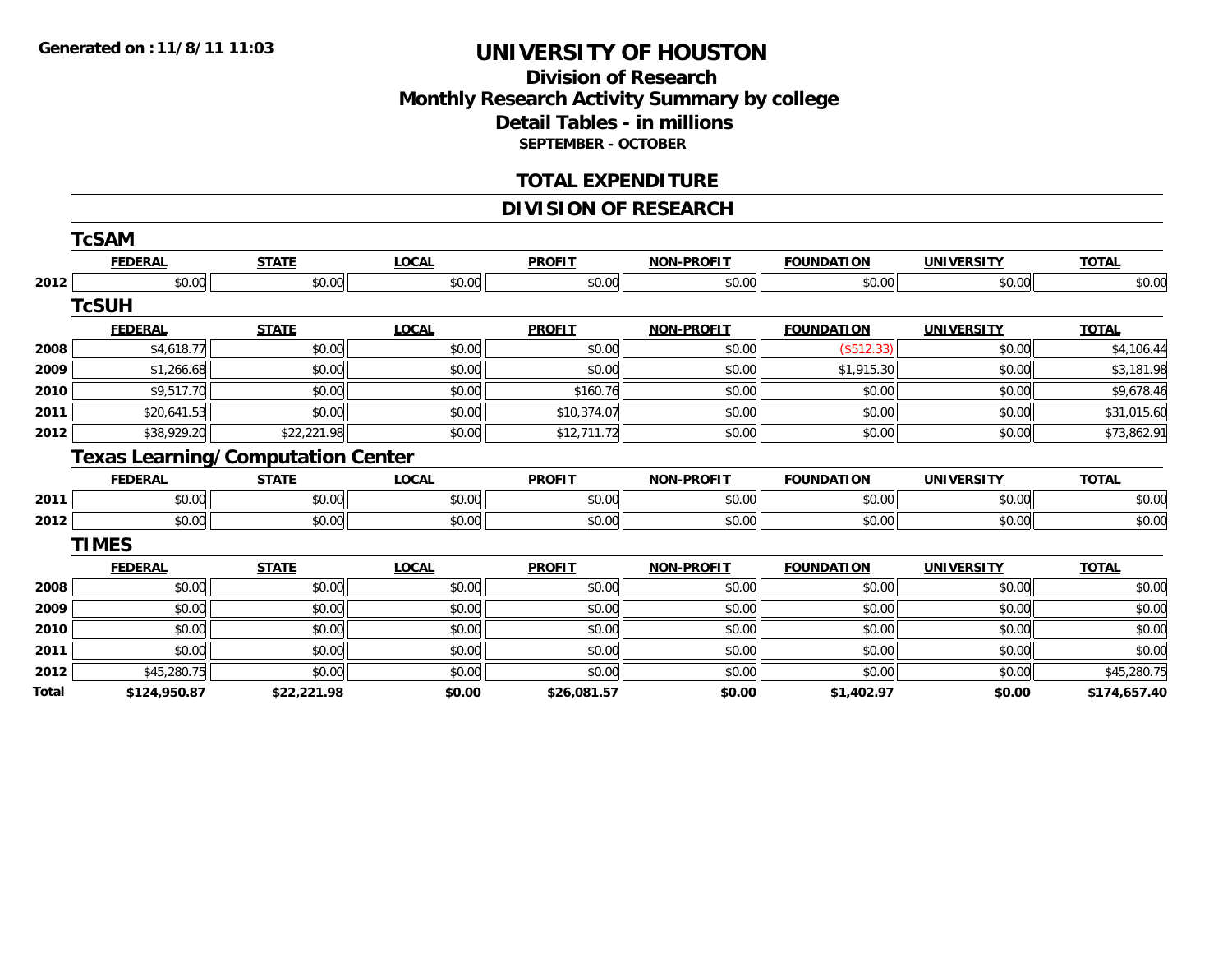### **Division of ResearchMonthly Research Activity Summary by college Detail Tables - in millions SEPTEMBER - OCTOBER**

#### **TOTAL EXPENDITURE**

#### **DIVISION OF RESEARCH**

|              | <b>TcSAM</b>                             |              |              |               |                   |                   |                   |              |
|--------------|------------------------------------------|--------------|--------------|---------------|-------------------|-------------------|-------------------|--------------|
|              | <b>FEDERAL</b>                           | <b>STATE</b> | <b>LOCAL</b> | <b>PROFIT</b> | <b>NON-PROFIT</b> | <b>FOUNDATION</b> | <b>UNIVERSITY</b> | <b>TOTAL</b> |
| 2012         | \$0.00                                   | \$0.00       | \$0.00       | \$0.00        | \$0.00            | \$0.00            | \$0.00            | \$0.00       |
|              | <b>TcSUH</b>                             |              |              |               |                   |                   |                   |              |
|              | <b>FEDERAL</b>                           | <b>STATE</b> | <b>LOCAL</b> | <b>PROFIT</b> | <b>NON-PROFIT</b> | <b>FOUNDATION</b> | <b>UNIVERSITY</b> | <b>TOTAL</b> |
| 2008         | \$4,618.77                               | \$0.00       | \$0.00       | \$0.00        | \$0.00            | (\$512.33)        | \$0.00            | \$4,106.44   |
| 2009         | \$1,266.68                               | \$0.00       | \$0.00       | \$0.00        | \$0.00            | \$1,915.30        | \$0.00            | \$3,181.98   |
| 2010         | \$9,517.70                               | \$0.00       | \$0.00       | \$160.76      | \$0.00            | \$0.00            | \$0.00            | \$9,678.46   |
| 2011         | \$20,641.53                              | \$0.00       | \$0.00       | \$10,374.07   | \$0.00            | \$0.00            | \$0.00            | \$31,015.60  |
| 2012         | \$38,929.20                              | \$22,221.98  | \$0.00       | \$12,711.72   | \$0.00            | \$0.00            | \$0.00            | \$73,862.91  |
|              | <b>Texas Learning/Computation Center</b> |              |              |               |                   |                   |                   |              |
|              | <b>FEDERAL</b>                           | <b>STATE</b> | <b>LOCAL</b> | <b>PROFIT</b> | <b>NON-PROFIT</b> | <b>FOUNDATION</b> | <b>UNIVERSITY</b> | <b>TOTAL</b> |
| 2011         | \$0.00                                   | \$0.00       | \$0.00       | \$0.00        | \$0.00            | \$0.00            | \$0.00            | \$0.00       |
| 2012         | \$0.00                                   | \$0.00       | \$0.00       | \$0.00        | \$0.00            | \$0.00            | \$0.00            | \$0.00       |
|              | <b>TIMES</b>                             |              |              |               |                   |                   |                   |              |
|              | <b>FEDERAL</b>                           | <b>STATE</b> | <b>LOCAL</b> | <b>PROFIT</b> | <b>NON-PROFIT</b> | <b>FOUNDATION</b> | <b>UNIVERSITY</b> | <b>TOTAL</b> |
| 2008         | \$0.00                                   | \$0.00       | \$0.00       | \$0.00        | \$0.00            | \$0.00            | \$0.00            | \$0.00       |
| 2009         | \$0.00                                   | \$0.00       | \$0.00       | \$0.00        | \$0.00            | \$0.00            | \$0.00            | \$0.00       |
| 2010         | \$0.00                                   | \$0.00       | \$0.00       | \$0.00        | \$0.00            | \$0.00            | \$0.00            | \$0.00       |
| 2011         | \$0.00                                   | \$0.00       | \$0.00       | \$0.00        | \$0.00            | \$0.00            | \$0.00            | \$0.00       |
| 2012         | \$45,280.75                              | \$0.00       | \$0.00       | \$0.00        | \$0.00            | \$0.00            | \$0.00            | \$45,280.75  |
| <b>Total</b> | \$124,950.87                             | \$22,221.98  | \$0.00       | \$26,081.57   | \$0.00            | \$1,402.97        | \$0.00            | \$174,657.40 |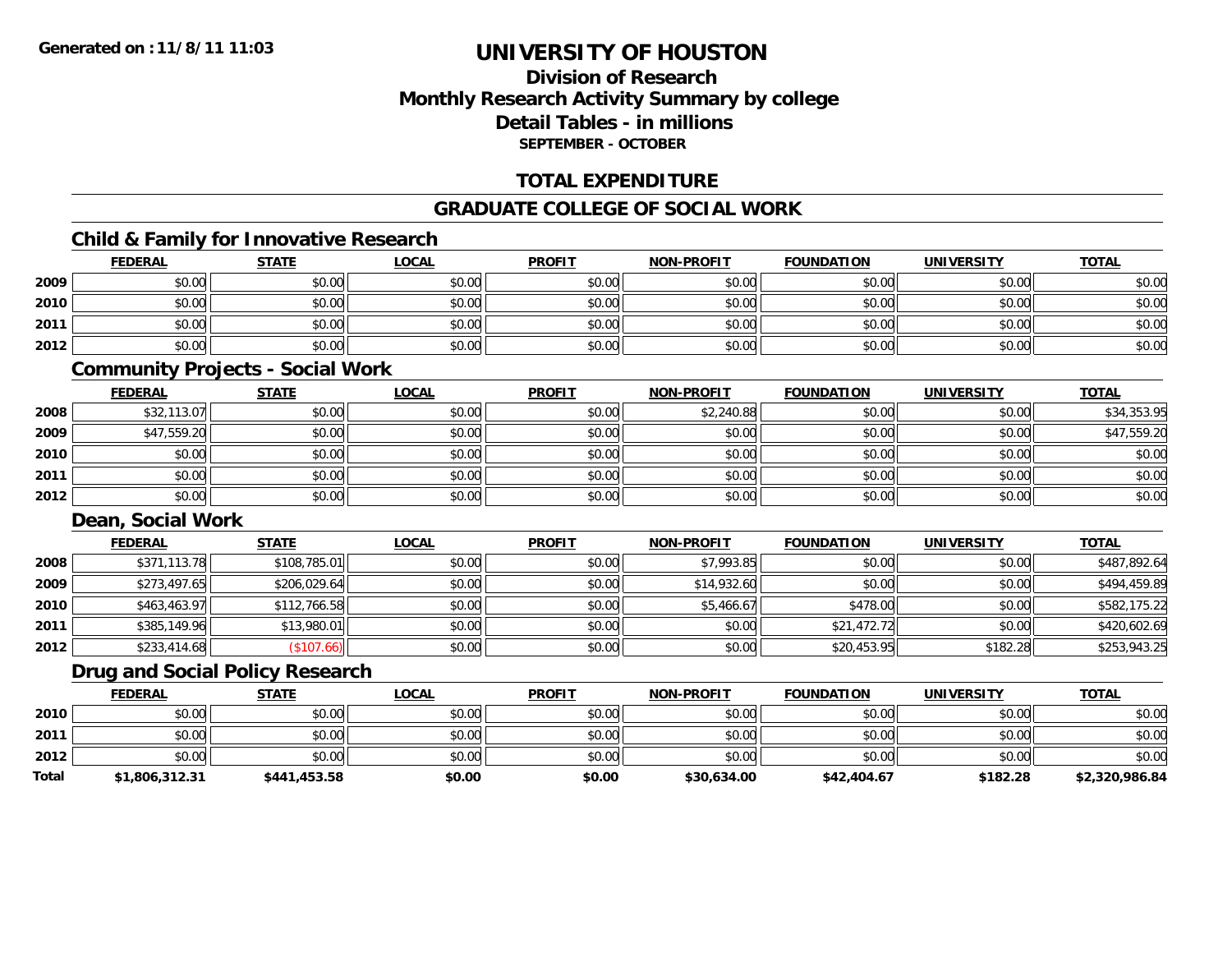### **Division of ResearchMonthly Research Activity Summary by college Detail Tables - in millionsSEPTEMBER - OCTOBER**

#### **TOTAL EXPENDITURE**

#### **GRADUATE COLLEGE OF SOCIAL WORK**

### **Child & Family for Innovative Research**

|      | <b>FEDERAL</b> | <b>STATE</b> | <b>LOCAL</b> | <b>PROFIT</b> | <b>NON-PROFIT</b> | <b>FOUNDATION</b> | <b>UNIVERSITY</b> | <b>TOTAL</b> |
|------|----------------|--------------|--------------|---------------|-------------------|-------------------|-------------------|--------------|
| 2009 | \$0.00         | \$0.00       | \$0.00       | \$0.00        | \$0.00            | \$0.00            | \$0.00            | \$0.00       |
| 2010 | \$0.00         | \$0.00       | \$0.00       | \$0.00        | \$0.00            | \$0.00            | \$0.00            | \$0.00       |
| 2011 | \$0.00         | \$0.00       | \$0.00       | \$0.00        | \$0.00            | \$0.00            | \$0.00            | \$0.00       |
| 2012 | \$0.00         | \$0.00       | \$0.00       | \$0.00        | \$0.00            | \$0.00            | \$0.00            | \$0.00       |

#### **Community Projects - Social Work**

|      | <b>FEDERAL</b> | <b>STATE</b> | <b>LOCAL</b> | <b>PROFIT</b> | <b>NON-PROFIT</b> | <b>FOUNDATION</b> | <b>UNIVERSITY</b> | <u>TOTAL</u> |
|------|----------------|--------------|--------------|---------------|-------------------|-------------------|-------------------|--------------|
| 2008 | \$32,113.07    | \$0.00       | \$0.00       | \$0.00        | \$2,240.88        | \$0.00            | \$0.00            | \$34,353.95  |
| 2009 | \$47,559.20    | \$0.00       | \$0.00       | \$0.00        | \$0.00            | \$0.00            | \$0.00            | \$47,559.20  |
| 2010 | \$0.00         | \$0.00       | \$0.00       | \$0.00        | \$0.00            | \$0.00            | \$0.00            | \$0.00       |
| 2011 | \$0.00         | \$0.00       | \$0.00       | \$0.00        | \$0.00            | \$0.00            | \$0.00            | \$0.00       |
| 2012 | \$0.00         | \$0.00       | \$0.00       | \$0.00        | \$0.00            | \$0.00            | \$0.00            | \$0.00       |

### **Dean, Social Work**

|      | <b>FEDERAL</b> | <b>STATE</b> | <b>LOCAL</b> | <b>PROFIT</b> | <b>NON-PROFIT</b> | <b>FOUNDATION</b> | <b>UNIVERSITY</b> | <b>TOTAL</b> |
|------|----------------|--------------|--------------|---------------|-------------------|-------------------|-------------------|--------------|
| 2008 | \$371,113.78   | \$108,785.01 | \$0.00       | \$0.00        | \$7,993.85        | \$0.00            | \$0.00            | \$487,892.64 |
| 2009 | \$273,497.65   | \$206,029.64 | \$0.00       | \$0.00        | \$14,932.60       | \$0.00            | \$0.00            | \$494,459.89 |
| 2010 | \$463,463.97   | \$112,766.58 | \$0.00       | \$0.00        | \$5,466.67        | \$478.00          | \$0.00            | \$582,175.22 |
| 2011 | \$385,149.96   | \$13,980.01  | \$0.00       | \$0.00        | \$0.00            | \$21,472.72       | \$0.00            | \$420,602.69 |
| 2012 | \$233,414.68   | (\$107.66)   | \$0.00       | \$0.00        | \$0.00            | \$20,453.95       | \$182.28          | \$253,943.25 |

### **Drug and Social Policy Research**

|       | <b>FEDERAL</b> | <b>STATE</b> | LOCAL  | <b>PROFIT</b> | <b>NON-PROFIT</b> | <b>FOUNDATION</b> | <b>UNIVERSITY</b> | <b>TOTAL</b>   |
|-------|----------------|--------------|--------|---------------|-------------------|-------------------|-------------------|----------------|
| 2010  | \$0.00         | \$0.00       | \$0.00 | \$0.00        | \$0.00            | \$0.00            | \$0.00            | \$0.00         |
| 2011  | \$0.00         | \$0.00       | \$0.00 | \$0.00        | \$0.00            | \$0.00            | \$0.00            | \$0.00         |
| 2012  | \$0.00         | \$0.00       | \$0.00 | \$0.00        | \$0.00            | \$0.00            | \$0.00            | \$0.00         |
| Total | \$1,806,312.31 | \$441,453.58 | \$0.00 | \$0.00        | \$30,634,00       | \$42,404.67       | \$182.28          | \$2,320,986.84 |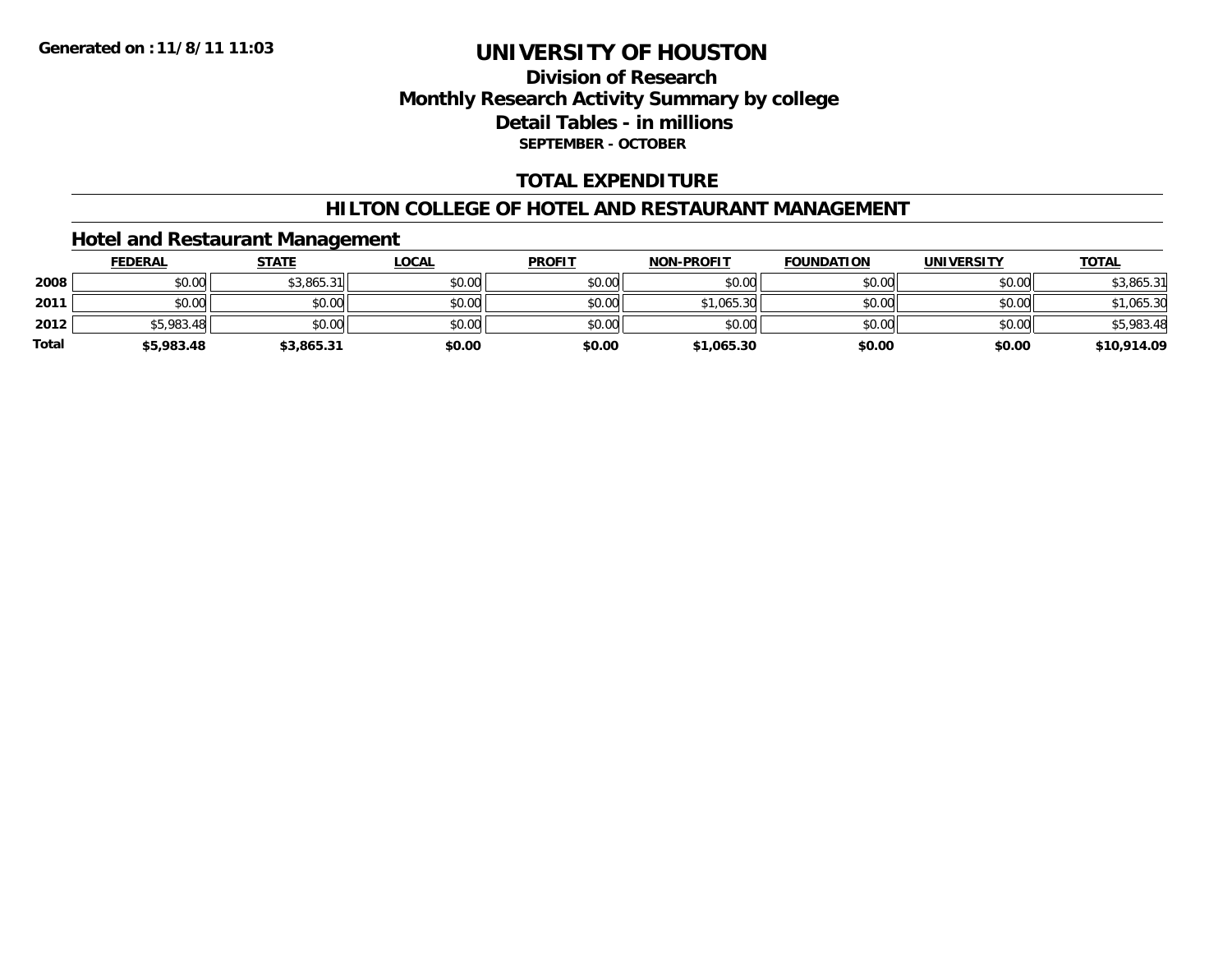### **Division of ResearchMonthly Research Activity Summary by college Detail Tables - in millions SEPTEMBER - OCTOBER**

#### **TOTAL EXPENDITURE**

#### **HILTON COLLEGE OF HOTEL AND RESTAURANT MANAGEMENT**

### **Hotel and Restaurant Management**

|              | <b>FEDERAL</b> | <b>STATE</b> | <b>LOCAL</b> | <b>PROFIT</b> | <b>NON-PROFIT</b> | <b>FOUNDATION</b> | <b>UNIVERSITY</b> | <b>TOTAL</b> |
|--------------|----------------|--------------|--------------|---------------|-------------------|-------------------|-------------------|--------------|
| 2008         | \$0.00         | \$3,865.31   | \$0.00       | \$0.00        | \$0.00            | \$0.00            | \$0.00            | \$3,865.31   |
| 2011         | \$0.00         | \$0.00       | \$0.00       | \$0.00        | \$1,065.30        | \$0.00            | \$0.00            | \$1,065.30   |
| 2012         | \$5,983.48     | \$0.00       | \$0.00       | \$0.00        | \$0.00            | \$0.00            | \$0.00            | \$5,983.48   |
| <b>Total</b> | \$5,983.48     | \$3,865.31   | \$0.00       | \$0.00        | \$1,065.30        | \$0.00            | \$0.00            | \$10,914.09  |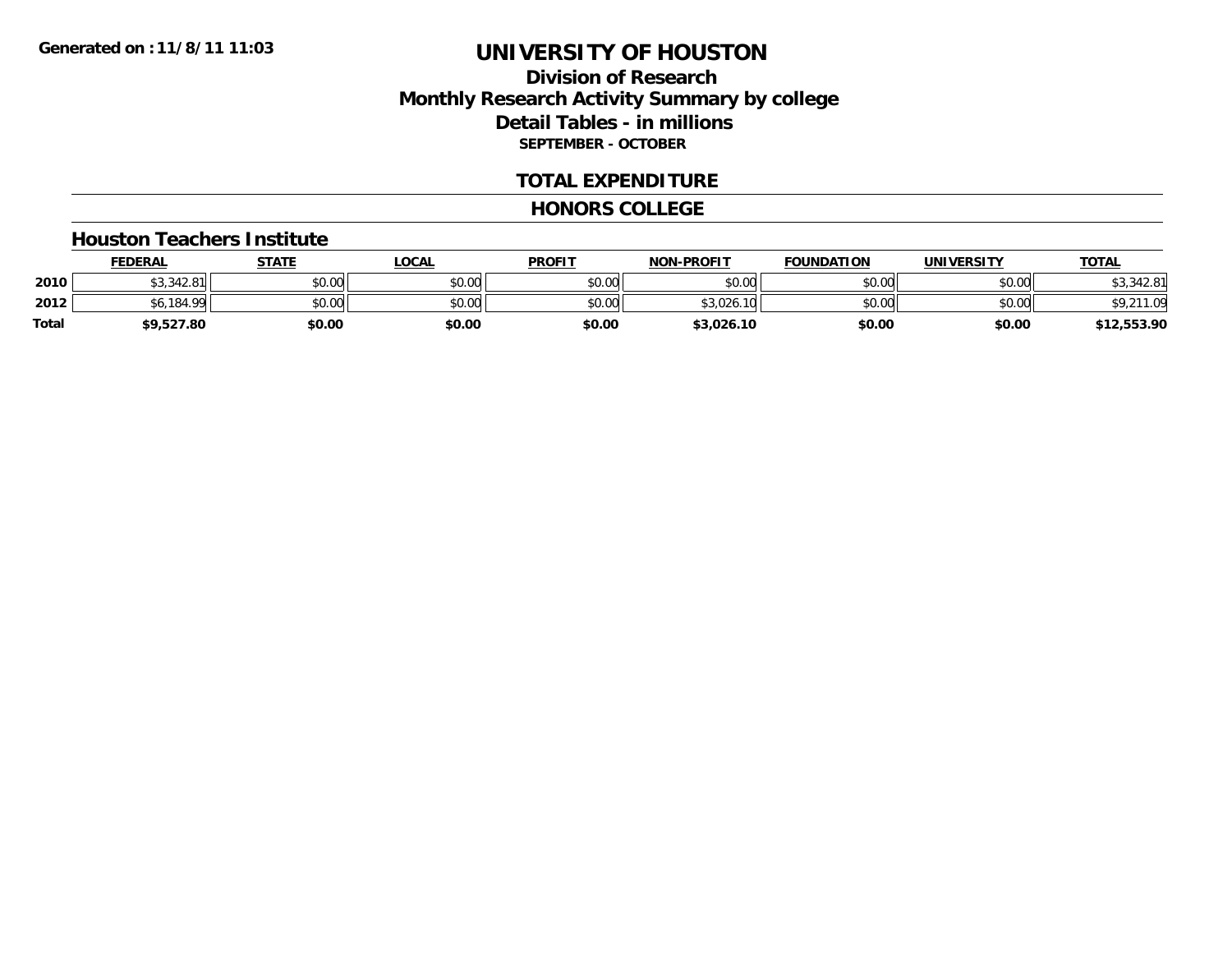### **Division of ResearchMonthly Research Activity Summary by college Detail Tables - in millions SEPTEMBER - OCTOBER**

#### **TOTAL EXPENDITURE**

#### **HONORS COLLEGE**

#### **Houston Teachers Institute**

|       | <b>FEDERAL</b>         | <b>STATE</b> | <u>LOCAL</u> | <b>PROFIT</b> | <b>NON-PROFIT</b> | <b>FOUNDATION</b> | <b>UNIVERSITY</b> | <b>TOTAL</b> |
|-------|------------------------|--------------|--------------|---------------|-------------------|-------------------|-------------------|--------------|
| 2010  | $0.2933$<br>\$3,342.81 | \$0.00       | \$0.00       | \$0.00        | \$0.00            | \$0.00            | \$0.00            | 342.81       |
| 2012  | .6.184.99              | \$0.00       | \$0.00       | \$0.00        | \$3.026.<br>.10   | \$0.00            | \$0.00            |              |
| Total | \$9,527.80             | \$0.00       | \$0.00       | \$0.00        | \$3,026.10        | \$0.00            | \$0.00            | \$12,553.90  |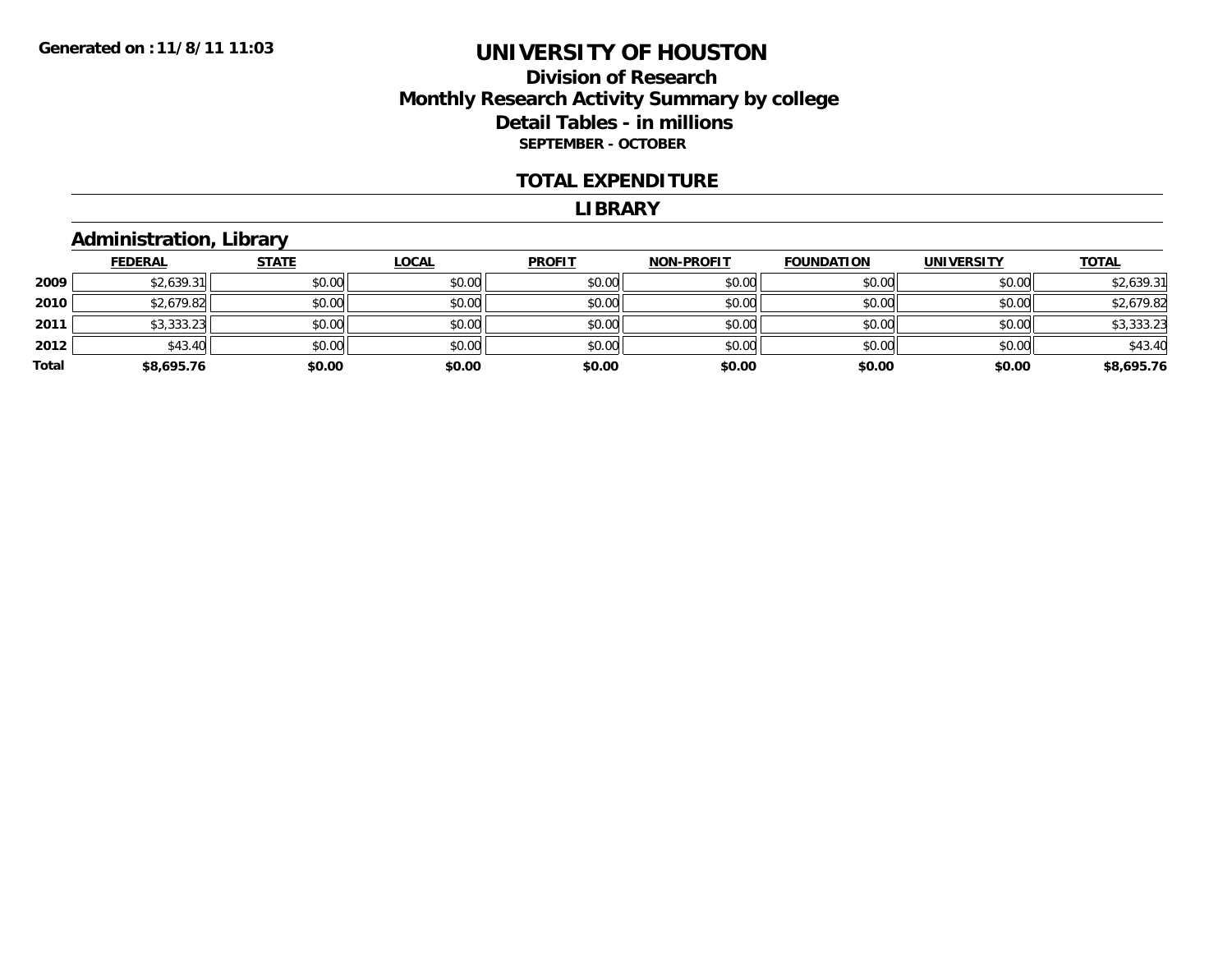### **Division of ResearchMonthly Research Activity Summary by college Detail Tables - in millions SEPTEMBER - OCTOBER**

#### **TOTAL EXPENDITURE**

#### **LIBRARY**

# **Administration, Library**

|       | <b>FEDERAL</b> | <b>STATE</b> | <b>LOCAL</b> | <b>PROFIT</b> | <b>NON-PROFIT</b> | <b>FOUNDATION</b> | <b>UNIVERSITY</b> | <b>TOTAL</b> |
|-------|----------------|--------------|--------------|---------------|-------------------|-------------------|-------------------|--------------|
| 2009  | \$2,639.31     | \$0.00       | \$0.00       | \$0.00        | \$0.00            | \$0.00            | \$0.00            | \$2,639.31   |
| 2010  | \$2,679.82     | \$0.00       | \$0.00       | \$0.00        | \$0.00            | \$0.00            | \$0.00            | \$2,679.82   |
| 2011  | \$3,333.23     | \$0.00       | \$0.00       | \$0.00        | \$0.00            | \$0.00            | \$0.00            | \$3,333.23   |
| 2012  | \$43.40        | \$0.00       | \$0.00       | \$0.00        | \$0.00            | \$0.00            | \$0.00            | \$43.40      |
| Total | \$8,695.76     | \$0.00       | \$0.00       | \$0.00        | \$0.00            | \$0.00            | \$0.00            | \$8,695.76   |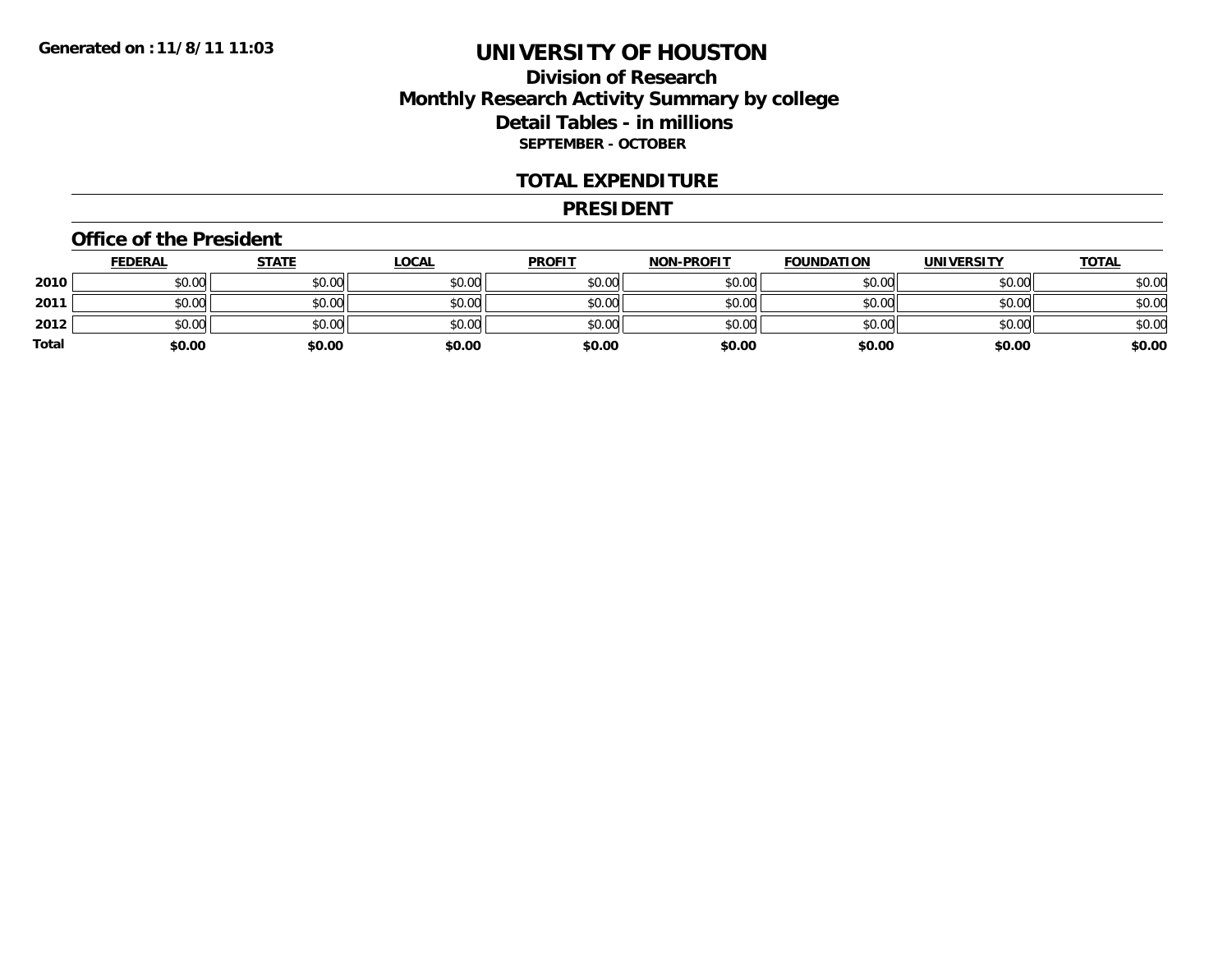### **Division of ResearchMonthly Research Activity Summary by college Detail Tables - in millions SEPTEMBER - OCTOBER**

#### **TOTAL EXPENDITURE**

#### **PRESIDENT**

#### **Office of the President**

|       | <b>FEDERAL</b> | <b>STATE</b> | <u>LOCAL</u> | <b>PROFIT</b> | <b>NON-PROFIT</b> | <b>FOUNDATION</b> | <b>UNIVERSITY</b> | <u>TOTAL</u> |
|-------|----------------|--------------|--------------|---------------|-------------------|-------------------|-------------------|--------------|
| 2010  | \$0.00         | \$0.00       | \$0.00       | \$0.00        | \$0.00            | \$0.00            | \$0.00            | \$0.00       |
| 2011  | \$0.00         | \$0.00       | \$0.00       | \$0.00        | \$0.00            | \$0.00            | \$0.00            | \$0.00       |
| 2012  | \$0.00         | \$0.00       | \$0.00       | \$0.00        | \$0.00            | \$0.00            | \$0.00            | \$0.00       |
| Total | \$0.00         | \$0.00       | \$0.00       | \$0.00        | \$0.00            | \$0.00            | \$0.00            | \$0.00       |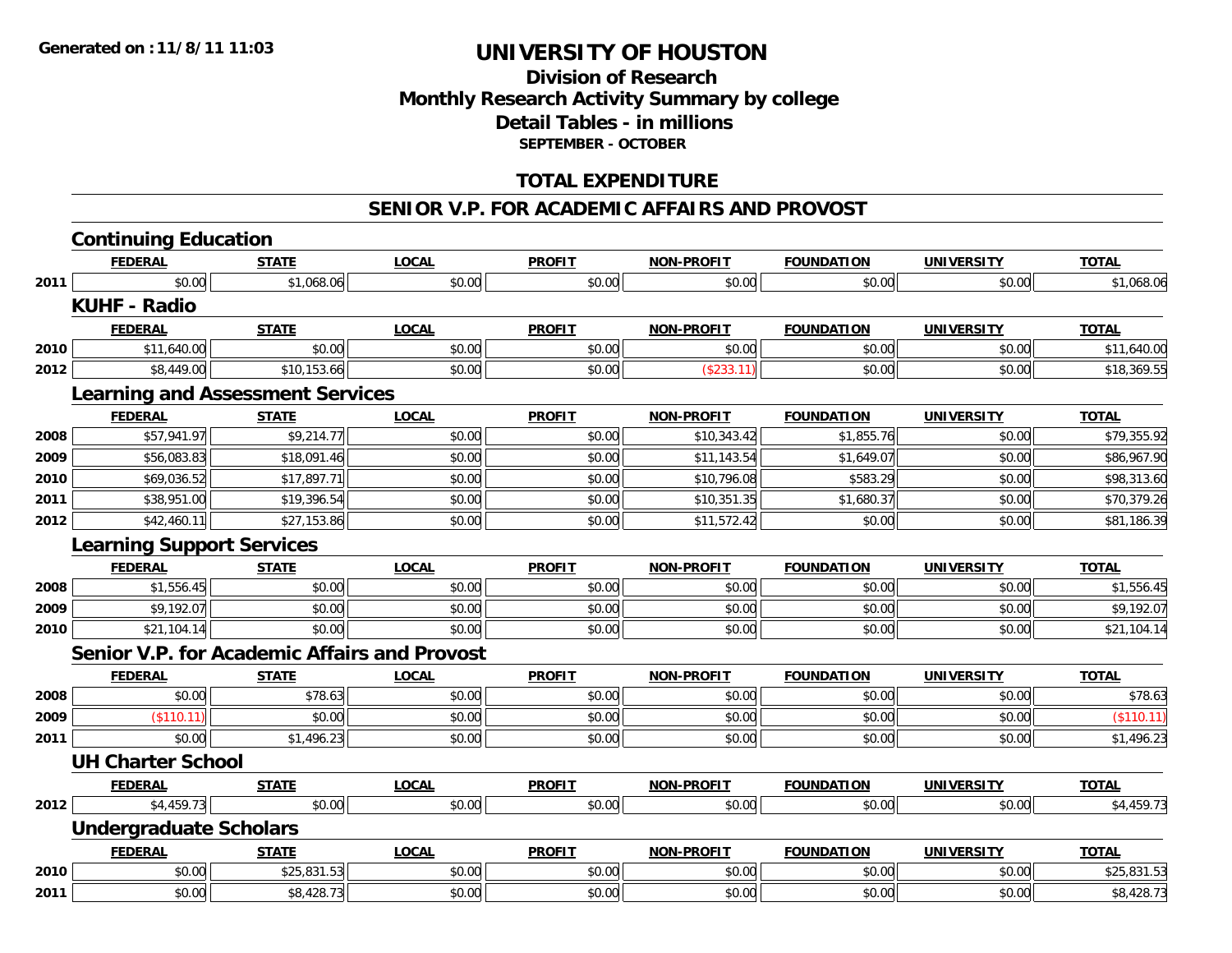### **Division of ResearchMonthly Research Activity Summary by college Detail Tables - in millions SEPTEMBER - OCTOBER**

#### **TOTAL EXPENDITURE**

#### **SENIOR V.P. FOR ACADEMIC AFFAIRS AND PROVOST**

|      | <b>Continuing Education</b>      |                                                     |              |               |                   |                   |                   |              |
|------|----------------------------------|-----------------------------------------------------|--------------|---------------|-------------------|-------------------|-------------------|--------------|
|      | <b>FEDERAL</b>                   | <b>STATE</b>                                        | <b>LOCAL</b> | <b>PROFIT</b> | <b>NON-PROFIT</b> | <b>FOUNDATION</b> | <b>UNIVERSITY</b> | <b>TOTAL</b> |
| 2011 | \$0.00                           | \$1,068.06                                          | \$0.00       | \$0.00        | \$0.00            | \$0.00            | \$0.00            | \$1,068.06   |
|      | <b>KUHF - Radio</b>              |                                                     |              |               |                   |                   |                   |              |
|      | <b>FEDERAL</b>                   | <b>STATE</b>                                        | <b>LOCAL</b> | <b>PROFIT</b> | <b>NON-PROFIT</b> | <b>FOUNDATION</b> | <b>UNIVERSITY</b> | <b>TOTAL</b> |
| 2010 | \$11,640.00                      | \$0.00                                              | \$0.00       | \$0.00        | \$0.00            | \$0.00            | \$0.00            | \$11,640.00  |
| 2012 | \$8,449.00                       | \$10,153.66                                         | \$0.00       | \$0.00        | (\$233.11)        | \$0.00            | \$0.00            | \$18,369.55  |
|      |                                  | <b>Learning and Assessment Services</b>             |              |               |                   |                   |                   |              |
|      | <b>FEDERAL</b>                   | <b>STATE</b>                                        | <b>LOCAL</b> | <b>PROFIT</b> | <b>NON-PROFIT</b> | <b>FOUNDATION</b> | <b>UNIVERSITY</b> | <b>TOTAL</b> |
| 2008 | \$57,941.97                      | \$9,214.77                                          | \$0.00       | \$0.00        | \$10,343.42       | \$1,855.76        | \$0.00            | \$79,355.92  |
| 2009 | \$56,083.83                      | \$18,091.46                                         | \$0.00       | \$0.00        | \$11,143.54       | \$1,649.07        | \$0.00            | \$86,967.90  |
| 2010 | \$69,036.52                      | \$17,897.71                                         | \$0.00       | \$0.00        | \$10,796.08       | \$583.29          | \$0.00            | \$98,313.60  |
| 2011 | \$38,951.00                      | \$19,396.54                                         | \$0.00       | \$0.00        | \$10,351.35       | \$1,680.37        | \$0.00            | \$70,379.26  |
| 2012 | \$42,460.11                      | \$27,153.86                                         | \$0.00       | \$0.00        | \$11,572.42       | \$0.00            | \$0.00            | \$81,186.39  |
|      | <b>Learning Support Services</b> |                                                     |              |               |                   |                   |                   |              |
|      | <b>FEDERAL</b>                   | <b>STATE</b>                                        | <b>LOCAL</b> | <b>PROFIT</b> | <b>NON-PROFIT</b> | <b>FOUNDATION</b> | <b>UNIVERSITY</b> | <b>TOTAL</b> |
| 2008 | \$1,556.45                       | \$0.00                                              | \$0.00       | \$0.00        | \$0.00            | \$0.00            | \$0.00            | \$1,556.45   |
| 2009 | \$9,192.07                       | \$0.00                                              | \$0.00       | \$0.00        | \$0.00            | \$0.00            | \$0.00            | \$9,192.07   |
| 2010 | \$21,104.14                      | \$0.00                                              | \$0.00       | \$0.00        | \$0.00            | \$0.00            | \$0.00            | \$21,104.14  |
|      |                                  | <b>Senior V.P. for Academic Affairs and Provost</b> |              |               |                   |                   |                   |              |
|      | <b>FEDERAL</b>                   | <b>STATE</b>                                        | <b>LOCAL</b> | <b>PROFIT</b> | <b>NON-PROFIT</b> | <b>FOUNDATION</b> | <b>UNIVERSITY</b> | <b>TOTAL</b> |
| 2008 | \$0.00                           | \$78.63                                             | \$0.00       | \$0.00        | \$0.00            | \$0.00            | \$0.00            | \$78.63      |
| 2009 | $($ \$110.11)                    | \$0.00                                              | \$0.00       | \$0.00        | \$0.00            | \$0.00            | \$0.00            | (\$110.11)   |
| 2011 | \$0.00                           | \$1,496.23                                          | \$0.00       | \$0.00        | \$0.00            | \$0.00            | \$0.00            | \$1,496.23   |
|      | <b>UH Charter School</b>         |                                                     |              |               |                   |                   |                   |              |
|      | <b>FEDERAL</b>                   | <b>STATE</b>                                        | <b>LOCAL</b> | <b>PROFIT</b> | <b>NON-PROFIT</b> | <b>FOUNDATION</b> | <b>UNIVERSITY</b> | <b>TOTAL</b> |
| 2012 | \$4,459.73                       | \$0.00                                              | \$0.00       | \$0.00        | \$0.00            | \$0.00            | \$0.00            | \$4,459.73   |
|      | <b>Undergraduate Scholars</b>    |                                                     |              |               |                   |                   |                   |              |
|      | <b>FEDERAL</b>                   | <b>STATE</b>                                        | <b>LOCAL</b> | <b>PROFIT</b> | <b>NON-PROFIT</b> | <b>FOUNDATION</b> | <b>UNIVERSITY</b> | <b>TOTAL</b> |
| 2010 | \$0.00                           | \$25,831.53                                         | \$0.00       | \$0.00        | \$0.00            | \$0.00            | \$0.00            | \$25,831.53  |
| 2011 | \$0.00                           | \$8,428.73                                          | \$0.00       | \$0.00        | \$0.00            | \$0.00            | \$0.00            | \$8,428.73   |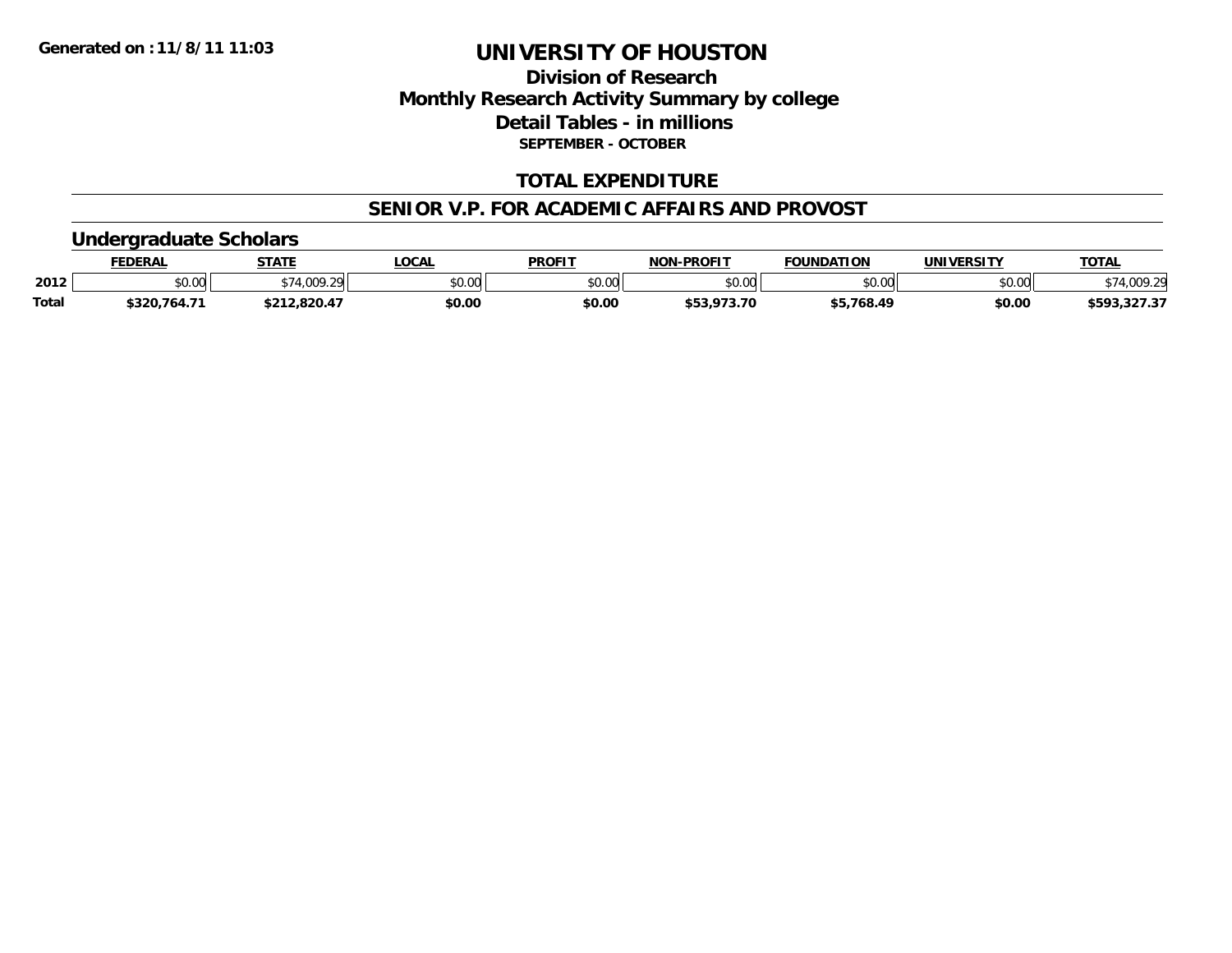### **Division of ResearchMonthly Research Activity Summary by college Detail Tables - in millions SEPTEMBER - OCTOBER**

#### **TOTAL EXPENDITURE**

#### **SENIOR V.P. FOR ACADEMIC AFFAIRS AND PROVOST**

#### **Undergraduate Scholars**

|              | <b>FEDERAL</b> | <b>STATE</b> | <b>LOCAL</b> | <b>PROFIT</b>  | <b>NON</b><br><b>N-PROFIT</b> | <b>FOUNDATION</b> | <b>UNIVERSITY</b> | <b>TOTAL</b> |
|--------------|----------------|--------------|--------------|----------------|-------------------------------|-------------------|-------------------|--------------|
| 2012         | \$0.00         | \$74,009.29  | \$0.00       | 40.00<br>JU.UU | \$0.00                        | \$0.00            | \$0.00            | \$74,009.29  |
| <b>Total</b> | \$320,764.71   | \$212,820.47 | \$0.00       | \$0.00         | \$53,973.70                   | \$5,768.49        | \$0.00            | \$593,327.37 |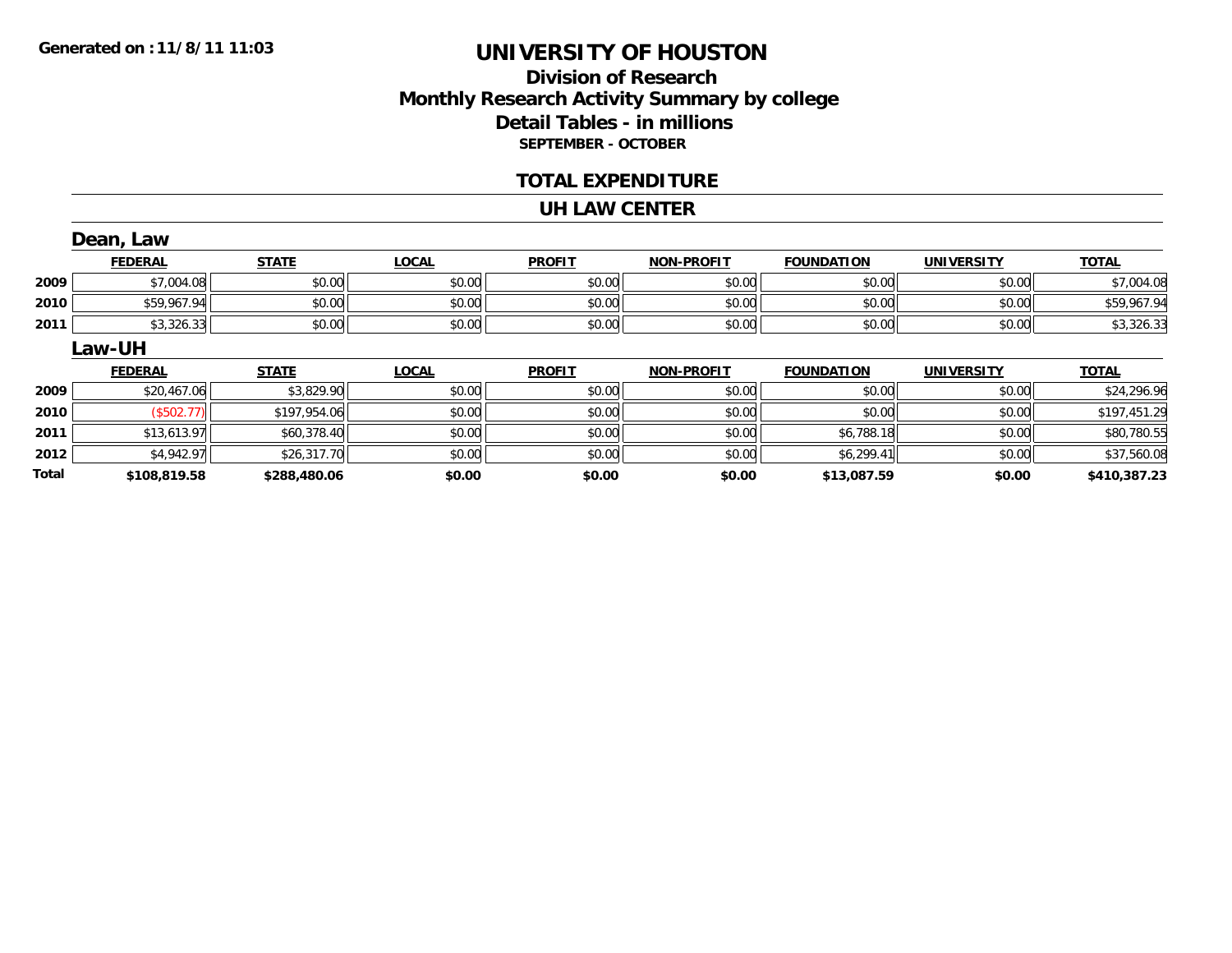### **Division of ResearchMonthly Research Activity Summary by college Detail Tables - in millions SEPTEMBER - OCTOBER**

#### **TOTAL EXPENDITURE**

#### **UH LAW CENTER**

|              | Dean, Law      |              |              |               |                   |                   |                   |              |
|--------------|----------------|--------------|--------------|---------------|-------------------|-------------------|-------------------|--------------|
|              | <b>FEDERAL</b> | <b>STATE</b> | <b>LOCAL</b> | <b>PROFIT</b> | <b>NON-PROFIT</b> | <b>FOUNDATION</b> | <b>UNIVERSITY</b> | <b>TOTAL</b> |
| 2009         | \$7,004.08     | \$0.00       | \$0.00       | \$0.00        | \$0.00            | \$0.00            | \$0.00            | \$7,004.08   |
| 2010         | \$59,967.94    | \$0.00       | \$0.00       | \$0.00        | \$0.00            | \$0.00            | \$0.00            | \$59,967.94  |
| 2011         | \$3,326.33     | \$0.00       | \$0.00       | \$0.00        | \$0.00            | \$0.00            | \$0.00            | \$3,326.33   |
|              | Law-UH         |              |              |               |                   |                   |                   |              |
|              | <b>FEDERAL</b> | <b>STATE</b> | <b>LOCAL</b> | <b>PROFIT</b> | <b>NON-PROFIT</b> | <b>FOUNDATION</b> | <b>UNIVERSITY</b> | <b>TOTAL</b> |
| 2009         | \$20,467.06    | \$3,829.90   | \$0.00       | \$0.00        | \$0.00            | \$0.00            | \$0.00            | \$24,296.96  |
| 2010         | (\$502.77)     | \$197,954.06 | \$0.00       | \$0.00        | \$0.00            | \$0.00            | \$0.00            | \$197,451.29 |
| 2011         | \$13,613.97    | \$60,378.40  | \$0.00       | \$0.00        | \$0.00            | \$6,788.18        | \$0.00            | \$80,780.55  |
| 2012         | \$4,942.97     | \$26,317.70  | \$0.00       | \$0.00        | \$0.00            | \$6,299.41        | \$0.00            | \$37,560.08  |
| <b>Total</b> | \$108,819.58   | \$288,480.06 | \$0.00       | \$0.00        | \$0.00            | \$13,087.59       | \$0.00            | \$410,387.23 |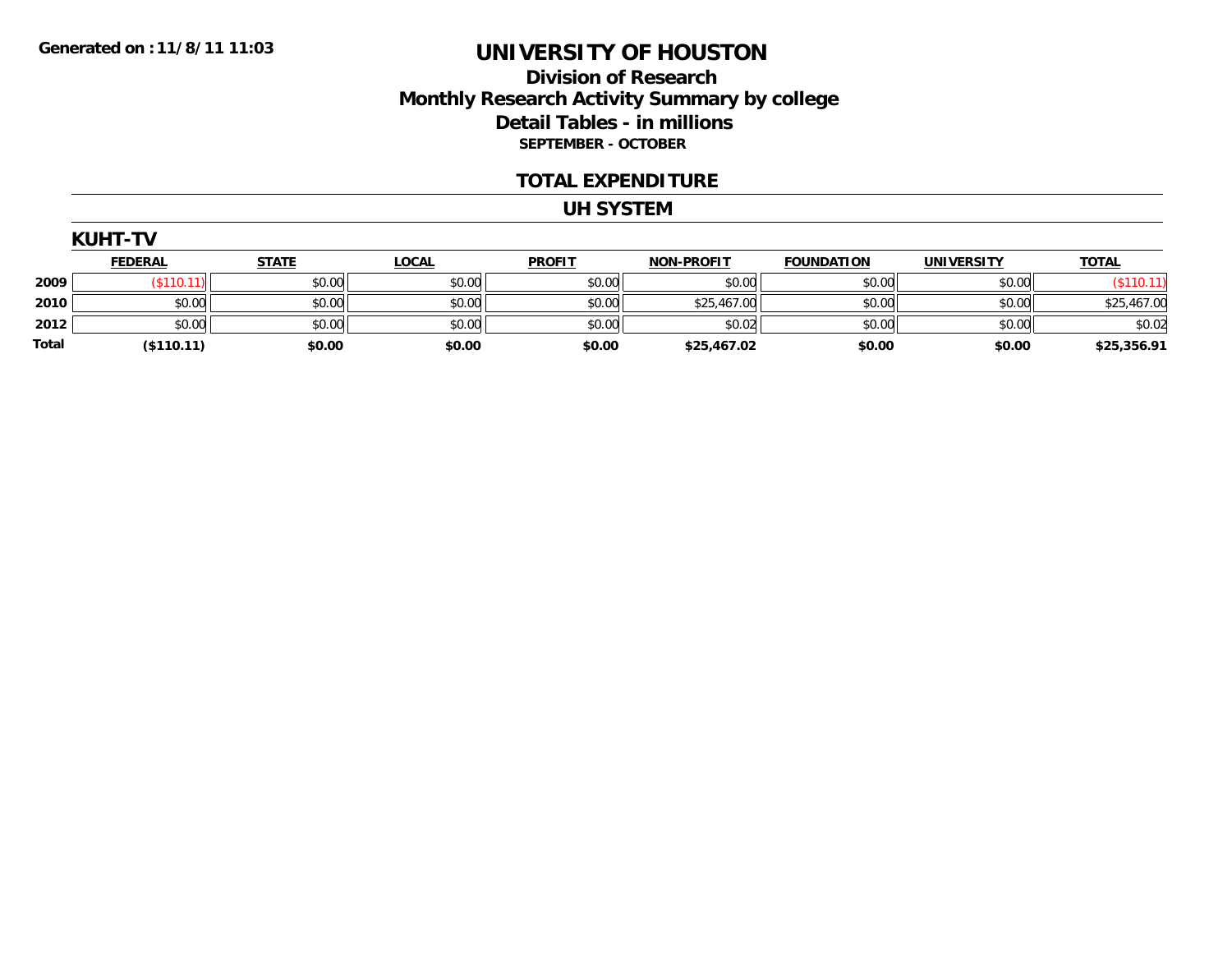#### **Division of Research Monthly Research Activity Summary by college Detail Tables - in millions SEPTEMBER - OCTOBER**

#### **TOTAL EXPENDITURE**

#### **UH SYSTEM**

| KUH1 |  |
|------|--|
|      |  |

|       | <b>FEDERAL</b> | <b>STATE</b> | <b>LOCAL</b> | <b>PROFIT</b> | <b>NON-PROFIT</b> | <b>FOUNDATION</b> | <b>UNIVERSITY</b> | <b>TOTAL</b> |
|-------|----------------|--------------|--------------|---------------|-------------------|-------------------|-------------------|--------------|
| 2009  | 10.400         | \$0.00       | \$0.00       | \$0.00        | \$0.00            | \$0.00            | \$0.00            |              |
| 2010  | \$0.00         | \$0.00       | \$0.00       | \$0.00        | \$25,467.00       | \$0.00            | \$0.00            | \$25,467.00  |
| 2012  | \$0.00         | \$0.00       | \$0.00       | \$0.00        | \$0.02            | \$0.00            | \$0.00            | \$0.02       |
| Total | ( \$110.11)    | \$0.00       | \$0.00       | \$0.00        | \$25,467.02       | \$0.00            | \$0.00            | \$25,356.91  |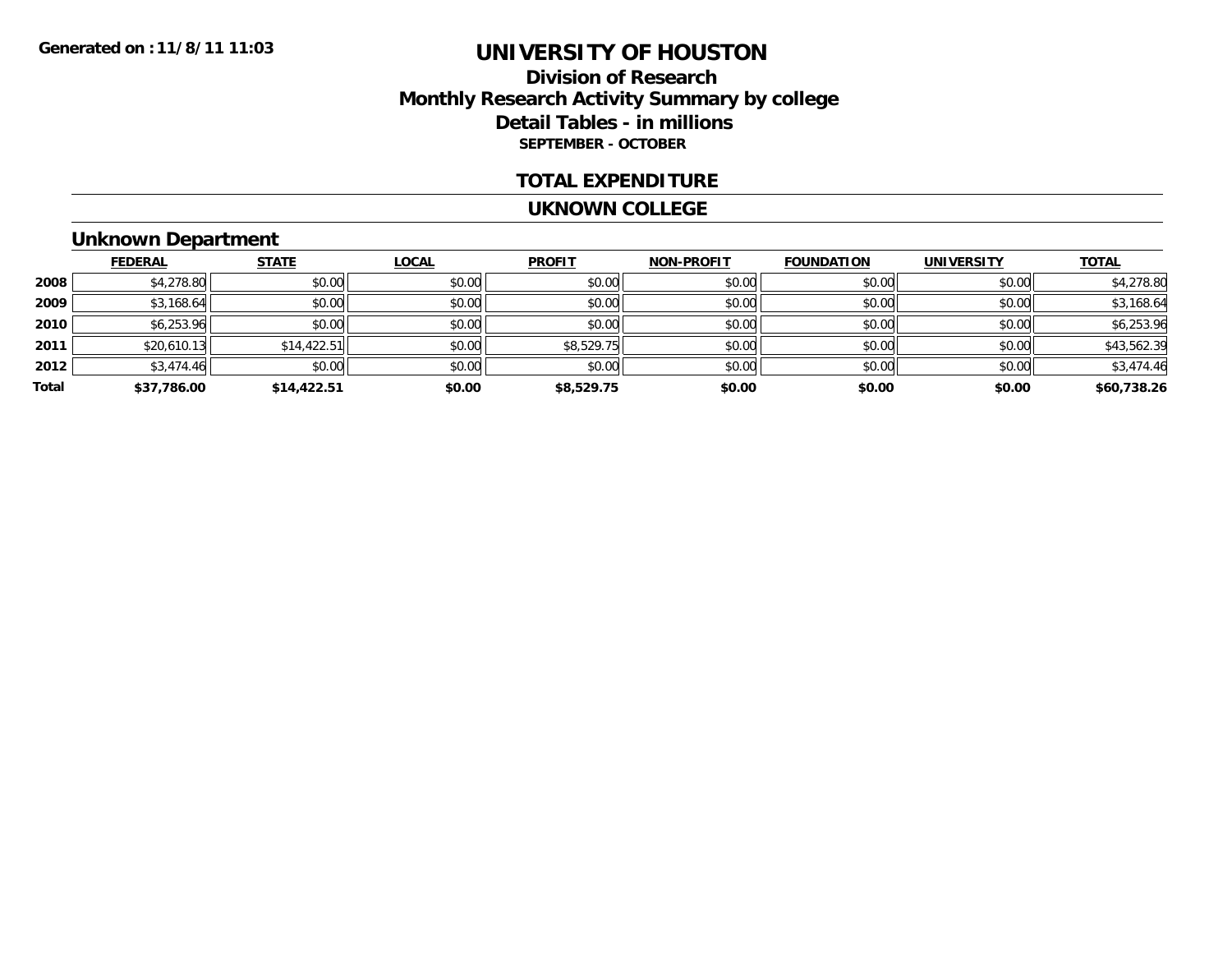### **Division of ResearchMonthly Research Activity Summary by college Detail Tables - in millions SEPTEMBER - OCTOBER**

#### **TOTAL EXPENDITURE**

#### **UKNOWN COLLEGE**

### **Unknown Department**

|       | <b>FEDERAL</b> | <b>STATE</b> | <b>LOCAL</b> | <b>PROFIT</b> | <b>NON-PROFIT</b> | <b>FOUNDATION</b> | <b>UNIVERSITY</b> | <b>TOTAL</b> |
|-------|----------------|--------------|--------------|---------------|-------------------|-------------------|-------------------|--------------|
| 2008  | \$4,278.80     | \$0.00       | \$0.00       | \$0.00        | \$0.00            | \$0.00            | \$0.00            | \$4,278.80   |
| 2009  | \$3,168.64     | \$0.00       | \$0.00       | \$0.00        | \$0.00            | \$0.00            | \$0.00            | \$3,168.64   |
| 2010  | \$6,253.96     | \$0.00       | \$0.00       | \$0.00        | \$0.00            | \$0.00            | \$0.00            | \$6,253.96   |
| 2011  | \$20,610.13    | \$14,422.51  | \$0.00       | \$8,529.75    | \$0.00            | \$0.00            | \$0.00            | \$43,562.39  |
| 2012  | \$3,474.46     | \$0.00       | \$0.00       | \$0.00        | \$0.00            | \$0.00            | \$0.00            | \$3,474.46   |
| Total | \$37,786.00    | \$14,422.51  | \$0.00       | \$8,529.75    | \$0.00            | \$0.00            | \$0.00            | \$60,738.26  |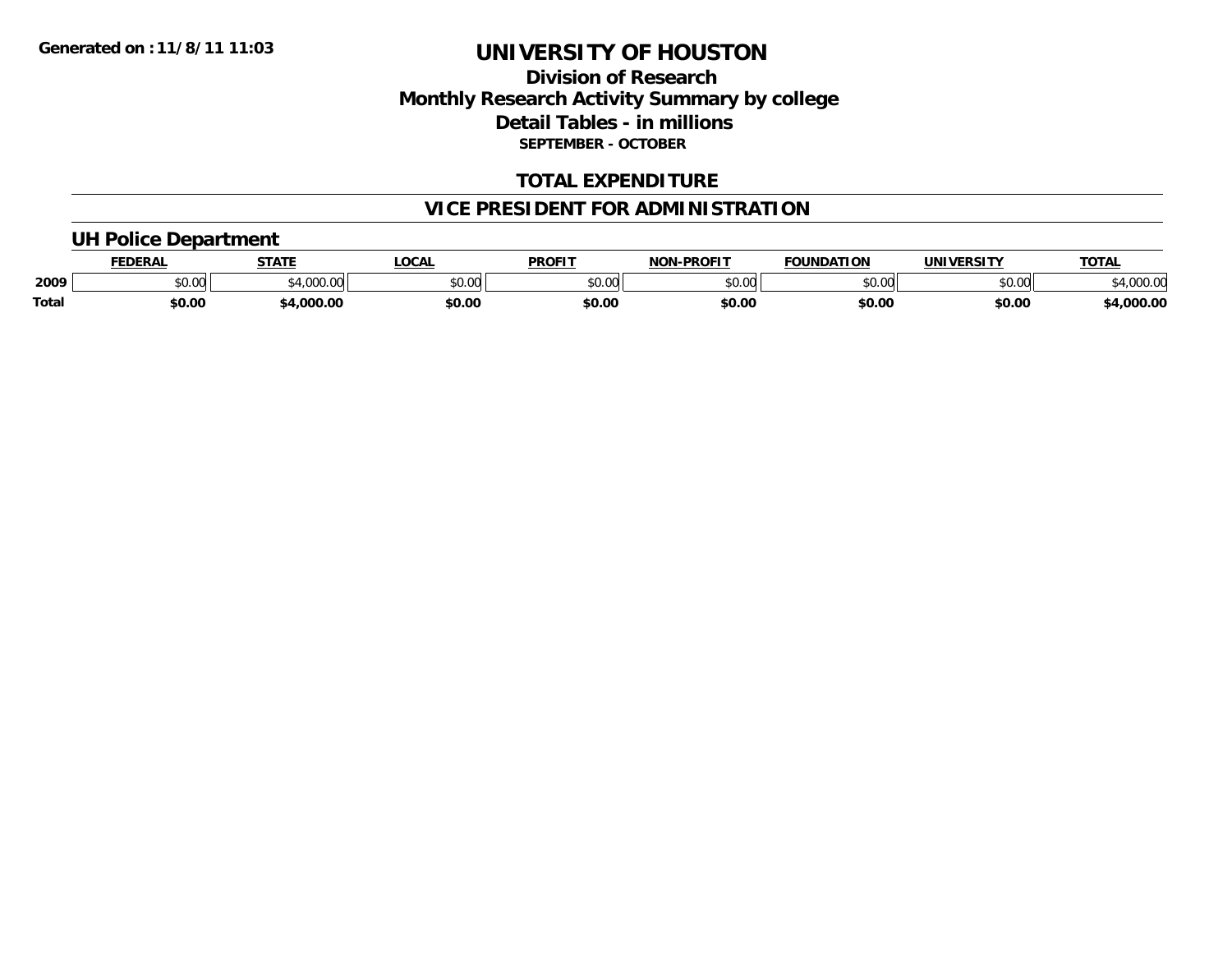### **Division of ResearchMonthly Research Activity Summary by college Detail Tables - in millions SEPTEMBER - OCTOBER**

### **TOTAL EXPENDITURE**

### **VICE PRESIDENT FOR ADMINISTRATION**

### **UH Police Department**

|              | EENEDA<br>- 71 N.Y | <b>STATE</b> | <b>LOCAL</b>            | PROFIT        | $-DD$ $CTT$<br><b>NON</b>                                  | <b>FOUNDATION</b> | <b>UNIVERSITY</b> | <b>TOTAL</b>   |
|--------------|--------------------|--------------|-------------------------|---------------|------------------------------------------------------------|-------------------|-------------------|----------------|
| 2009         | JU.UU              | 0000         | 0 <sub>n</sub><br>PU.UU | 0.00<br>טט.טע | $\mathfrak{g} \cap \mathfrak{g} \cap \mathfrak{g}$<br>ט.טע | $\epsilon$ 0.00   | 0000<br>⊸∪.∪∪     | 00000<br>www.w |
| <b>Total</b> | \$0.00             | .000.00      | \$0.00                  | \$0.00        | \$0.00                                                     | \$0.00            | \$0.00            | $+000.00$      |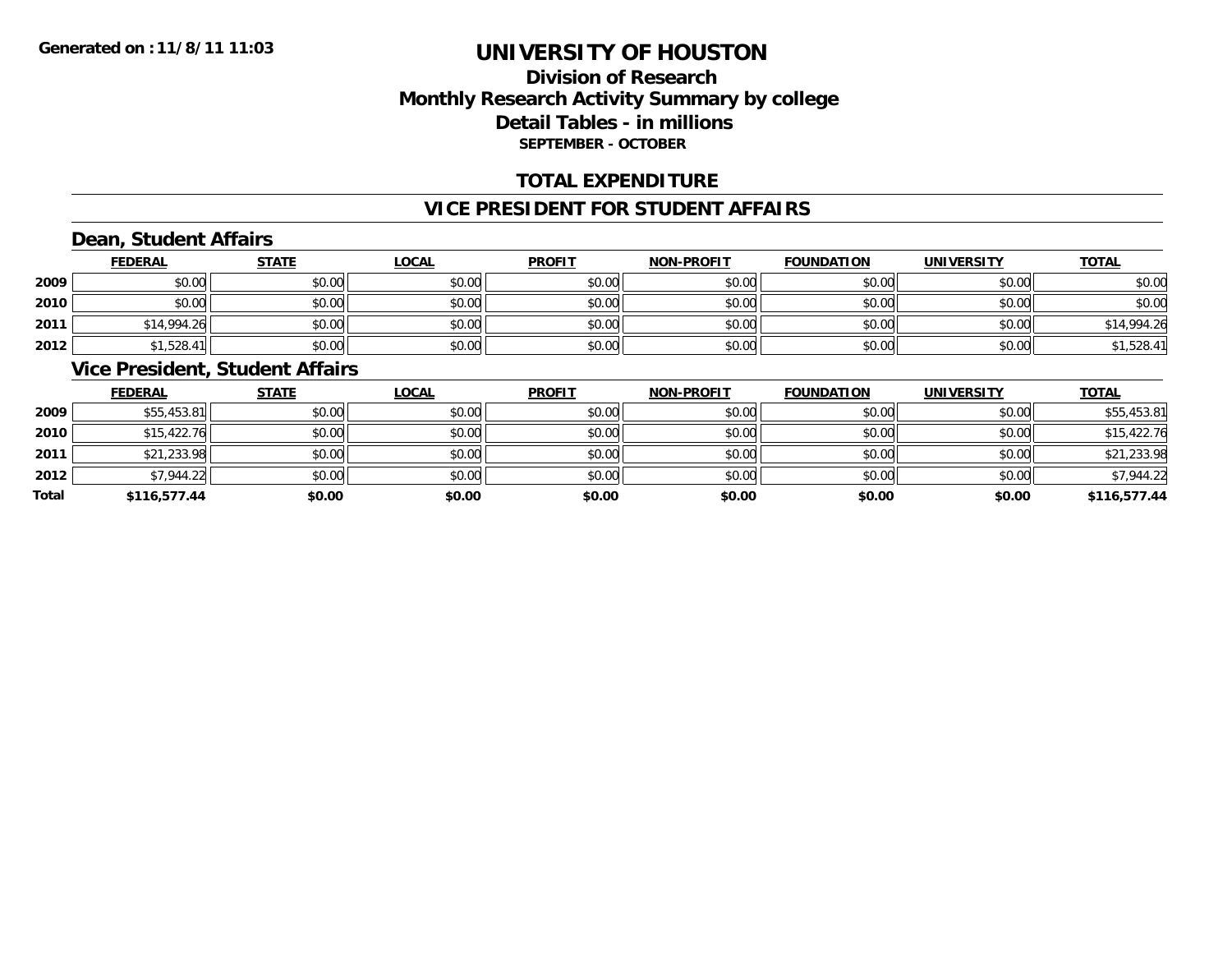### **Division of ResearchMonthly Research Activity Summary by college Detail Tables - in millions SEPTEMBER - OCTOBER**

#### **TOTAL EXPENDITURE**

#### **VICE PRESIDENT FOR STUDENT AFFAIRS**

### **Dean, Student Affairs**

|      | <b>FEDERAL</b> | <b>STATE</b> | <u>LOCAL</u> | <b>PROFIT</b> | <b>NON-PROFIT</b> | <b>FOUNDATION</b> | <b>UNIVERSITY</b> | <b>TOTAL</b> |
|------|----------------|--------------|--------------|---------------|-------------------|-------------------|-------------------|--------------|
| 2009 | \$0.00         | \$0.00       | \$0.00       | \$0.00        | \$0.00            | \$0.00            | \$0.00            | \$0.00       |
| 2010 | \$0.00         | \$0.00       | \$0.00       | \$0.00        | \$0.00            | \$0.00            | \$0.00            | \$0.00       |
| 2011 | \$14,994.26    | \$0.00       | \$0.00       | \$0.00        | \$0.00            | \$0.00            | \$0.00            | \$14,994.26  |
| 2012 | \$1,528.41     | \$0.00       | \$0.00       | \$0.00        | \$0.00            | \$0.00            | \$0.00            | \$1,528.41   |

#### **Vice President, Student Affairs**

|       | <b>FEDERAL</b> | <b>STATE</b> | <b>LOCAL</b> | <b>PROFIT</b> | <b>NON-PROFIT</b> | <b>FOUNDATION</b> | <b>UNIVERSITY</b> | <b>TOTAL</b> |
|-------|----------------|--------------|--------------|---------------|-------------------|-------------------|-------------------|--------------|
| 2009  | \$55,453.81    | \$0.00       | \$0.00       | \$0.00        | \$0.00            | \$0.00            | \$0.00            | \$55,453.81  |
| 2010  | \$15,422.76    | \$0.00       | \$0.00       | \$0.00        | \$0.00            | \$0.00            | \$0.00            | \$15,422.76  |
| 2011  | \$21,233.98    | \$0.00       | \$0.00       | \$0.00        | \$0.00            | \$0.00            | \$0.00            | \$21,233.98  |
| 2012  | \$7,944.22     | \$0.00       | \$0.00       | \$0.00        | \$0.00            | \$0.00            | \$0.00            | \$7,944.22   |
| Total | \$116,577.44   | \$0.00       | \$0.00       | \$0.00        | \$0.00            | \$0.00            | \$0.00            | \$116,577.44 |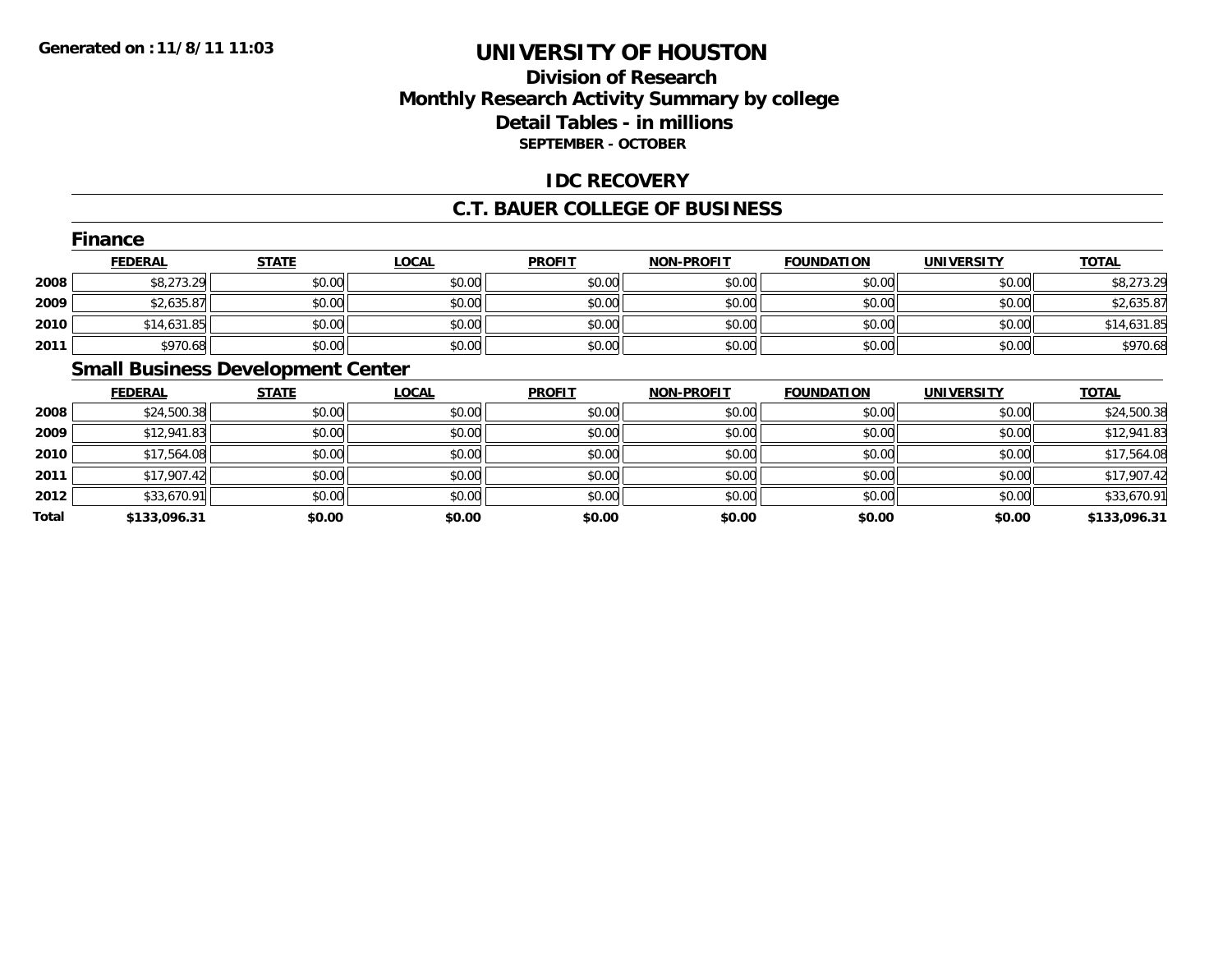### **Division of ResearchMonthly Research Activity Summary by college Detail Tables - in millions SEPTEMBER - OCTOBER**

### **IDC RECOVERY**

#### **C.T. BAUER COLLEGE OF BUSINESS**

|      | Finance        |              |              |               |                   |                   |                   |              |
|------|----------------|--------------|--------------|---------------|-------------------|-------------------|-------------------|--------------|
|      | <b>FEDERAL</b> | <b>STATE</b> | <b>LOCAL</b> | <b>PROFIT</b> | <b>NON-PROFIT</b> | <b>FOUNDATION</b> | <b>UNIVERSITY</b> | <b>TOTAL</b> |
| 2008 | \$8,273.29     | \$0.00       | \$0.00       | \$0.00        | \$0.00            | \$0.00            | \$0.00            | \$8,273.29   |
| 2009 | \$2,635.87     | \$0.00       | \$0.00       | \$0.00        | \$0.00            | \$0.00            | \$0.00            | \$2,635.87   |
| 2010 | \$14,631.85    | \$0.00       | \$0.00       | \$0.00        | \$0.00            | \$0.00            | \$0.00            | \$14,631.85  |
| 2011 | \$970.68       | \$0.00       | \$0.00       | \$0.00        | \$0.00            | \$0.00            | \$0.00            | \$970.68     |

### **Small Business Development Center**

|       | <b>FEDERAL</b> | <b>STATE</b> | <b>LOCAL</b> | <b>PROFIT</b> | <b>NON-PROFIT</b> | <b>FOUNDATION</b> | <b>UNIVERSITY</b> | <b>TOTAL</b> |
|-------|----------------|--------------|--------------|---------------|-------------------|-------------------|-------------------|--------------|
| 2008  | \$24,500.38    | \$0.00       | \$0.00       | \$0.00        | \$0.00            | \$0.00            | \$0.00            | \$24,500.38  |
| 2009  | \$12,941.83    | \$0.00       | \$0.00       | \$0.00        | \$0.00            | \$0.00            | \$0.00            | \$12,941.83  |
| 2010  | \$17,564.08    | \$0.00       | \$0.00       | \$0.00        | \$0.00            | \$0.00            | \$0.00            | \$17,564.08  |
| 2011  | \$17,907.42    | \$0.00       | \$0.00       | \$0.00        | \$0.00            | \$0.00            | \$0.00            | \$17,907.42  |
| 2012  | \$33,670.91    | \$0.00       | \$0.00       | \$0.00        | \$0.00            | \$0.00            | \$0.00            | \$33,670.91  |
| Total | \$133,096.31   | \$0.00       | \$0.00       | \$0.00        | \$0.00            | \$0.00            | \$0.00            | \$133,096.31 |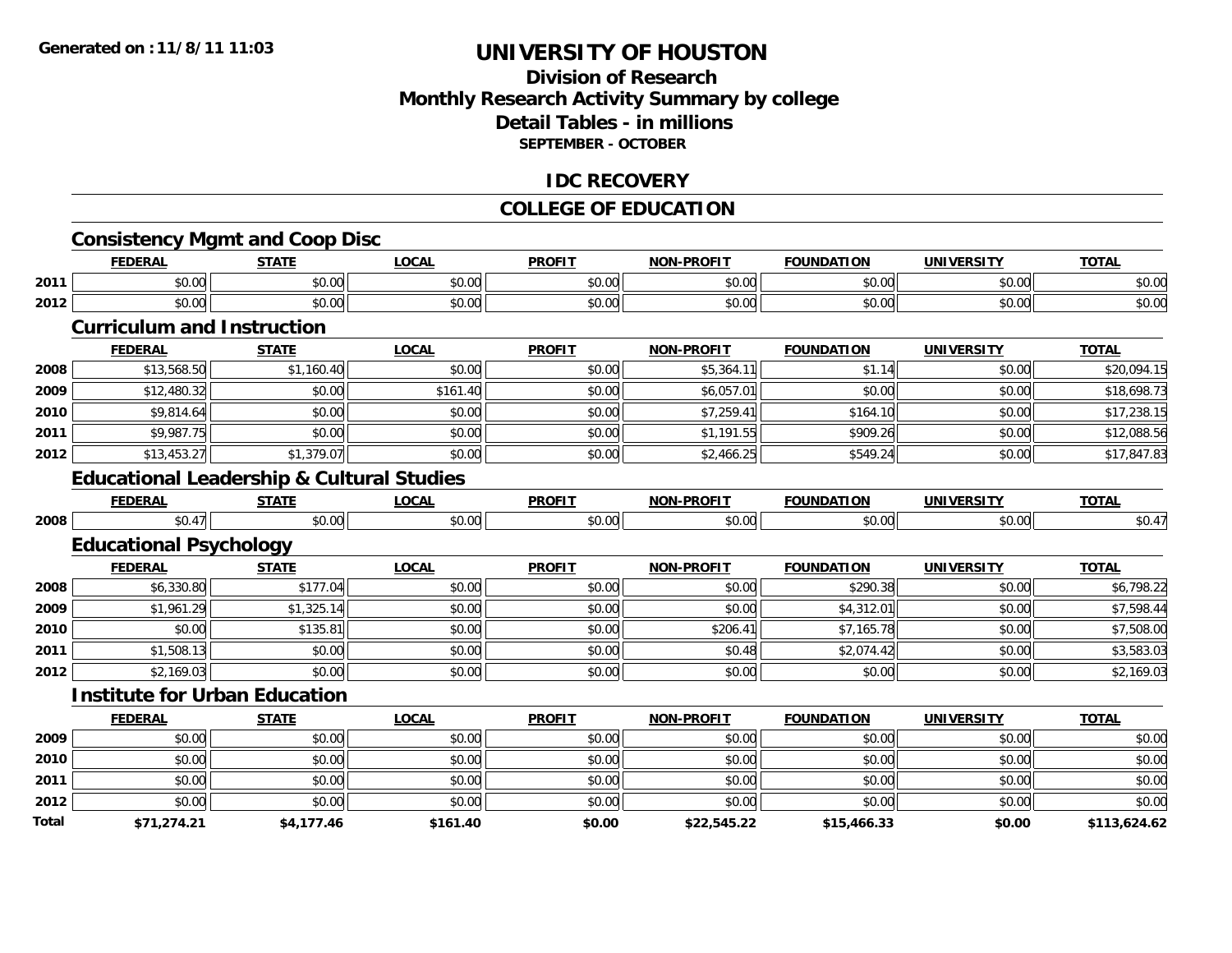### **Division of ResearchMonthly Research Activity Summary by college Detail Tables - in millions SEPTEMBER - OCTOBER**

#### **IDC RECOVERY**

#### **COLLEGE OF EDUCATION**

|              | <b>Consistency Mgmt and Coop Disc</b><br><b>FEDERAL</b> | <b>STATE</b> | <b>LOCAL</b> | <b>PROFIT</b> | <b>NON-PROFIT</b> | <b>FOUNDATION</b> | <b>UNIVERSITY</b> | <b>TOTAL</b> |
|--------------|---------------------------------------------------------|--------------|--------------|---------------|-------------------|-------------------|-------------------|--------------|
| 2011         | \$0.00                                                  | \$0.00       | \$0.00       | \$0.00        | \$0.00            | \$0.00            | \$0.00            | \$0.00       |
| 2012         | \$0.00                                                  | \$0.00       | \$0.00       | \$0.00        | \$0.00            | \$0.00            | \$0.00            | \$0.00       |
|              | <b>Curriculum and Instruction</b>                       |              |              |               |                   |                   |                   |              |
|              | <b>FEDERAL</b>                                          | <b>STATE</b> | <b>LOCAL</b> | <b>PROFIT</b> | <b>NON-PROFIT</b> | <b>FOUNDATION</b> | <b>UNIVERSITY</b> | <b>TOTAL</b> |
| 2008         | \$13,568.50                                             | \$1,160.40   | \$0.00       | \$0.00        | \$5,364.11        | \$1.14            | \$0.00            | \$20,094.15  |
| 2009         | \$12,480.32                                             | \$0.00       | \$161.40     | \$0.00        | \$6,057.01        | \$0.00            | \$0.00            | \$18,698.73  |
| 2010         | \$9,814.64                                              | \$0.00       | \$0.00       | \$0.00        | \$7,259.41        | \$164.10          | \$0.00            | \$17,238.15  |
| 2011         | \$9,987.75                                              | \$0.00       | \$0.00       | \$0.00        | \$1,191.55        | \$909.26          | \$0.00            | \$12,088.56  |
| 2012         | \$13,453.27                                             | \$1,379.07   | \$0.00       | \$0.00        | \$2,466.25        | \$549.24          | \$0.00            | \$17,847.83  |
|              | <b>Educational Leadership &amp; Cultural Studies</b>    |              |              |               |                   |                   |                   |              |
|              | <b>FEDERAL</b>                                          | <b>STATE</b> | <b>LOCAL</b> | <b>PROFIT</b> | <b>NON-PROFIT</b> | <b>FOUNDATION</b> | <b>UNIVERSITY</b> | <b>TOTAL</b> |
| 2008         | \$0.47                                                  | \$0.00       | \$0.00       | \$0.00        | \$0.00            | \$0.00            | \$0.00            | \$0.47       |
|              | <b>Educational Psychology</b>                           |              |              |               |                   |                   |                   |              |
|              | <b>FEDERAL</b>                                          | <b>STATE</b> | <b>LOCAL</b> | <b>PROFIT</b> | <b>NON-PROFIT</b> | <b>FOUNDATION</b> | <b>UNIVERSITY</b> | <b>TOTAL</b> |
| 2008         | \$6,330.80                                              | \$177.04     | \$0.00       | \$0.00        | \$0.00            | \$290.38          | \$0.00            | \$6,798.22   |
| 2009         | \$1,961.29                                              | \$1,325.14   | \$0.00       | \$0.00        | \$0.00            | \$4,312.01        | \$0.00            | \$7,598.44   |
| 2010         | \$0.00                                                  | \$135.81     | \$0.00       | \$0.00        | \$206.41          | \$7,165.78        | \$0.00            | \$7,508.00   |
| 2011         | \$1,508.13                                              | \$0.00       | \$0.00       | \$0.00        | \$0.48            | \$2,074.42        | \$0.00            | \$3,583.03   |
| 2012         | \$2,169.03                                              | \$0.00       | \$0.00       | \$0.00        | \$0.00            | \$0.00            | \$0.00            | \$2,169.03   |
|              | <b>Institute for Urban Education</b>                    |              |              |               |                   |                   |                   |              |
|              | <b>FEDERAL</b>                                          | <b>STATE</b> | <b>LOCAL</b> | <b>PROFIT</b> | <b>NON-PROFIT</b> | <b>FOUNDATION</b> | <b>UNIVERSITY</b> | <b>TOTAL</b> |
| 2009         | \$0.00                                                  | \$0.00       | \$0.00       | \$0.00        | \$0.00            | \$0.00            | \$0.00            | \$0.00       |
| 2010         | \$0.00                                                  | \$0.00       | \$0.00       | \$0.00        | \$0.00            | \$0.00            | \$0.00            | \$0.00       |
| 2011         | \$0.00                                                  | \$0.00       | \$0.00       | \$0.00        | \$0.00            | \$0.00            | \$0.00            | \$0.00       |
| 2012         | \$0.00                                                  | \$0.00       | \$0.00       | \$0.00        | \$0.00            | \$0.00            | \$0.00            | \$0.00       |
| <b>Total</b> | \$71.274.21                                             | \$4.177.46   | \$161.40     | \$0.00        | \$22,545.22       | \$15,466.33       | \$0.00            | \$113.624.62 |

**\$71,274.21 \$4,177.46 \$161.40 \$0.00 \$22,545.22 \$15,466.33 \$0.00 \$113,624.62**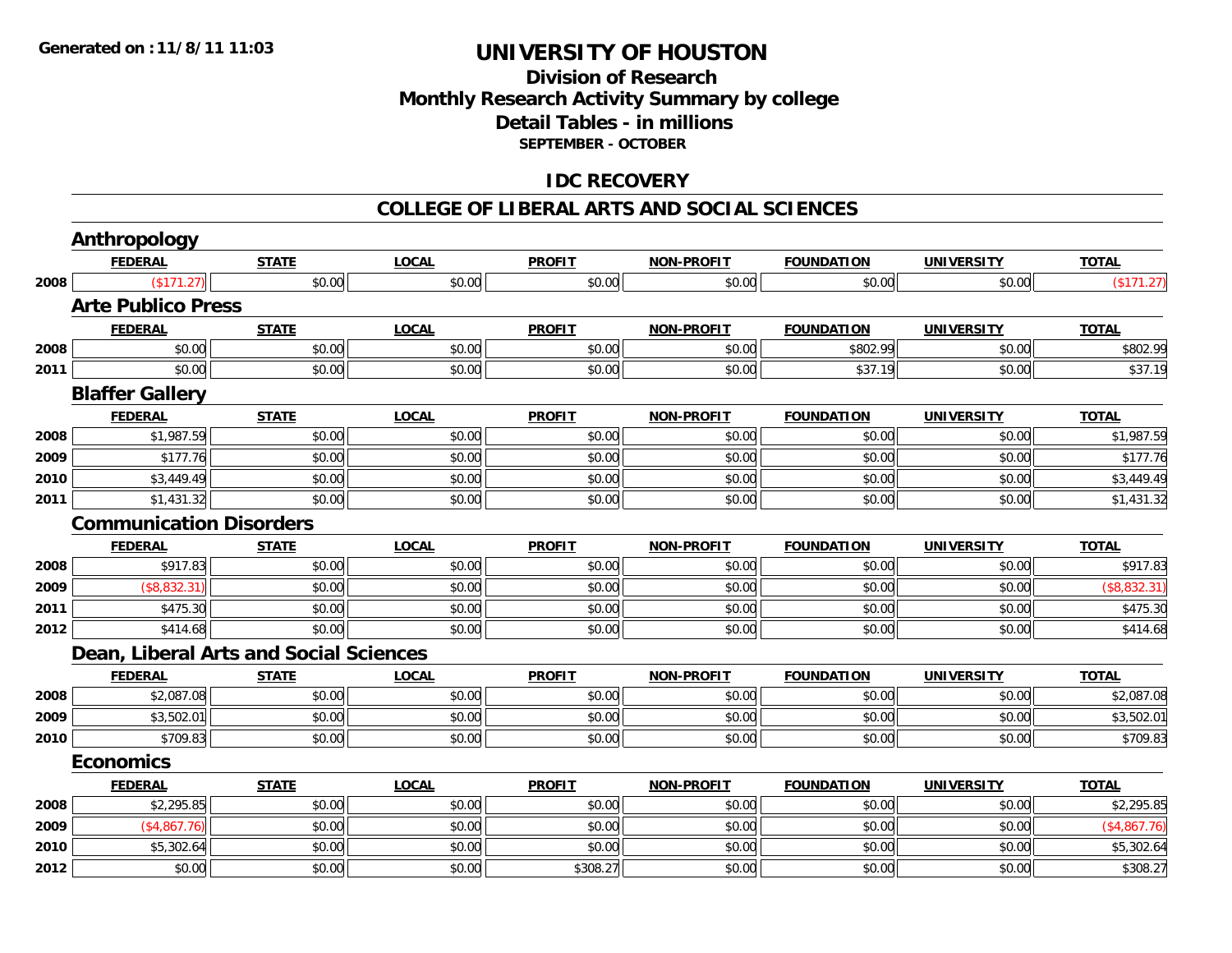### **Division of ResearchMonthly Research Activity Summary by college Detail Tables - in millions SEPTEMBER - OCTOBER**

### **IDC RECOVERY**

#### **COLLEGE OF LIBERAL ARTS AND SOCIAL SCIENCES**

|      | <b>Anthropology</b>                           |              |              |               |                   |                   |                   |              |
|------|-----------------------------------------------|--------------|--------------|---------------|-------------------|-------------------|-------------------|--------------|
|      | <b>FEDERAL</b>                                | <b>STATE</b> | <b>LOCAL</b> | <b>PROFIT</b> | <b>NON-PROFIT</b> | <b>FOUNDATION</b> | <b>UNIVERSITY</b> | <b>TOTAL</b> |
| 2008 | (\$171.27)                                    | \$0.00       | \$0.00       | \$0.00        | \$0.00            | \$0.00            | \$0.00            | (\$171.27)   |
|      | <b>Arte Publico Press</b>                     |              |              |               |                   |                   |                   |              |
|      | <b>FEDERAL</b>                                | <b>STATE</b> | <b>LOCAL</b> | <b>PROFIT</b> | <b>NON-PROFIT</b> | <b>FOUNDATION</b> | <b>UNIVERSITY</b> | <b>TOTAL</b> |
| 2008 | \$0.00                                        | \$0.00       | \$0.00       | \$0.00        | \$0.00            | \$802.99          | \$0.00            | \$802.99     |
| 2011 | \$0.00                                        | \$0.00       | \$0.00       | \$0.00        | \$0.00            | \$37.19           | \$0.00            | \$37.19      |
|      | <b>Blaffer Gallery</b>                        |              |              |               |                   |                   |                   |              |
|      | <b>FEDERAL</b>                                | <b>STATE</b> | <b>LOCAL</b> | <b>PROFIT</b> | <b>NON-PROFIT</b> | <b>FOUNDATION</b> | <b>UNIVERSITY</b> | <b>TOTAL</b> |
| 2008 | \$1,987.59                                    | \$0.00       | \$0.00       | \$0.00        | \$0.00            | \$0.00            | \$0.00            | \$1,987.59   |
| 2009 | \$177.76                                      | \$0.00       | \$0.00       | \$0.00        | \$0.00            | \$0.00            | \$0.00            | \$177.76     |
| 2010 | \$3,449.49                                    | \$0.00       | \$0.00       | \$0.00        | \$0.00            | \$0.00            | \$0.00            | \$3,449.49   |
| 2011 | \$1,431.32                                    | \$0.00       | \$0.00       | \$0.00        | \$0.00            | \$0.00            | \$0.00            | \$1,431.32   |
|      | <b>Communication Disorders</b>                |              |              |               |                   |                   |                   |              |
|      | <b>FEDERAL</b>                                | <b>STATE</b> | <b>LOCAL</b> | <b>PROFIT</b> | <b>NON-PROFIT</b> | <b>FOUNDATION</b> | <b>UNIVERSITY</b> | <b>TOTAL</b> |
| 2008 | \$917.83                                      | \$0.00       | \$0.00       | \$0.00        | \$0.00            | \$0.00            | \$0.00            | \$917.83     |
| 2009 | (\$8,832.31)                                  | \$0.00       | \$0.00       | \$0.00        | \$0.00            | \$0.00            | \$0.00            | (\$8,832.31) |
| 2011 | \$475.30                                      | \$0.00       | \$0.00       | \$0.00        | \$0.00            | \$0.00            | \$0.00            | \$475.30     |
| 2012 | \$414.68                                      | \$0.00       | \$0.00       | \$0.00        | \$0.00            | \$0.00            | \$0.00            | \$414.68     |
|      | <b>Dean, Liberal Arts and Social Sciences</b> |              |              |               |                   |                   |                   |              |
|      | <b>FEDERAL</b>                                | <b>STATE</b> | <b>LOCAL</b> | <b>PROFIT</b> | <b>NON-PROFIT</b> | <b>FOUNDATION</b> | <b>UNIVERSITY</b> | <b>TOTAL</b> |
| 2008 | \$2,087.08                                    | \$0.00       | \$0.00       | \$0.00        | \$0.00            | \$0.00            | \$0.00            | \$2,087.08   |
| 2009 | \$3,502.01                                    | \$0.00       | \$0.00       | \$0.00        | \$0.00            | \$0.00            | \$0.00            | \$3,502.01   |
| 2010 | \$709.83                                      | \$0.00       | \$0.00       | \$0.00        | \$0.00            | \$0.00            | \$0.00            | \$709.83     |
|      | <b>Economics</b>                              |              |              |               |                   |                   |                   |              |
|      | <b>FEDERAL</b>                                | <b>STATE</b> | <b>LOCAL</b> | <b>PROFIT</b> | <b>NON-PROFIT</b> | <b>FOUNDATION</b> | <b>UNIVERSITY</b> | <b>TOTAL</b> |
| 2008 | \$2,295.85                                    | \$0.00       | \$0.00       | \$0.00        | \$0.00            | \$0.00            | \$0.00            | \$2,295.85   |
| 2009 | (\$4,867.76)                                  | \$0.00       | \$0.00       | \$0.00        | \$0.00            | \$0.00            | \$0.00            | (\$4,867.76) |
| 2010 | \$5,302.64                                    | \$0.00       | \$0.00       | \$0.00        | \$0.00            | \$0.00            | \$0.00            | \$5,302.64   |
| 2012 | \$0.00                                        | \$0.00       | \$0.00       | \$308.27      | \$0.00            | \$0.00            | \$0.00            | \$308.27     |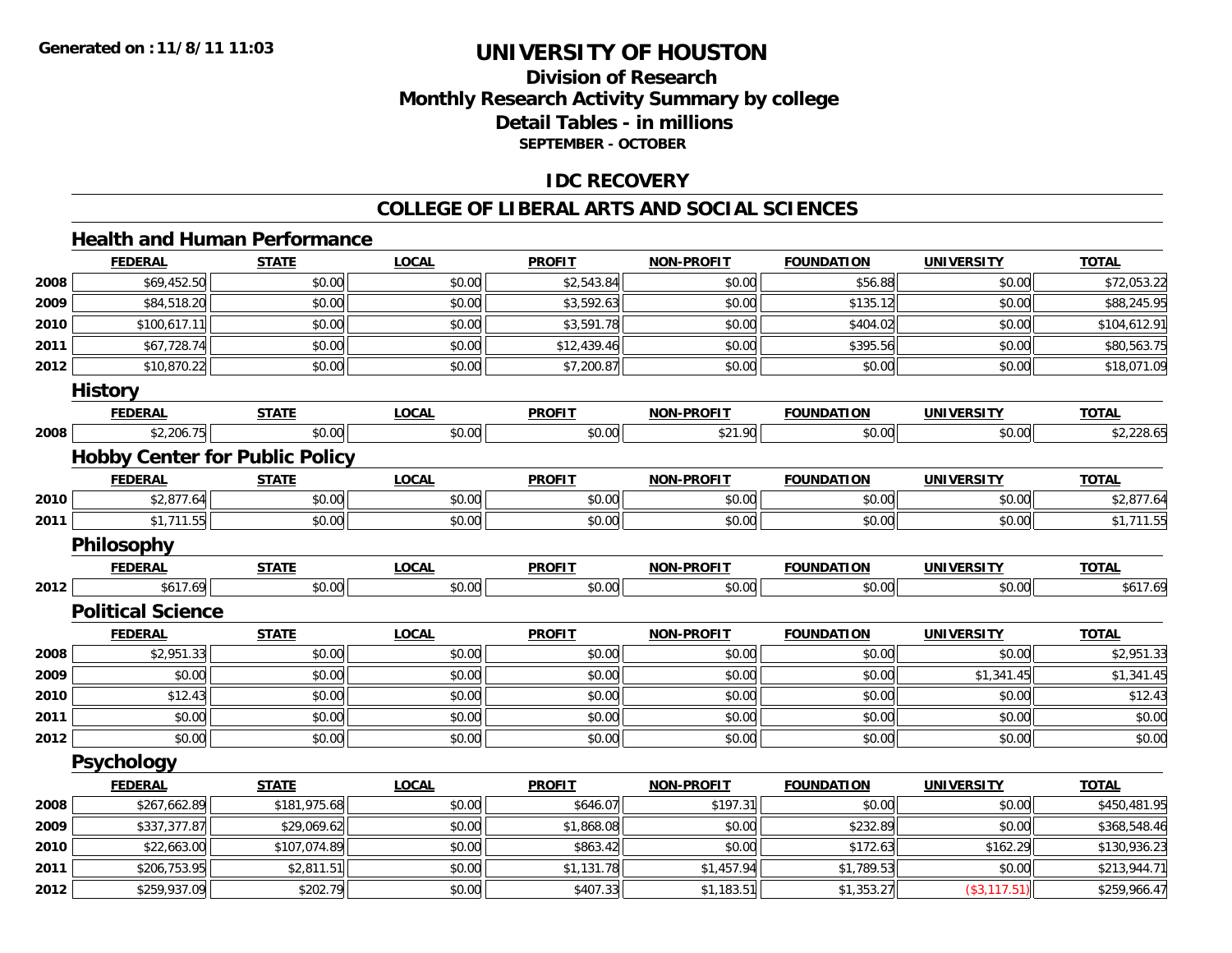### **Division of ResearchMonthly Research Activity Summary by college Detail Tables - in millions SEPTEMBER - OCTOBER**

### **IDC RECOVERY**

#### **COLLEGE OF LIBERAL ARTS AND SOCIAL SCIENCES**

### **Health and Human Performance**

|      | <b>FEDERAL</b>                        | <b>STATE</b> | <b>LOCAL</b> | <b>PROFIT</b> | <b>NON-PROFIT</b> | <b>FOUNDATION</b> | <b>UNIVERSITY</b> | <b>TOTAL</b> |
|------|---------------------------------------|--------------|--------------|---------------|-------------------|-------------------|-------------------|--------------|
| 2008 | \$69,452.50                           | \$0.00       | \$0.00       | \$2,543.84    | \$0.00            | \$56.88           | \$0.00            | \$72,053.22  |
| 2009 | \$84,518.20                           | \$0.00       | \$0.00       | \$3,592.63    | \$0.00            | \$135.12          | \$0.00            | \$88,245.95  |
| 2010 | \$100,617.11                          | \$0.00       | \$0.00       | \$3,591.78    | \$0.00            | \$404.02          | \$0.00            | \$104,612.91 |
| 2011 | \$67,728.74                           | \$0.00       | \$0.00       | \$12,439.46   | \$0.00            | \$395.56          | \$0.00            | \$80,563.75  |
| 2012 | \$10,870.22                           | \$0.00       | \$0.00       | \$7,200.87    | \$0.00            | \$0.00            | \$0.00            | \$18,071.09  |
|      | <b>History</b>                        |              |              |               |                   |                   |                   |              |
|      | <b>FEDERAL</b>                        | <b>STATE</b> | <b>LOCAL</b> | <b>PROFIT</b> | <b>NON-PROFIT</b> | <b>FOUNDATION</b> | <b>UNIVERSITY</b> | <b>TOTAL</b> |
| 2008 | \$2,206.75                            | \$0.00       | \$0.00       | \$0.00        | \$21.90           | \$0.00            | \$0.00            | \$2,228.65   |
|      | <b>Hobby Center for Public Policy</b> |              |              |               |                   |                   |                   |              |
|      | <b>FEDERAL</b>                        | <b>STATE</b> | <b>LOCAL</b> | <b>PROFIT</b> | <b>NON-PROFIT</b> | <b>FOUNDATION</b> | <b>UNIVERSITY</b> | <b>TOTAL</b> |
| 2010 | \$2,877.64                            | \$0.00       | \$0.00       | \$0.00        | \$0.00            | \$0.00            | \$0.00            | \$2,877.64   |
| 2011 | \$1,711.55                            | \$0.00       | \$0.00       | \$0.00        | \$0.00            | \$0.00            | \$0.00            | \$1,711.55   |
|      | <b>Philosophy</b>                     |              |              |               |                   |                   |                   |              |
|      | <b>FEDERAL</b>                        | <b>STATE</b> | <b>LOCAL</b> | <b>PROFIT</b> | <b>NON-PROFIT</b> | <b>FOUNDATION</b> | <b>UNIVERSITY</b> | <b>TOTAL</b> |
| 2012 | \$617.69                              | \$0.00       | \$0.00       | \$0.00        | \$0.00            | \$0.00            | \$0.00            | \$617.69     |
|      | <b>Political Science</b>              |              |              |               |                   |                   |                   |              |
|      | <b>FEDERAL</b>                        | <b>STATE</b> | <b>LOCAL</b> | <b>PROFIT</b> | <b>NON-PROFIT</b> | <b>FOUNDATION</b> | <b>UNIVERSITY</b> | <b>TOTAL</b> |
| 2008 | \$2,951.33                            | \$0.00       | \$0.00       | \$0.00        | \$0.00            | \$0.00            | \$0.00            | \$2,951.33   |
| 2009 | \$0.00                                | \$0.00       | \$0.00       | \$0.00        | \$0.00            | \$0.00            | \$1,341.45        | \$1,341.45   |
| 2010 | \$12.43                               | \$0.00       | \$0.00       | \$0.00        | \$0.00            | \$0.00            | \$0.00            | \$12.43      |
| 2011 | \$0.00                                | \$0.00       | \$0.00       | \$0.00        | \$0.00            | \$0.00            | \$0.00            | \$0.00       |
| 2012 | \$0.00                                | \$0.00       | \$0.00       | \$0.00        | \$0.00            | \$0.00            | \$0.00            | \$0.00       |
|      | <b>Psychology</b>                     |              |              |               |                   |                   |                   |              |
|      | <b>FEDERAL</b>                        | <b>STATE</b> | <b>LOCAL</b> | <b>PROFIT</b> | <b>NON-PROFIT</b> | <b>FOUNDATION</b> | <b>UNIVERSITY</b> | <b>TOTAL</b> |
| 2008 | \$267,662.89                          | \$181,975.68 | \$0.00       | \$646.07      | \$197.31          | \$0.00            | \$0.00            | \$450,481.95 |
| 2009 | \$337,377.87                          | \$29,069.62  | \$0.00       | \$1,868.08    | \$0.00            | \$232.89          | \$0.00            | \$368,548.46 |
| 2010 | \$22,663.00                           | \$107,074.89 | \$0.00       | \$863.42      | \$0.00            | \$172.63          | \$162.29          | \$130,936.23 |
| 2011 | \$206,753.95                          | \$2,811.51   | \$0.00       | \$1,131.78    | \$1,457.94        | \$1,789.53        | \$0.00            | \$213,944.71 |
| 2012 | \$259,937.09                          | \$202.79     | \$0.00       | \$407.33      | \$1,183.51        | \$1,353.27        | $(*3,117.51)$     | \$259,966.47 |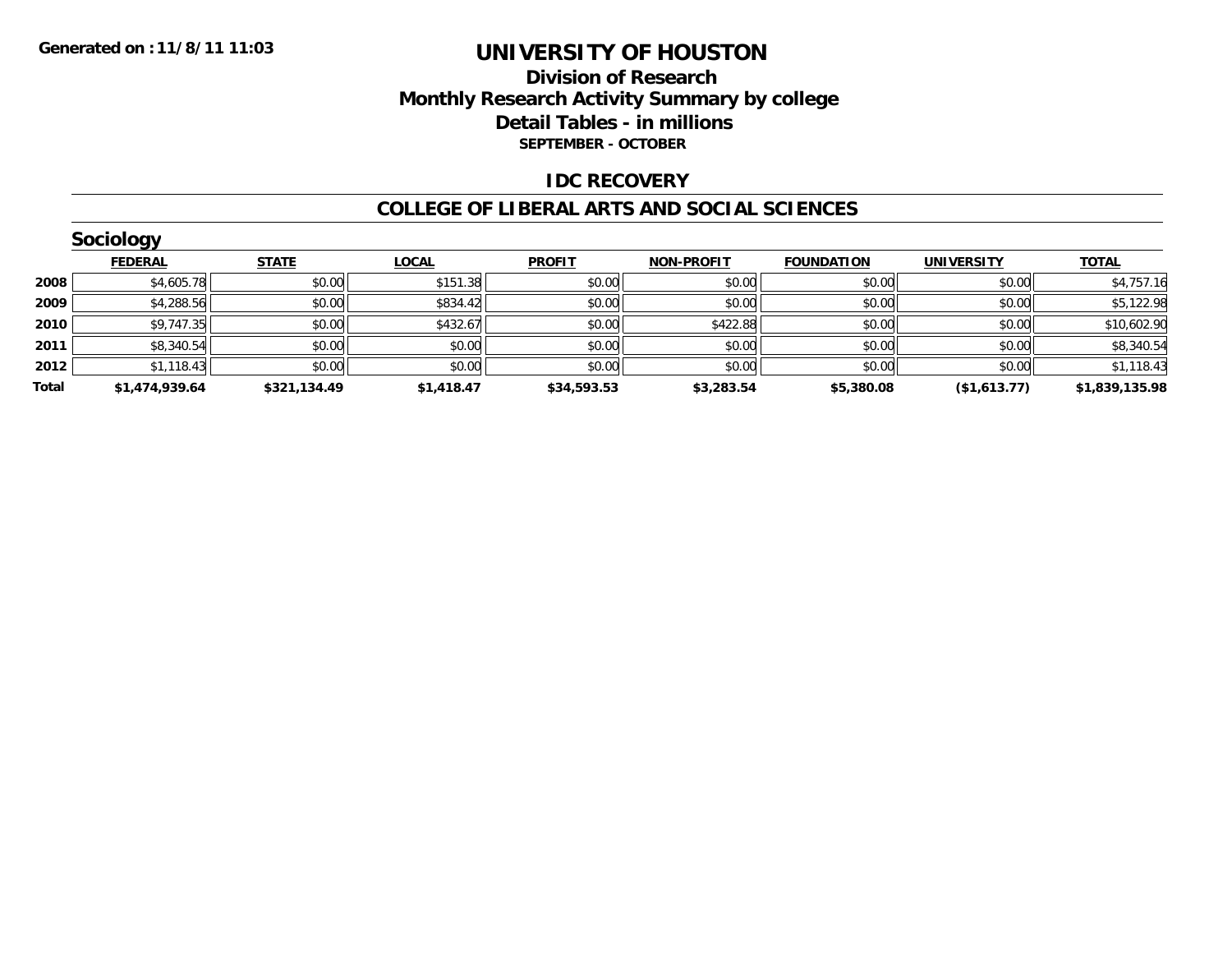### **Division of ResearchMonthly Research Activity Summary by college Detail Tables - in millions SEPTEMBER - OCTOBER**

### **IDC RECOVERY**

#### **COLLEGE OF LIBERAL ARTS AND SOCIAL SCIENCES**

|       | <b>Sociology</b> |              |              |               |                   |                   |                   |                |
|-------|------------------|--------------|--------------|---------------|-------------------|-------------------|-------------------|----------------|
|       | <b>FEDERAL</b>   | <b>STATE</b> | <b>LOCAL</b> | <b>PROFIT</b> | <b>NON-PROFIT</b> | <b>FOUNDATION</b> | <b>UNIVERSITY</b> | <b>TOTAL</b>   |
| 2008  | \$4,605.78       | \$0.00       | \$151.38     | \$0.00        | \$0.00            | \$0.00            | \$0.00            | \$4,757.16     |
| 2009  | \$4,288.56       | \$0.00       | \$834.42     | \$0.00        | \$0.00            | \$0.00            | \$0.00            | \$5,122.98     |
| 2010  | \$9,747.35       | \$0.00       | \$432.67     | \$0.00        | \$422.88          | \$0.00            | \$0.00            | \$10,602.90    |
| 2011  | \$8,340.54       | \$0.00       | \$0.00       | \$0.00        | \$0.00            | \$0.00            | \$0.00            | \$8,340.54     |
| 2012  | \$1,118.43       | \$0.00       | \$0.00       | \$0.00        | \$0.00            | \$0.00            | \$0.00            | \$1,118.43     |
| Total | \$1,474,939.64   | \$321,134.49 | \$1,418.47   | \$34,593.53   | \$3,283.54        | \$5,380.08        | ( \$1,613.77)     | \$1,839,135.98 |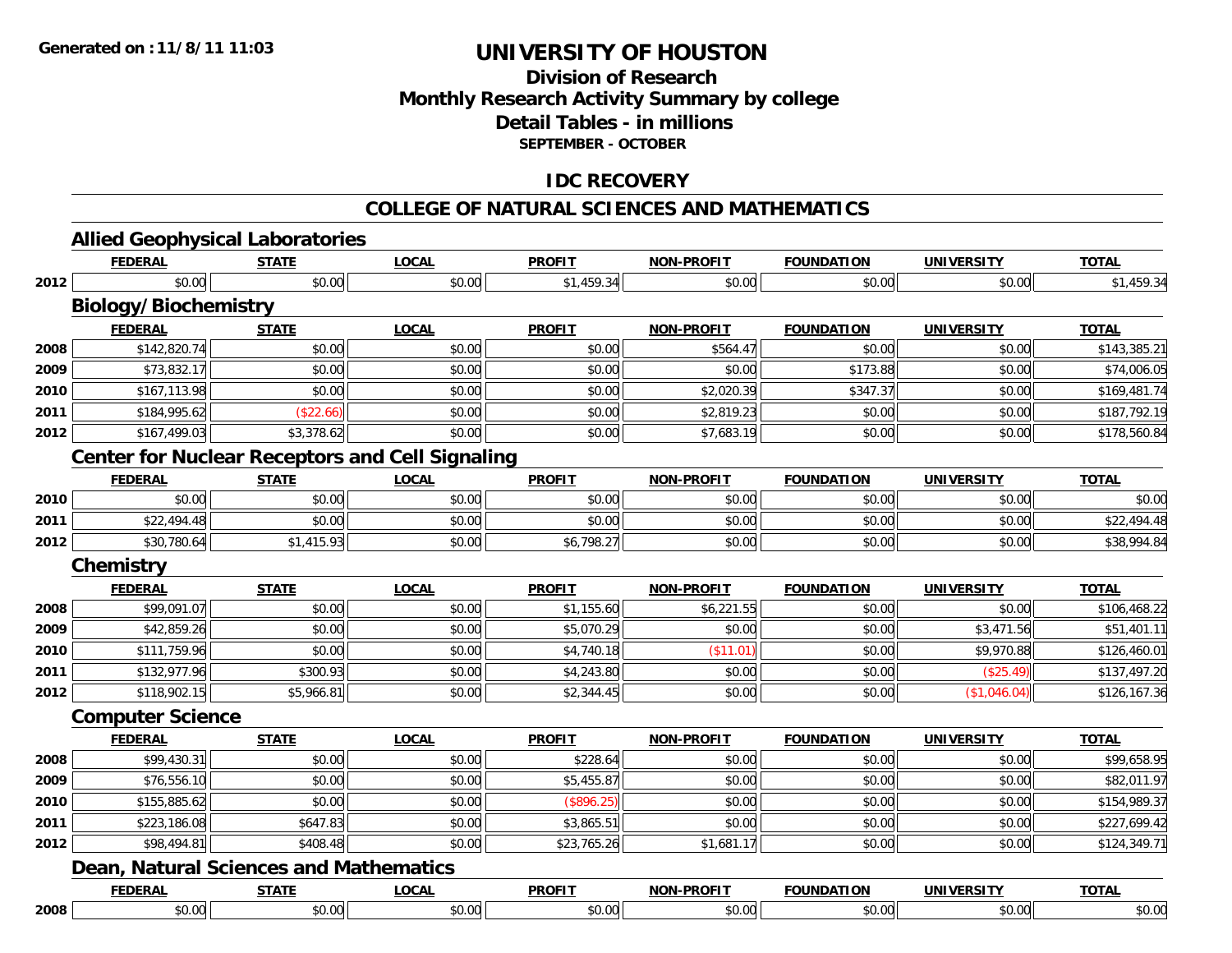### **Division of ResearchMonthly Research Activity Summary by college Detail Tables - in millions SEPTEMBER - OCTOBER**

### **IDC RECOVERY**

### **COLLEGE OF NATURAL SCIENCES AND MATHEMATICS**

|      | <b>FEDERAL</b>                                         | <b>STATE</b> | <b>LOCAL</b> | <b>PROFIT</b> | <b>NON-PROFIT</b> | <b>FOUNDATION</b> | <b>UNIVERSITY</b> | <b>TOTAL</b> |
|------|--------------------------------------------------------|--------------|--------------|---------------|-------------------|-------------------|-------------------|--------------|
| 2012 | \$0.00                                                 | \$0.00       | \$0.00       | \$1,459.34    | \$0.00            | \$0.00            | \$0.00            | \$1,459.34   |
|      | <b>Biology/Biochemistry</b>                            |              |              |               |                   |                   |                   |              |
|      | <b>FEDERAL</b>                                         | <b>STATE</b> | <b>LOCAL</b> | <b>PROFIT</b> | <b>NON-PROFIT</b> | <b>FOUNDATION</b> | <b>UNIVERSITY</b> | <b>TOTAL</b> |
| 2008 | \$142,820.74                                           | \$0.00       | \$0.00       | \$0.00        | \$564.47          | \$0.00            | \$0.00            | \$143,385.21 |
| 2009 | \$73,832.17                                            | \$0.00       | \$0.00       | \$0.00        | \$0.00            | \$173.88          | \$0.00            | \$74,006.05  |
| 2010 | \$167,113.98                                           | \$0.00       | \$0.00       | \$0.00        | \$2,020.39        | \$347.37          | \$0.00            | \$169,481.74 |
| 2011 | \$184,995.62                                           | (\$22.66)    | \$0.00       | \$0.00        | \$2,819.23        | \$0.00            | \$0.00            | \$187,792.19 |
| 2012 | \$167,499.03                                           | \$3,378.62   | \$0.00       | \$0.00        | \$7,683.19        | \$0.00            | \$0.00            | \$178,560.84 |
|      | <b>Center for Nuclear Receptors and Cell Signaling</b> |              |              |               |                   |                   |                   |              |
|      | <b>FEDERAL</b>                                         | <b>STATE</b> | <b>LOCAL</b> | <b>PROFIT</b> | <b>NON-PROFIT</b> | <b>FOUNDATION</b> | <b>UNIVERSITY</b> | <b>TOTAL</b> |
| 2010 | \$0.00                                                 | \$0.00       | \$0.00       | \$0.00        | \$0.00            | \$0.00            | \$0.00            | \$0.00       |
| 2011 | \$22,494.48                                            | \$0.00       | \$0.00       | \$0.00        | \$0.00            | \$0.00            | \$0.00            | \$22,494.48  |
| 2012 | \$30,780.64                                            | \$1,415.93   | \$0.00       | \$6,798.27    | \$0.00            | \$0.00            | \$0.00            | \$38,994.84  |
|      | <b>Chemistry</b>                                       |              |              |               |                   |                   |                   |              |
|      | <b>FEDERAL</b>                                         | <b>STATE</b> | <b>LOCAL</b> | <b>PROFIT</b> | <b>NON-PROFIT</b> | <b>FOUNDATION</b> | <b>UNIVERSITY</b> | <b>TOTAL</b> |
| 2008 | \$99,091.07                                            | \$0.00       | \$0.00       | \$1,155.60    | \$6,221.55        | \$0.00            | \$0.00            | \$106,468.22 |
| 2009 | \$42,859.26                                            | \$0.00       | \$0.00       | \$5,070.29    | \$0.00            | \$0.00            | \$3,471.56        | \$51,401.11  |
| 2010 | \$111,759.96                                           | \$0.00       | \$0.00       | \$4,740.18    | (\$11.01)         | \$0.00            | \$9,970.88        | \$126,460.01 |
| 2011 | \$132,977.96                                           | \$300.93     | \$0.00       | \$4,243.80    | \$0.00            | \$0.00            | (\$25.49)         | \$137,497.20 |
| 2012 | \$118,902.15                                           | \$5,966.81   | \$0.00       | \$2,344.45    | \$0.00            | \$0.00            | (\$1,046.04)      | \$126,167.36 |
|      | <b>Computer Science</b>                                |              |              |               |                   |                   |                   |              |
|      | <b>FEDERAL</b>                                         | <b>STATE</b> | <b>LOCAL</b> | <b>PROFIT</b> | <b>NON-PROFIT</b> | <b>FOUNDATION</b> | <b>UNIVERSITY</b> | <b>TOTAL</b> |
| 2008 | \$99,430.31                                            | \$0.00       | \$0.00       | \$228.64      | \$0.00            | \$0.00            | \$0.00            | \$99,658.95  |
| 2009 | \$76,556.10                                            | \$0.00       | \$0.00       | \$5,455.87    | \$0.00            | \$0.00            | \$0.00            | \$82,011.97  |
| 2010 | \$155,885.62                                           | \$0.00       | \$0.00       | (\$896.25)    | \$0.00            | \$0.00            | \$0.00            | \$154,989.37 |
| 2011 | \$223,186.08                                           | \$647.83     | \$0.00       | \$3,865.51    | \$0.00            | \$0.00            | \$0.00            | \$227,699.42 |
| 2012 | \$98,494.81                                            | \$408.48     | \$0.00       | \$23,765.26   | \$1,681.17        | \$0.00            | \$0.00            | \$124,349.71 |
|      | <b>Dean, Natural Sciences and Mathematics</b>          |              |              |               |                   |                   |                   |              |
|      | <b>FEDERAL</b>                                         | <b>STATE</b> | <b>LOCAL</b> | <b>PROFIT</b> | <b>NON-PROFIT</b> | <b>FOUNDATION</b> | <b>UNIVERSITY</b> | <b>TOTAL</b> |
| 2008 | \$0.00                                                 | \$0.00       | \$0.00       | \$0.00        | \$0.00            | \$0.00            | \$0.00            | \$0.00       |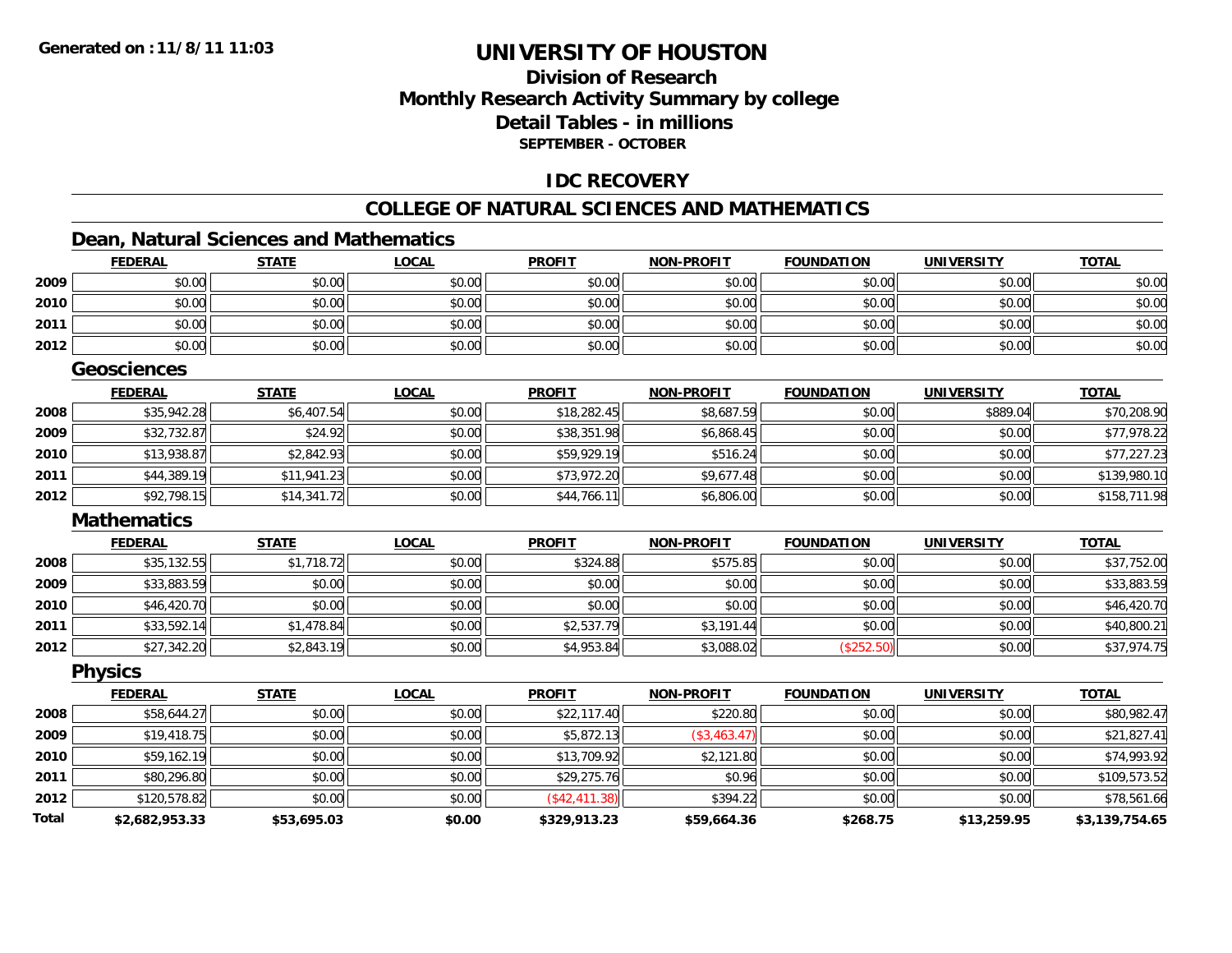### **Division of ResearchMonthly Research Activity Summary by college Detail Tables - in millionsSEPTEMBER - OCTOBER**

### **IDC RECOVERY**

### **COLLEGE OF NATURAL SCIENCES AND MATHEMATICS**

### **Dean, Natural Sciences and Mathematics**

|              | <b>FEDERAL</b>     | <b>STATE</b> | <b>LOCAL</b> | <b>PROFIT</b> | <b>NON-PROFIT</b> | <b>FOUNDATION</b> | <b>UNIVERSITY</b> | <b>TOTAL</b>   |
|--------------|--------------------|--------------|--------------|---------------|-------------------|-------------------|-------------------|----------------|
| 2009         | \$0.00             | \$0.00       | \$0.00       | \$0.00        | \$0.00            | \$0.00            | \$0.00            | \$0.00         |
| 2010         | \$0.00             | \$0.00       | \$0.00       | \$0.00        | \$0.00            | \$0.00            | \$0.00            | \$0.00         |
| 2011         | \$0.00             | \$0.00       | \$0.00       | \$0.00        | \$0.00            | \$0.00            | \$0.00            | \$0.00         |
| 2012         | \$0.00             | \$0.00       | \$0.00       | \$0.00        | \$0.00            | \$0.00            | \$0.00            | \$0.00         |
|              | <b>Geosciences</b> |              |              |               |                   |                   |                   |                |
|              | <b>FEDERAL</b>     | <b>STATE</b> | <b>LOCAL</b> | <b>PROFIT</b> | <b>NON-PROFIT</b> | <b>FOUNDATION</b> | <b>UNIVERSITY</b> | <b>TOTAL</b>   |
| 2008         | \$35,942.28        | \$6,407.54   | \$0.00       | \$18,282.45   | \$8,687.59        | \$0.00            | \$889.04          | \$70,208.90    |
| 2009         | \$32,732.87        | \$24.92      | \$0.00       | \$38,351.98   | \$6,868.45        | \$0.00            | \$0.00            | \$77,978.22    |
| 2010         | \$13,938.87        | \$2,842.93   | \$0.00       | \$59,929.19   | \$516.24          | \$0.00            | \$0.00            | \$77,227.23    |
| 2011         | \$44,389.19        | \$11,941.23  | \$0.00       | \$73,972.20   | \$9,677.48        | \$0.00            | \$0.00            | \$139,980.10   |
| 2012         | \$92,798.15        | \$14,341.72  | \$0.00       | \$44,766.11   | \$6,806.00        | \$0.00            | \$0.00            | \$158,711.98   |
|              | <b>Mathematics</b> |              |              |               |                   |                   |                   |                |
|              | <b>FEDERAL</b>     | <b>STATE</b> | <b>LOCAL</b> | <b>PROFIT</b> | <b>NON-PROFIT</b> | <b>FOUNDATION</b> | <b>UNIVERSITY</b> | <b>TOTAL</b>   |
| 2008         | \$35,132.55        | \$1,718.72   | \$0.00       | \$324.88      | \$575.85          | \$0.00            | \$0.00            | \$37,752.00    |
| 2009         | \$33,883.59        | \$0.00       | \$0.00       | \$0.00        | \$0.00            | \$0.00            | \$0.00            | \$33,883.59    |
| 2010         | \$46,420.70        | \$0.00       | \$0.00       | \$0.00        | \$0.00            | \$0.00            | \$0.00            | \$46,420.70    |
| 2011         | \$33,592.14        | \$1,478.84   | \$0.00       | \$2,537.79    | \$3,191.44        | \$0.00            | \$0.00            | \$40,800.21    |
| 2012         | \$27,342.20        | \$2,843.19   | \$0.00       | \$4,953.84    | \$3,088.02        | (\$252.50)        | \$0.00            | \$37,974.75    |
|              | <b>Physics</b>     |              |              |               |                   |                   |                   |                |
|              | <b>FEDERAL</b>     | <b>STATE</b> | <b>LOCAL</b> | <b>PROFIT</b> | <b>NON-PROFIT</b> | <b>FOUNDATION</b> | <b>UNIVERSITY</b> | <b>TOTAL</b>   |
| 2008         | \$58,644.27        | \$0.00       | \$0.00       | \$22,117.40   | \$220.80          | \$0.00            | \$0.00            | \$80,982.47    |
| 2009         | \$19,418.75        | \$0.00       | \$0.00       | \$5,872.13    | (\$3,463.47)      | \$0.00            | \$0.00            | \$21,827.41    |
| 2010         | \$59,162.19        | \$0.00       | \$0.00       | \$13,709.92   | \$2,121.80        | \$0.00            | \$0.00            | \$74,993.92    |
| 2011         | \$80,296.80        | \$0.00       | \$0.00       | \$29,275.76   | \$0.96            | \$0.00            | \$0.00            | \$109,573.52   |
| 2012         | \$120,578.82       | \$0.00       | \$0.00       | (\$42,411.38) | \$394.22          | \$0.00            | \$0.00            | \$78,561.66    |
| <b>Total</b> | \$2,682,953.33     | \$53,695.03  | \$0.00       | \$329,913.23  | \$59,664.36       | \$268.75          | \$13,259.95       | \$3,139,754.65 |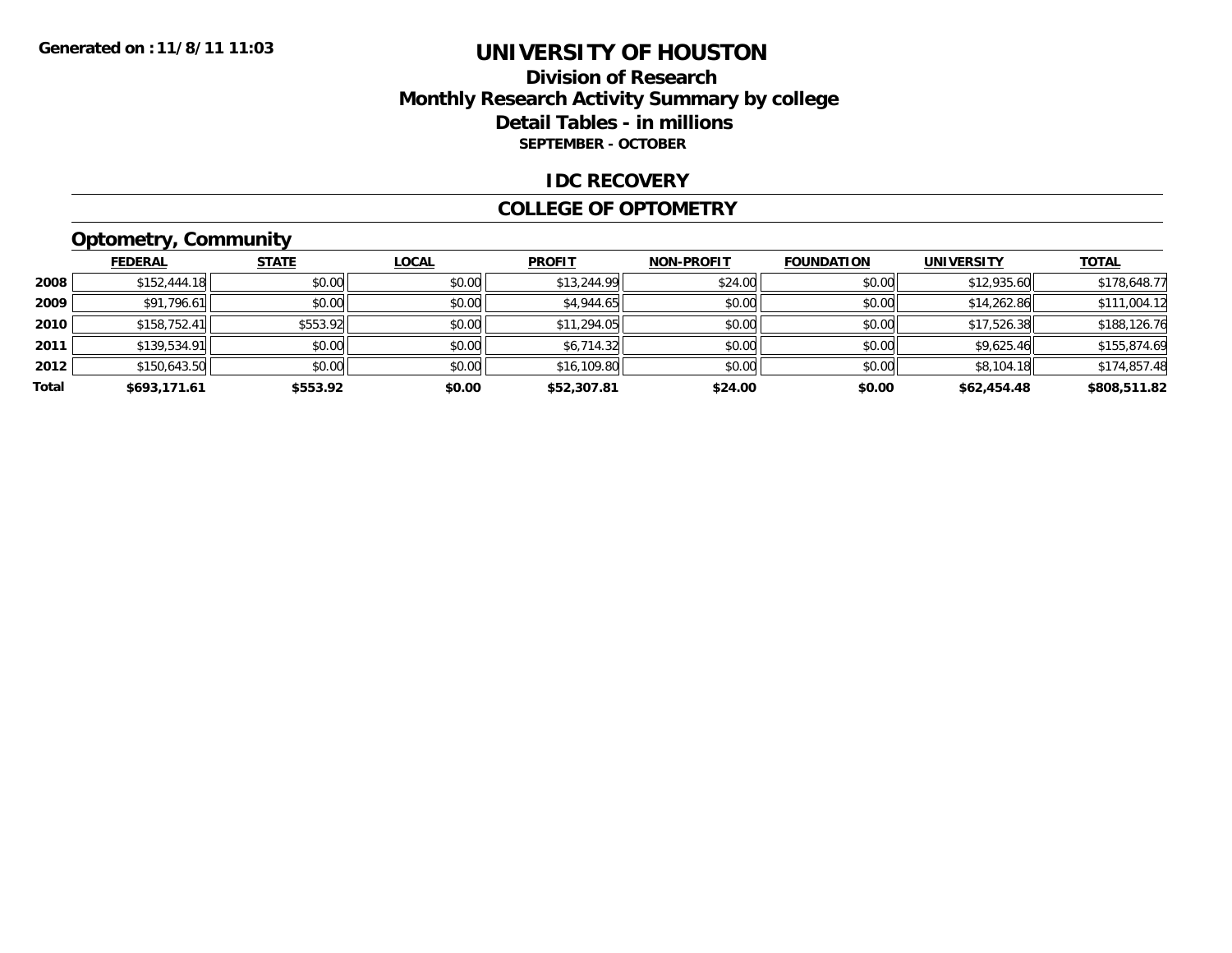### **Division of ResearchMonthly Research Activity Summary by college Detail Tables - in millions SEPTEMBER - OCTOBER**

#### **IDC RECOVERY**

#### **COLLEGE OF OPTOMETRY**

# **Optometry, Community**

|       | <b>FEDERAL</b> | <b>STATE</b> | <b>LOCAL</b> | <b>PROFIT</b> | <b>NON-PROFIT</b> | <b>FOUNDATION</b> | <b>UNIVERSITY</b> | <b>TOTAL</b> |
|-------|----------------|--------------|--------------|---------------|-------------------|-------------------|-------------------|--------------|
| 2008  | \$152,444.18   | \$0.00       | \$0.00       | \$13,244.99   | \$24.00           | \$0.00            | \$12,935.60       | \$178,648.77 |
| 2009  | \$91,796.61    | \$0.00       | \$0.00       | \$4,944.65    | \$0.00            | \$0.00            | \$14,262.86       | \$111,004.12 |
| 2010  | \$158,752.41   | \$553.92     | \$0.00       | \$11,294.05   | \$0.00            | \$0.00            | \$17,526.38       | \$188,126.76 |
| 2011  | \$139,534.91   | \$0.00       | \$0.00       | \$6,714.32    | \$0.00            | \$0.00            | \$9,625.46        | \$155,874.69 |
| 2012  | \$150,643.50   | \$0.00       | \$0.00       | \$16,109.80   | \$0.00            | \$0.00            | \$8,104.18        | \$174,857.48 |
| Total | \$693,171.61   | \$553.92     | \$0.00       | \$52,307.81   | \$24.00           | \$0.00            | \$62,454.48       | \$808,511.82 |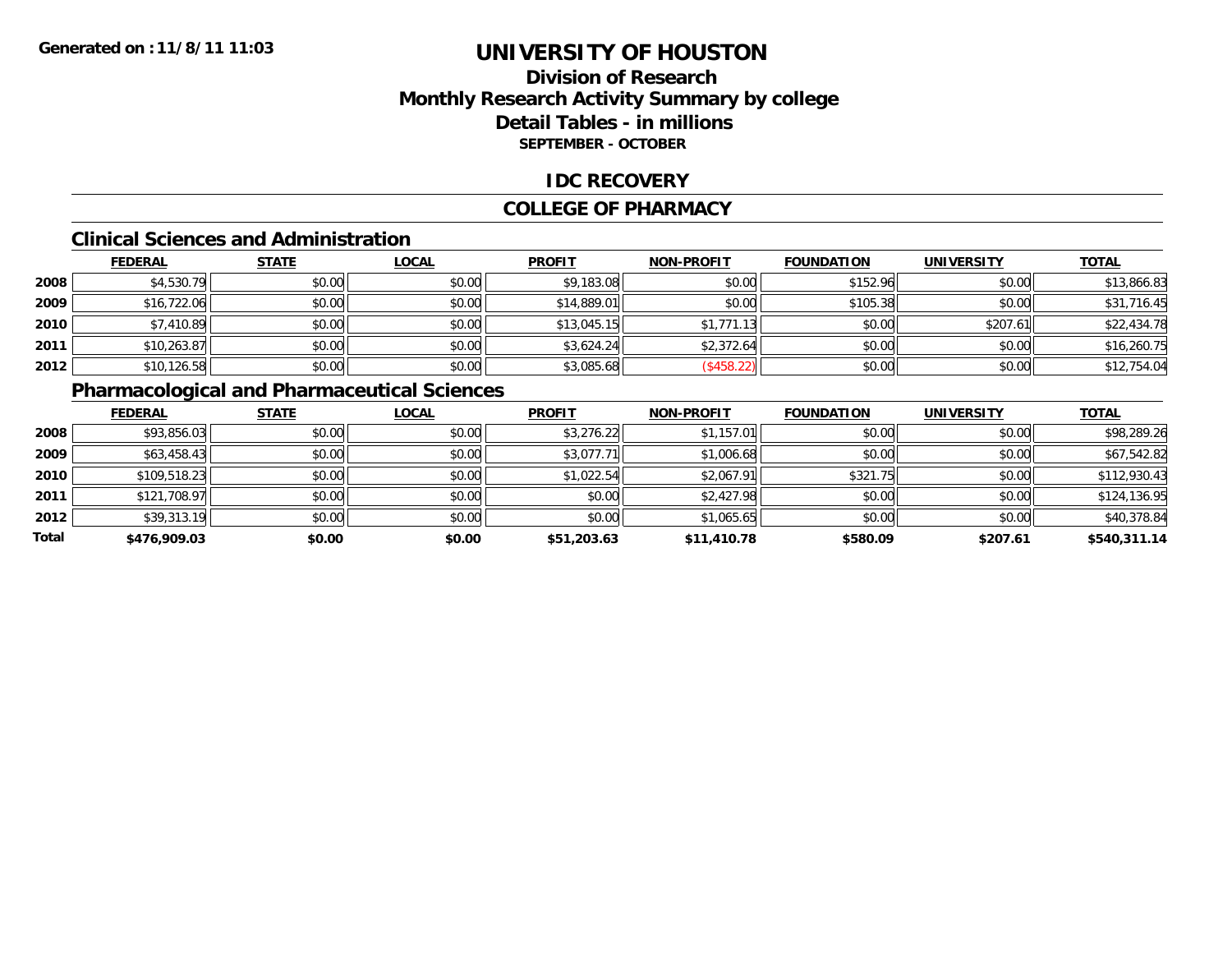### **Division of ResearchMonthly Research Activity Summary by college Detail Tables - in millions SEPTEMBER - OCTOBER**

### **IDC RECOVERY**

#### **COLLEGE OF PHARMACY**

#### **Clinical Sciences and Administration**

|      | <b>FEDERAL</b> | <b>STATE</b> | <b>LOCAL</b> | <b>PROFIT</b> | <b>NON-PROFIT</b> | <b>FOUNDATION</b> | <b>UNIVERSITY</b> | <b>TOTAL</b> |
|------|----------------|--------------|--------------|---------------|-------------------|-------------------|-------------------|--------------|
| 2008 | \$4,530.79     | \$0.00       | \$0.00       | \$9,183.08    | \$0.00            | \$152.96          | \$0.00            | \$13,866.83  |
| 2009 | \$16,722.06    | \$0.00       | \$0.00       | \$14,889.01   | \$0.00            | \$105.38          | \$0.00            | \$31,716.45  |
| 2010 | \$7,410.89     | \$0.00       | \$0.00       | \$13,045.15   | \$1,771.13        | \$0.00            | \$207.61          | \$22,434.78  |
| 2011 | \$10,263.87    | \$0.00       | \$0.00       | \$3,624.24    | \$2,372.64        | \$0.00            | \$0.00            | \$16,260.75  |
| 2012 | \$10,126.58    | \$0.00       | \$0.00       | \$3,085.68    | (\$458.22)        | \$0.00            | \$0.00            | \$12,754.04  |

### **Pharmacological and Pharmaceutical Sciences**

|       | <b>FEDERAL</b> | <b>STATE</b> | <b>LOCAL</b> | <b>PROFIT</b> | <b>NON-PROFIT</b> | <b>FOUNDATION</b> | <b>UNIVERSITY</b> | <b>TOTAL</b> |
|-------|----------------|--------------|--------------|---------------|-------------------|-------------------|-------------------|--------------|
| 2008  | \$93,856.03    | \$0.00       | \$0.00       | \$3,276.22    | \$1,157.01        | \$0.00            | \$0.00            | \$98,289.26  |
| 2009  | \$63,458.43    | \$0.00       | \$0.00       | \$3,077.71    | \$1,006.68        | \$0.00            | \$0.00            | \$67,542.82  |
| 2010  | \$109,518.23   | \$0.00       | \$0.00       | \$1,022.54    | \$2,067.91        | \$321.75          | \$0.00            | \$112,930.43 |
| 2011  | \$121,708.97   | \$0.00       | \$0.00       | \$0.00        | \$2,427.98        | \$0.00            | \$0.00            | \$124,136.95 |
| 2012  | \$39,313.19    | \$0.00       | \$0.00       | \$0.00        | \$1,065.65        | \$0.00            | \$0.00            | \$40,378.84  |
| Total | \$476,909.03   | \$0.00       | \$0.00       | \$51,203.63   | \$11,410.78       | \$580.09          | \$207.61          | \$540,311.14 |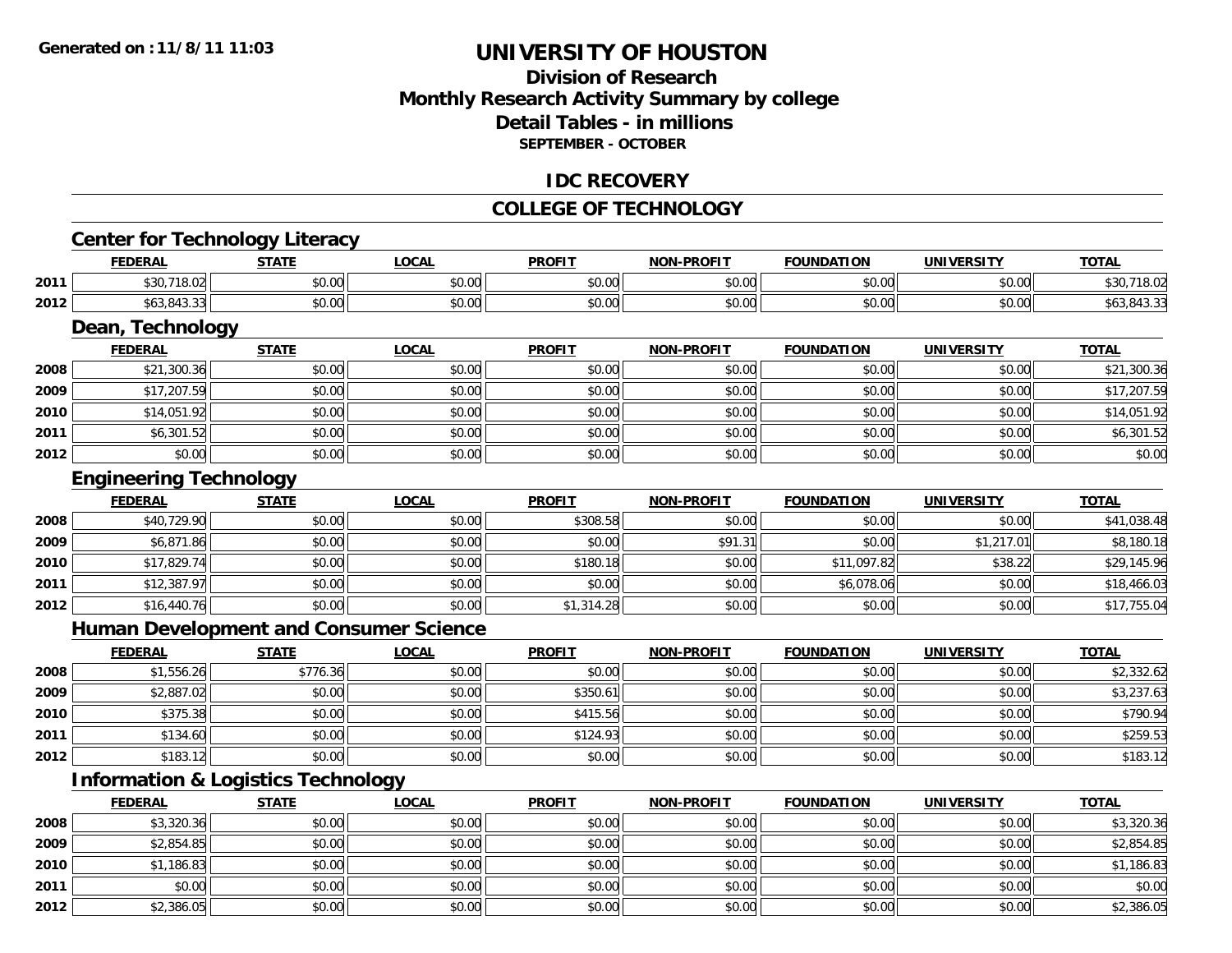### **Division of ResearchMonthly Research Activity Summary by college Detail Tables - in millionsSEPTEMBER - OCTOBER**

#### **IDC RECOVERY**

### **COLLEGE OF TECHNOLOGY**

<u> 1989 - Johann Stoff, deutscher Stoffen und der Stoffen und der Stoffen und der Stoffen und der Stoffen und de</u>

### **Center for Technology Literacy**

|      | <b>FEDERAL</b>                         | <b>STATE</b> | <b>LOCAL</b>           | <b>PROFIT</b>                                        | <b>NON-PROFIT</b> | <b>FOUNDATION</b>  | <b>UNIVERSITY</b>  | <b>TOTAL</b>  |
|------|----------------------------------------|--------------|------------------------|------------------------------------------------------|-------------------|--------------------|--------------------|---------------|
| 2011 | $\sim$ $\sim$<br>71000<br>,3U<br>18.UZ | \$0.00       | $\sim$ $\sim$<br>pu.uu | 0.00<br>JU.UU                                        | 0000<br>JU.UU     | ሶስ ሰሰ<br>JU.UU     | $\sim$ 00<br>vu.vu | .<br>10.Uz    |
| 2012 | 010<br>                                | \$0.00       | $\sim$ $\sim$<br>pu.uu | $\uparrow$ $\uparrow$ $\uparrow$ $\uparrow$<br>40.01 | 0000<br>JU.UU     | $\sim$ 00<br>vv.vv | 0000<br>vu.vu      | DO J<br>7.J.J |

<u> 1989 - Andrea Station Barbara, amerikan bahasa perang perang perang perang perang perang perang perang perang</u>

### **Dean, Technology**

|      | <b>FEDERAL</b> | <b>STATE</b> | <b>LOCAL</b> | <b>PROFIT</b> | <b>NON-PROFIT</b> | <b>FOUNDATION</b> | <b>UNIVERSITY</b> | <b>TOTAL</b> |
|------|----------------|--------------|--------------|---------------|-------------------|-------------------|-------------------|--------------|
| 2008 | \$21,300.36    | \$0.00       | \$0.00       | \$0.00        | \$0.00            | \$0.00            | \$0.00            | \$21,300.36  |
| 2009 | \$17,207.59    | \$0.00       | \$0.00       | \$0.00        | \$0.00            | \$0.00            | \$0.00            | \$17,207.59  |
| 2010 | \$14,051.92    | \$0.00       | \$0.00       | \$0.00        | \$0.00            | \$0.00            | \$0.00            | \$14,051.92  |
| 2011 | \$6,301.52     | \$0.00       | \$0.00       | \$0.00        | \$0.00            | \$0.00            | \$0.00            | \$6,301.52   |
| 2012 | \$0.00         | \$0.00       | \$0.00       | \$0.00        | \$0.00            | \$0.00            | \$0.00            | \$0.00       |

#### **Engineering Technology**

|      | <b>FEDERAL</b> | <b>STATE</b> | <b>LOCAL</b> | <b>PROFIT</b> | <b>NON-PROFIT</b> | <b>FOUNDATION</b> | <b>UNIVERSITY</b> | <b>TOTAL</b> |
|------|----------------|--------------|--------------|---------------|-------------------|-------------------|-------------------|--------------|
| 2008 | \$40,729.90    | \$0.00       | \$0.00       | \$308.58      | \$0.00            | \$0.00            | \$0.00            | \$41,038.48  |
| 2009 | \$6,871.86     | \$0.00       | \$0.00       | \$0.00        | \$91.31           | \$0.00            | \$1,217.01        | \$8,180.18   |
| 2010 | \$17,829.74    | \$0.00       | \$0.00       | \$180.18      | \$0.00            | \$11,097.82       | \$38.22           | \$29,145.96  |
| 2011 | \$12,387.97    | \$0.00       | \$0.00       | \$0.00        | \$0.00            | \$6,078.06        | \$0.00            | \$18,466.03  |
| 2012 | \$16,440.76    | \$0.00       | \$0.00       | \$1,314.28    | \$0.00            | \$0.00            | \$0.00            | \$17,755.04  |

### **Human Development and Consumer Science**

|      | <b>FEDERAL</b> | <b>STATE</b> | <b>LOCAL</b> | <b>PROFIT</b> | <b>NON-PROFIT</b> | <b>FOUNDATION</b> | <b>UNIVERSITY</b> | <b>TOTAL</b> |
|------|----------------|--------------|--------------|---------------|-------------------|-------------------|-------------------|--------------|
| 2008 | \$1,556.26     | \$776.36     | \$0.00       | \$0.00        | \$0.00            | \$0.00            | \$0.00            | \$2,332.62   |
| 2009 | \$2,887.02     | \$0.00       | \$0.00       | \$350.61      | \$0.00            | \$0.00            | \$0.00            | \$3,237.63   |
| 2010 | \$375.38       | \$0.00       | \$0.00       | \$415.56      | \$0.00            | \$0.00            | \$0.00            | \$790.94     |
| 2011 | \$134.60       | \$0.00       | \$0.00       | \$124.93      | \$0.00            | \$0.00            | \$0.00            | \$259.53     |
| 2012 | \$183.12       | \$0.00       | \$0.00       | \$0.00        | \$0.00            | \$0.00            | \$0.00            | \$183.12     |

### **Information & Logistics Technology**

|      | <b>FEDERAL</b> | <b>STATE</b> | <b>LOCAL</b> | <b>PROFIT</b> | <b>NON-PROFIT</b> | <b>FOUNDATION</b> | <b>UNIVERSITY</b> | <b>TOTAL</b> |
|------|----------------|--------------|--------------|---------------|-------------------|-------------------|-------------------|--------------|
| 2008 | \$3,320.36     | \$0.00       | \$0.00       | \$0.00        | \$0.00            | \$0.00            | \$0.00            | \$3,320.36   |
| 2009 | \$2,854.85     | \$0.00       | \$0.00       | \$0.00        | \$0.00            | \$0.00            | \$0.00            | \$2,854.85   |
| 2010 | \$1,186.83     | \$0.00       | \$0.00       | \$0.00        | \$0.00            | \$0.00            | \$0.00            | \$1,186.83   |
| 2011 | \$0.00         | \$0.00       | \$0.00       | \$0.00        | \$0.00            | \$0.00            | \$0.00            | \$0.00       |
| 2012 | \$2,386.05     | \$0.00       | \$0.00       | \$0.00        | \$0.00            | \$0.00            | \$0.00            | \$2,386.05   |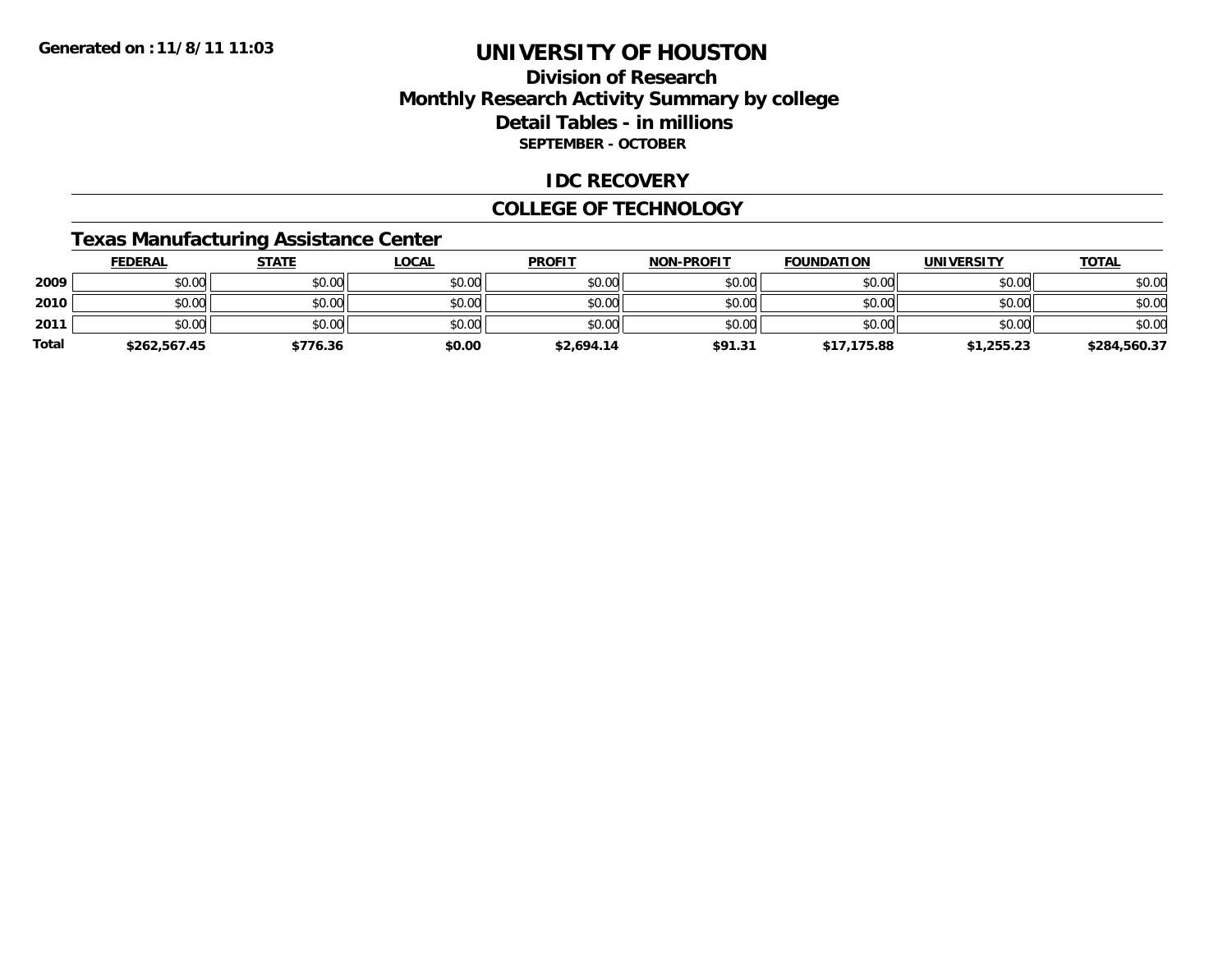### **Division of ResearchMonthly Research Activity Summary by college Detail Tables - in millions SEPTEMBER - OCTOBER**

### **IDC RECOVERY**

#### **COLLEGE OF TECHNOLOGY**

### **Texas Manufacturing Assistance Center**

|       | <b>FEDERAL</b> | <u>STATE</u> | <u>LOCAL</u> | <b>PROFIT</b> | <b>NON-PROFIT</b> | <b>FOUNDATION</b> | <b>UNIVERSITY</b> | <b>TOTAL</b> |
|-------|----------------|--------------|--------------|---------------|-------------------|-------------------|-------------------|--------------|
| 2009  | \$0.00         | \$0.00       | \$0.00       | \$0.00        | \$0.00            | \$0.00            | \$0.00            | \$0.00       |
| 2010  | \$0.00         | \$0.00       | \$0.00       | \$0.00        | \$0.00            | \$0.00            | \$0.00            | \$0.00       |
| 2011  | \$0.00         | \$0.00       | \$0.00       | \$0.00        | \$0.00            | \$0.00            | \$0.00            | \$0.00       |
| Total | \$262,567.45   | \$776.36     | \$0.00       | \$2,694.14    | \$91.31           | \$17,175.88       | \$1,255.23        | \$284,560.37 |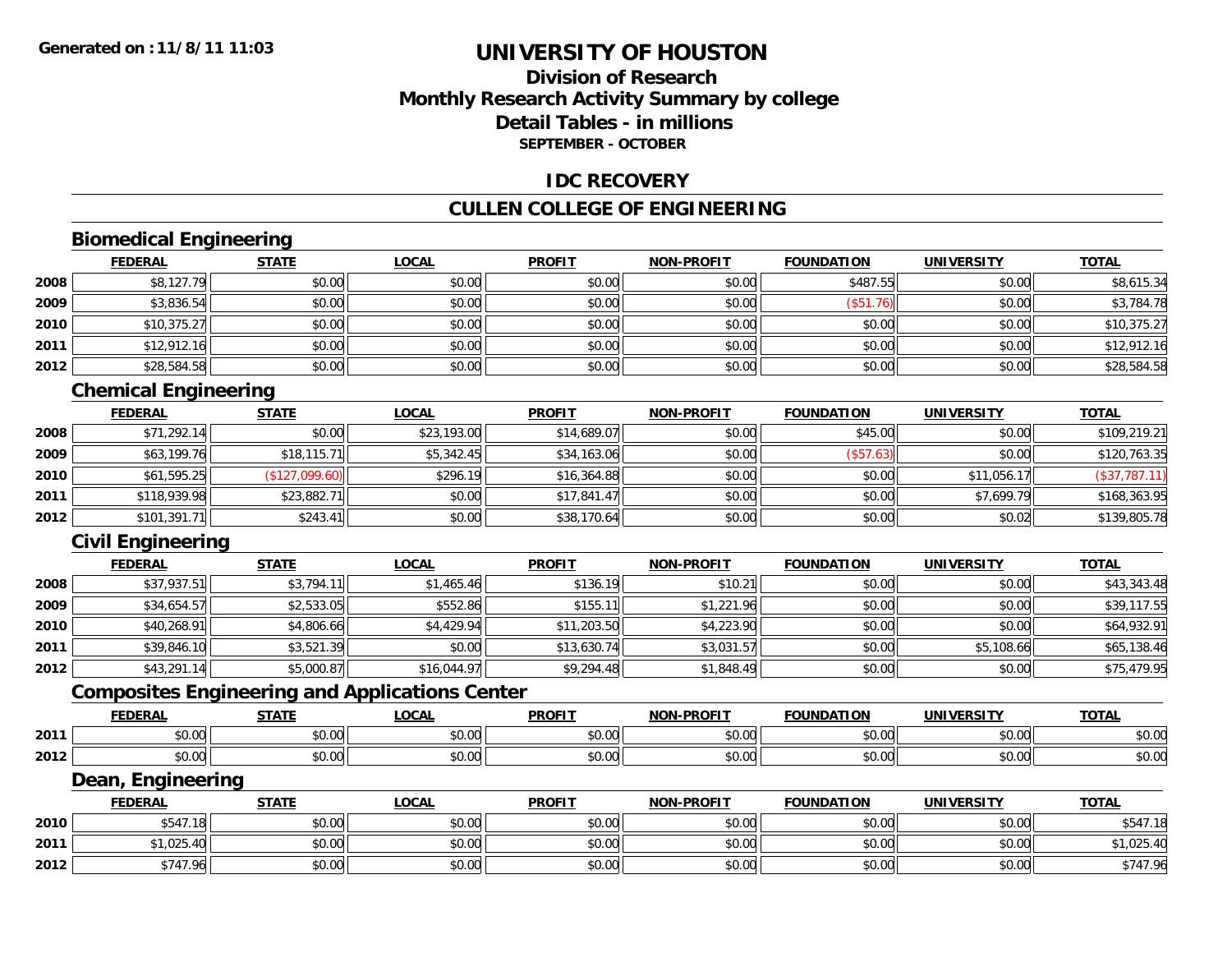### **Division of ResearchMonthly Research Activity Summary by college Detail Tables - in millionsSEPTEMBER - OCTOBER**

#### **IDC RECOVERY**

#### **CULLEN COLLEGE OF ENGINEERING**

### **Biomedical Engineering**

|      | <b>FEDERAL</b> | <b>STATE</b> | <b>LOCAL</b> | <b>PROFIT</b> | <b>NON-PROFIT</b> | <b>FOUNDATION</b> | <b>UNIVERSITY</b> | <b>TOTAL</b> |
|------|----------------|--------------|--------------|---------------|-------------------|-------------------|-------------------|--------------|
| 2008 | \$8,127.79     | \$0.00       | \$0.00       | \$0.00        | \$0.00            | \$487.55          | \$0.00            | \$8,615.34   |
| 2009 | \$3,836.54     | \$0.00       | \$0.00       | \$0.00        | \$0.00            | \$51.76           | \$0.00            | \$3,784.78   |
| 2010 | \$10,375.27    | \$0.00       | \$0.00       | \$0.00        | \$0.00            | \$0.00            | \$0.00            | \$10,375.27  |
| 2011 | \$12,912.16    | \$0.00       | \$0.00       | \$0.00        | \$0.00            | \$0.00            | \$0.00            | \$12,912.16  |
| 2012 | \$28,584.58    | \$0.00       | \$0.00       | \$0.00        | \$0.00            | \$0.00            | \$0.00            | \$28,584.58  |

<u> 1980 - Andrea Station, amerikan bestean ingilang pada sebagai pada sebagai pada sebagai pada sebagai pada se</u>

### **Chemical Engineering**

|      | <b>FEDERAL</b> | <b>STATE</b>   | <u>LOCAL</u> | <b>PROFIT</b> | <b>NON-PROFIT</b> | <b>FOUNDATION</b> | <b>UNIVERSITY</b> | <b>TOTAL</b>  |
|------|----------------|----------------|--------------|---------------|-------------------|-------------------|-------------------|---------------|
| 2008 | \$71,292.14    | \$0.00         | \$23,193.00  | \$14,689.07   | \$0.00            | \$45.00           | \$0.00            | \$109,219.21  |
| 2009 | \$63,199.76    | \$18,115.71    | \$5,342.45   | \$34,163.06   | \$0.00            | (\$57.63)         | \$0.00            | \$120,763.35  |
| 2010 | \$61,595.25    | (\$127,099.60) | \$296.19     | \$16,364.88   | \$0.00            | \$0.00            | \$11,056.17       | (\$37,787.11) |
| 2011 | \$118,939.98   | \$23,882.71    | \$0.00       | \$17,841.47   | \$0.00            | \$0.00            | \$7,699.79        | \$168,363.95  |
| 2012 | \$101,391.71   | \$243.41       | \$0.00       | \$38,170.64   | \$0.00            | \$0.00            | \$0.02            | \$139,805.78  |

### **Civil Engineering**

|      | <b>FEDERAL</b> | <b>STATE</b> | <u>LOCAL</u> | <b>PROFIT</b> | <b>NON-PROFIT</b> | <b>FOUNDATION</b> | <b>UNIVERSITY</b> | <b>TOTAL</b> |
|------|----------------|--------------|--------------|---------------|-------------------|-------------------|-------------------|--------------|
| 2008 | \$37,937.51    | \$3,794.11   | \$1,465.46   | \$136.19      | \$10.21           | \$0.00            | \$0.00            | \$43,343.48  |
| 2009 | \$34,654.57    | \$2,533.05   | \$552.86     | \$155.11      | \$1,221.96        | \$0.00            | \$0.00            | \$39,117.55  |
| 2010 | \$40,268.91    | \$4,806.66   | \$4,429.94   | \$11,203.50   | \$4,223.90        | \$0.00            | \$0.00            | \$64,932.91  |
| 2011 | \$39,846.10    | \$3,521.39   | \$0.00       | \$13,630.74   | \$3,031.57        | \$0.00            | \$5,108.66        | \$65,138.46  |
| 2012 | \$43,291.14    | \$5,000.87   | \$16,044.97  | \$9,294.48    | \$1,848.49        | \$0.00            | \$0.00            | \$75,479.95  |

### **Composites Engineering and Applications Center**

|      | <b>FEDERAL</b>          | <b>STATI</b>                                                  | LOCAI                  | <b>PROFIT</b> | <b>I-PROFIT</b><br>NON- | ΊΟΝ<br>FOI INDA'                     | UNIVERSITY     | <b>TOTAL</b>  |
|------|-------------------------|---------------------------------------------------------------|------------------------|---------------|-------------------------|--------------------------------------|----------------|---------------|
| 2011 | 0000<br>ט.טי            | $\uparrow$ $\uparrow$ $\uparrow$ $\uparrow$ $\uparrow$<br>ט.ט | $\sim$ $\sim$<br>vv.vv | 0.00<br>JU.UU | 0 <sub>n</sub><br>vu.vu | $\sim$ $\sim$ $\sim$ $\sim$<br>10.00 | 0.00<br>∕∪.∪∪  | n or<br>DU.UU |
| 2012 | 0 <sub>0</sub><br>pu.uu | $\sim$<br>ט.ט                                                 | 0000<br>JU.UU          | 0.00<br>JU.UU | 0000<br>ง∪.∪บ           | $+ - - -$<br>ww.                     | ልስ ባህ<br>DU.UG | \$0.00        |

#### **Dean, Engineering**

|      | <b>FEDERAL</b>            | <b>STATE</b>   | <u>LOCAL</u>  | <b>PROFIT</b> | <b>NON-PROFIT</b> | <b>FOUNDATION</b> | <b>UNIVERSITY</b> | <b>TOTAL</b> |
|------|---------------------------|----------------|---------------|---------------|-------------------|-------------------|-------------------|--------------|
| 2010 | <b>CA7</b><br>.18<br>D 54 | 40.00<br>JU.UU | 0000<br>JU.UU | \$0.00        | \$0.00            | \$0.00            | \$0.00            | \$547        |
| 2011 | \$1,025.                  | \$0.00         | \$0.00        | \$0.00        | \$0.00            | \$0.00            | \$0.00            | .025.40      |
| 2012 | \$747.96                  | \$0.00         | \$0.00        | \$0.00        | \$0.00            | \$0.00            | \$0.00            | \$747.96     |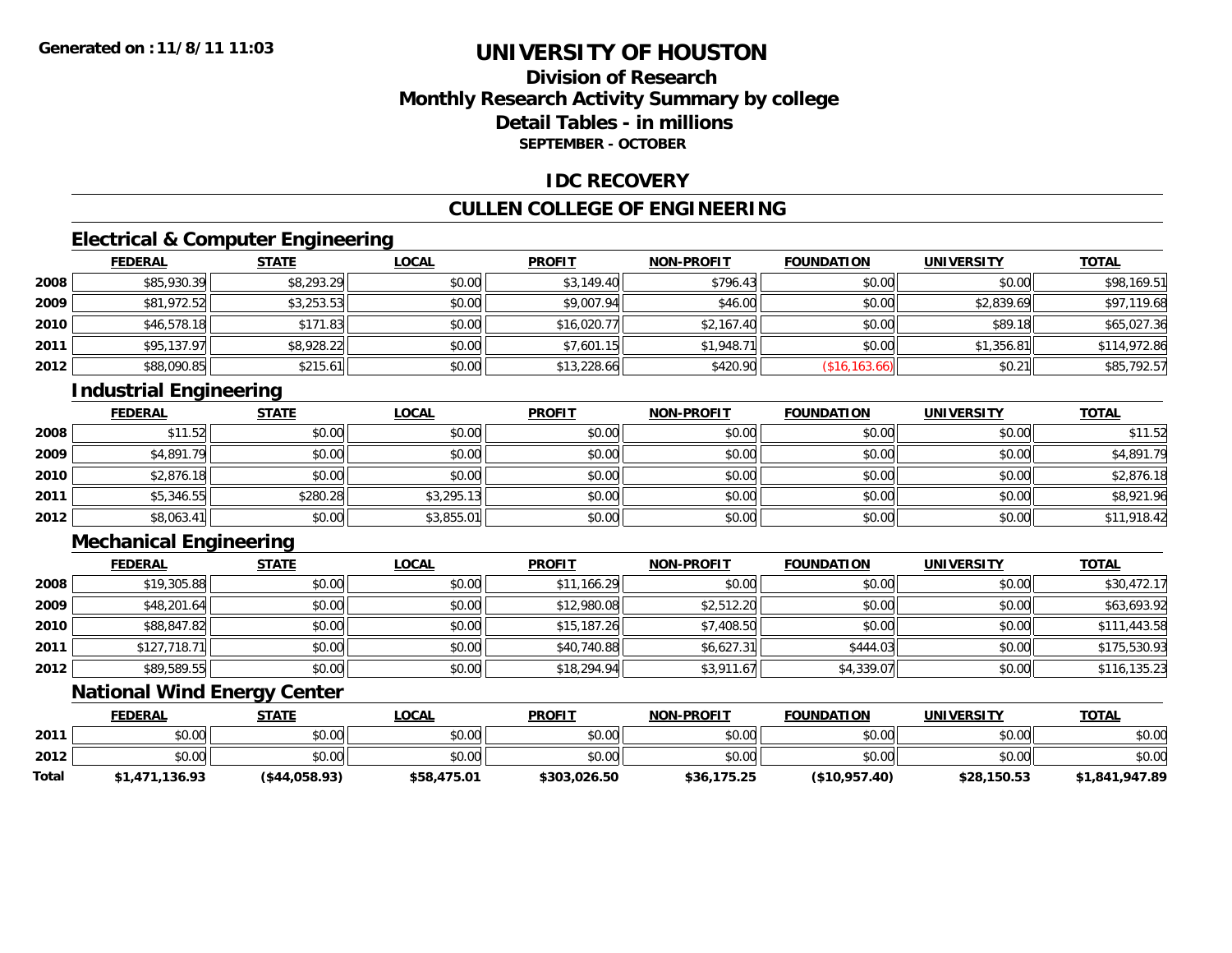### **Division of ResearchMonthly Research Activity Summary by college Detail Tables - in millionsSEPTEMBER - OCTOBER**

### **IDC RECOVERY**

### **CULLEN COLLEGE OF ENGINEERING**

### **Electrical & Computer Engineering**

|      | <b>FEDERAL</b> | <b>STATE</b> | <b>LOCAL</b> | <b>PROFIT</b> | <b>NON-PROFIT</b> | <b>FOUNDATION</b> | <b>UNIVERSITY</b> | <b>TOTAL</b> |
|------|----------------|--------------|--------------|---------------|-------------------|-------------------|-------------------|--------------|
| 2008 | \$85,930.39    | \$8,293.29   | \$0.00       | \$3,149.40    | \$796.43          | \$0.00            | \$0.00            | \$98,169.51  |
| 2009 | \$81,972.52    | \$3,253.53   | \$0.00       | \$9,007.94    | \$46.00           | \$0.00            | \$2,839.69        | \$97,119.68  |
| 2010 | \$46,578.18    | \$171.83     | \$0.00       | \$16,020.77   | \$2,167.40        | \$0.00            | \$89.18           | \$65,027.36  |
| 2011 | \$95,137.97    | \$8,928.22   | \$0.00       | \$7,601.15    | \$1,948.71        | \$0.00            | \$1,356.81        | \$114,972.86 |
| 2012 | \$88,090.85    | \$215.61     | \$0.00       | \$13,228.66   | \$420.90          | (\$16, 163.66)    | \$0.21            | \$85,792.57  |

### **Industrial Engineering**

|      | <b>FEDERAL</b> | <b>STATE</b> | <u>LOCAL</u> | <b>PROFIT</b> | <b>NON-PROFIT</b> | <b>FOUNDATION</b> | <b>UNIVERSITY</b> | <b>TOTAL</b> |
|------|----------------|--------------|--------------|---------------|-------------------|-------------------|-------------------|--------------|
| 2008 | \$11.52        | \$0.00       | \$0.00       | \$0.00        | \$0.00            | \$0.00            | \$0.00            | \$11.52      |
| 2009 | \$4,891.79     | \$0.00       | \$0.00       | \$0.00        | \$0.00            | \$0.00            | \$0.00            | \$4,891.79   |
| 2010 | \$2,876.18     | \$0.00       | \$0.00       | \$0.00        | \$0.00            | \$0.00            | \$0.00            | \$2,876.18   |
| 2011 | \$5,346.55     | \$280.28     | \$3,295.13   | \$0.00        | \$0.00            | \$0.00            | \$0.00            | \$8,921.96   |
| 2012 | \$8,063.41     | \$0.00       | \$3,855.01   | \$0.00        | \$0.00            | \$0.00            | \$0.00            | \$11,918.42  |

### **Mechanical Engineering**

|      | <b>FEDERAL</b> | <b>STATE</b> | <b>LOCAL</b> | <b>PROFIT</b> | <b>NON-PROFIT</b> | <b>FOUNDATION</b> | <b>UNIVERSITY</b> | <u>TOTAL</u> |
|------|----------------|--------------|--------------|---------------|-------------------|-------------------|-------------------|--------------|
| 2008 | \$19,305.88    | \$0.00       | \$0.00       | \$11,166.29   | \$0.00            | \$0.00            | \$0.00            | \$30,472.17  |
| 2009 | \$48,201.64    | \$0.00       | \$0.00       | \$12,980.08   | \$2,512.20        | \$0.00            | \$0.00            | \$63,693.92  |
| 2010 | \$88,847.82    | \$0.00       | \$0.00       | \$15,187.26   | \$7,408.50        | \$0.00            | \$0.00            | \$111,443.58 |
| 2011 | \$127,718.71   | \$0.00       | \$0.00       | \$40,740.88   | \$6,627.31        | \$444.03          | \$0.00            | \$175,530.93 |
| 2012 | \$89,589.55    | \$0.00       | \$0.00       | \$18,294.94   | \$3,911.67        | \$4,339.07        | \$0.00            | \$116,135.23 |

### **National Wind Energy Center**

|       | <b>FEDERAL</b> | <u>STATE</u>     | <b>LOCAL</b> | <b>PROFIT</b> | <b>NON-PROFIT</b> | <b>FOUNDATION</b> | <b>UNIVERSITY</b> | <b>TOTAL</b>   |
|-------|----------------|------------------|--------------|---------------|-------------------|-------------------|-------------------|----------------|
| 2011  | \$0.00         | \$0.00           | \$0.00       | \$0.00        | \$0.00            | \$0.00            | \$0.00            | \$0.00         |
| 2012  | \$0.00         | \$0.00           | \$0.00       | \$0.00        | \$0.00            | \$0.00            | \$0.00            | \$0.00         |
| Total | \$1,471,136.93 | $($ \$44,058.93) | \$58,475.01  | \$303,026.50  | \$36,175.25       | ( \$10,957.40)    | \$28,150.53       | \$1,841,947.89 |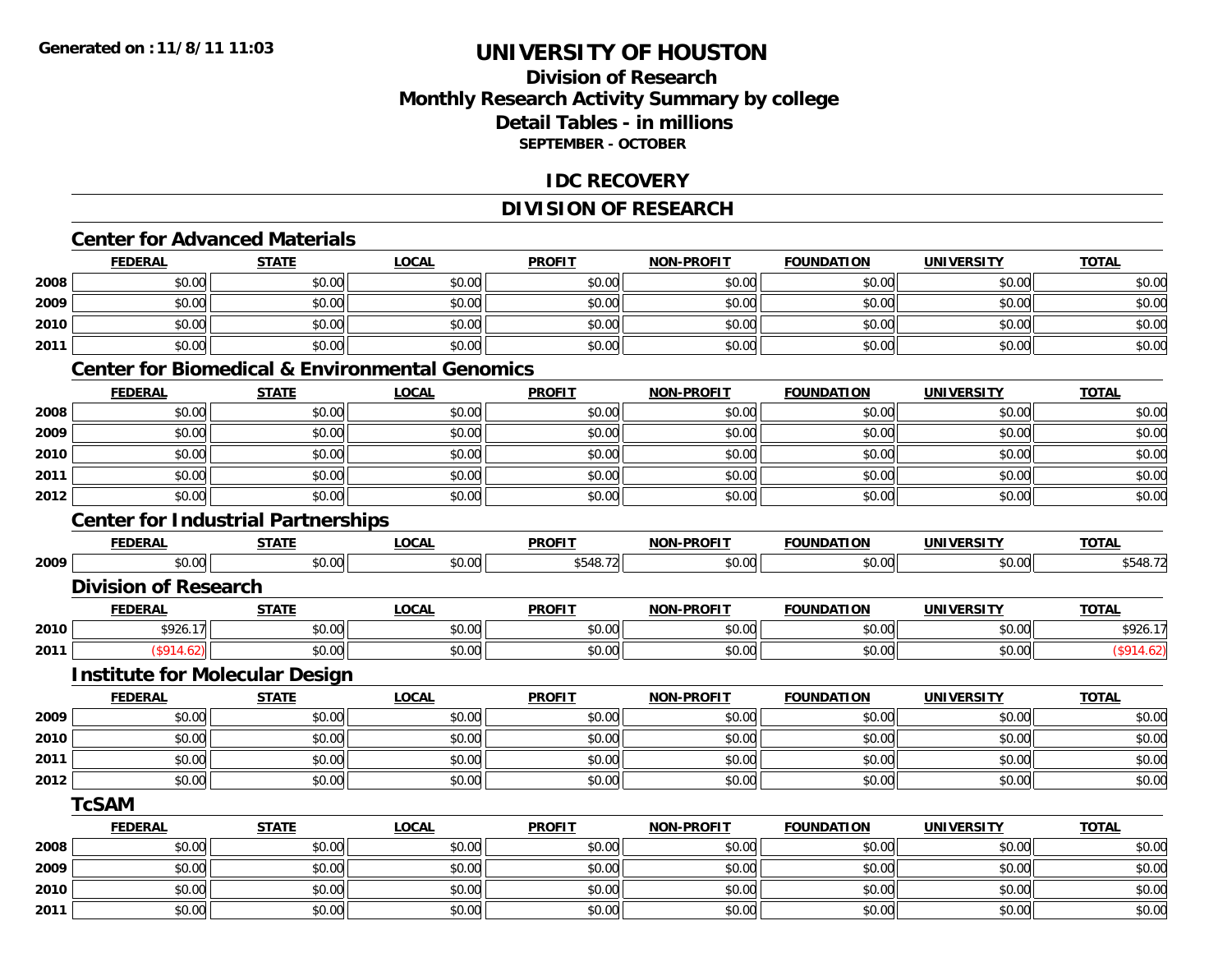**2011**

## **UNIVERSITY OF HOUSTON**

### **Division of ResearchMonthly Research Activity Summary by college Detail Tables - in millions SEPTEMBER - OCTOBER**

#### **IDC RECOVERY**

### **DIVISION OF RESEARCH**

# **Center for Advanced Materials**

|      | <b>FEDERAL</b>                            | <b>STATE</b> | <b>LOCAL</b>                                              | <b>PROFIT</b> | <b>NON-PROFIT</b> | <b>FOUNDATION</b> | <b>UNIVERSITY</b> | <b>TOTAL</b> |
|------|-------------------------------------------|--------------|-----------------------------------------------------------|---------------|-------------------|-------------------|-------------------|--------------|
| 2008 | \$0.00                                    | \$0.00       | \$0.00                                                    | \$0.00        | \$0.00            | \$0.00            | \$0.00            | \$0.00       |
| 2009 | \$0.00                                    | \$0.00       | \$0.00                                                    | \$0.00        | \$0.00            | \$0.00            | \$0.00            | \$0.00       |
| 2010 | \$0.00                                    | \$0.00       | \$0.00                                                    | \$0.00        | \$0.00            | \$0.00            | \$0.00            | \$0.00       |
| 2011 | \$0.00                                    | \$0.00       | \$0.00                                                    | \$0.00        | \$0.00            | \$0.00            | \$0.00            | \$0.00       |
|      |                                           |              | <b>Center for Biomedical &amp; Environmental Genomics</b> |               |                   |                   |                   |              |
|      | <b>FEDERAL</b>                            | <b>STATE</b> | <b>LOCAL</b>                                              | <b>PROFIT</b> | <b>NON-PROFIT</b> | <b>FOUNDATION</b> | <b>UNIVERSITY</b> | <b>TOTAL</b> |
| 2008 | \$0.00                                    | \$0.00       | \$0.00                                                    | \$0.00        | \$0.00            | \$0.00            | \$0.00            | \$0.00       |
| 2009 | \$0.00                                    | \$0.00       | \$0.00                                                    | \$0.00        | \$0.00            | \$0.00            | \$0.00            | \$0.00       |
| 2010 | \$0.00                                    | \$0.00       | \$0.00                                                    | \$0.00        | \$0.00            | \$0.00            | \$0.00            | \$0.00       |
| 2011 | \$0.00                                    | \$0.00       | \$0.00                                                    | \$0.00        | \$0.00            | \$0.00            | \$0.00            | \$0.00       |
| 2012 | \$0.00                                    | \$0.00       | \$0.00                                                    | \$0.00        | \$0.00            | \$0.00            | \$0.00            | \$0.00       |
|      | <b>Center for Industrial Partnerships</b> |              |                                                           |               |                   |                   |                   |              |
|      | <b>FEDERAL</b>                            | <b>STATE</b> | <b>LOCAL</b>                                              | <b>PROFIT</b> | <b>NON-PROFIT</b> | <b>FOUNDATION</b> | <b>UNIVERSITY</b> | <b>TOTAL</b> |
| 2009 | \$0.00                                    | \$0.00       | \$0.00                                                    | \$548.72      | \$0.00            | \$0.00            | \$0.00            | \$548.72     |
|      | <b>Division of Research</b>               |              |                                                           |               |                   |                   |                   |              |
|      | <b>FEDERAL</b>                            | <b>STATE</b> | <b>LOCAL</b>                                              | <b>PROFIT</b> | <b>NON-PROFIT</b> | <b>FOUNDATION</b> | <b>UNIVERSITY</b> | <b>TOTAL</b> |
| 2010 | \$926.17                                  | \$0.00       | \$0.00                                                    | \$0.00        | \$0.00            | \$0.00            | \$0.00            | \$926.17     |
| 2011 | (\$914.62)                                | \$0.00       | \$0.00                                                    | \$0.00        | \$0.00            | \$0.00            | \$0.00            | (\$914.62)   |
|      | <b>Institute for Molecular Design</b>     |              |                                                           |               |                   |                   |                   |              |
|      | <b>FEDERAL</b>                            | <b>STATE</b> | <b>LOCAL</b>                                              | <b>PROFIT</b> | <b>NON-PROFIT</b> | <b>FOUNDATION</b> | <b>UNIVERSITY</b> | <b>TOTAL</b> |
| 2009 | \$0.00                                    | \$0.00       | \$0.00                                                    | \$0.00        | \$0.00            | \$0.00            | \$0.00            | \$0.00       |
| 2010 | \$0.00                                    | \$0.00       | \$0.00                                                    | \$0.00        | \$0.00            | \$0.00            | \$0.00            | \$0.00       |
| 2011 | \$0.00                                    | \$0.00       | \$0.00                                                    | \$0.00        | \$0.00            | \$0.00            | \$0.00            | \$0.00       |
| 2012 | \$0.00                                    | \$0.00       | \$0.00                                                    | \$0.00        | \$0.00            | \$0.00            | \$0.00            | \$0.00       |
|      | <b>TcSAM</b>                              |              |                                                           |               |                   |                   |                   |              |
|      | <b>FEDERAL</b>                            | <b>STATE</b> | <b>LOCAL</b>                                              | <b>PROFIT</b> | <b>NON-PROFIT</b> | <b>FOUNDATION</b> | <b>UNIVERSITY</b> | <b>TOTAL</b> |
| 2008 | \$0.00                                    | \$0.00       | \$0.00                                                    | \$0.00        | \$0.00            | \$0.00            | \$0.00            | \$0.00       |
| 2009 | \$0.00                                    | \$0.00       | \$0.00                                                    | \$0.00        | \$0.00            | \$0.00            | \$0.00            | \$0.00       |
| 2010 | \$0.00                                    | \$0.00       | \$0.00                                                    | \$0.00        | \$0.00            | \$0.00            | \$0.00            | \$0.00       |

 $\textbf{1} \hspace{.5cm} |\hspace{.8cm}1| \hspace{1.5cm}$  \$0.00 \$0.00 \$0.00 \$0.00 \$0.00 \$0.00 \$0.00 \$0.00 \$0.00 \$0.00 \$0.00 \$0.00 \$0.00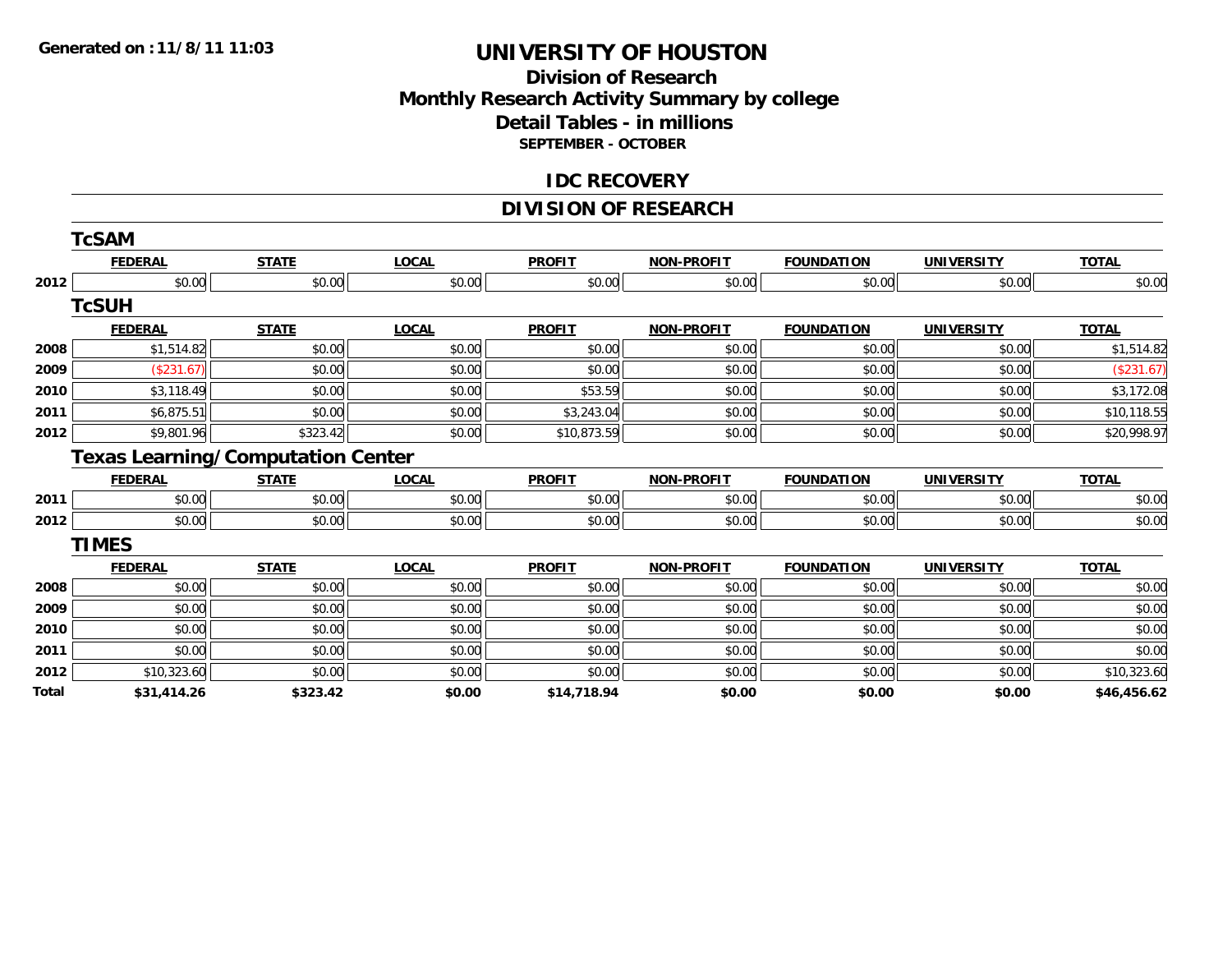### **Division of Research Monthly Research Activity Summary by college Detail Tables - in millions SEPTEMBER - OCTOBER**

#### **IDC RECOVERY**

### **DIVISION OF RESEARCH**

|       | <b>TcSAM</b>   |                                          |              |               |                   |                   |                   |              |
|-------|----------------|------------------------------------------|--------------|---------------|-------------------|-------------------|-------------------|--------------|
|       | <b>FEDERAL</b> | <b>STATE</b>                             | <b>LOCAL</b> | <b>PROFIT</b> | <b>NON-PROFIT</b> | <b>FOUNDATION</b> | <b>UNIVERSITY</b> | <b>TOTAL</b> |
| 2012  | \$0.00         | \$0.00                                   | \$0.00       | \$0.00        | \$0.00            | \$0.00            | \$0.00            | \$0.00       |
|       | <b>TcSUH</b>   |                                          |              |               |                   |                   |                   |              |
|       | <b>FEDERAL</b> | <b>STATE</b>                             | <b>LOCAL</b> | <b>PROFIT</b> | <b>NON-PROFIT</b> | <b>FOUNDATION</b> | <b>UNIVERSITY</b> | <b>TOTAL</b> |
| 2008  | \$1,514.82     | \$0.00                                   | \$0.00       | \$0.00        | \$0.00            | \$0.00            | \$0.00            | \$1,514.82   |
| 2009  | (\$231.67)     | \$0.00                                   | \$0.00       | \$0.00        | \$0.00            | \$0.00            | \$0.00            | (\$231.67)   |
| 2010  | \$3,118.49     | \$0.00                                   | \$0.00       | \$53.59       | \$0.00            | \$0.00            | \$0.00            | \$3,172.08   |
| 2011  | \$6,875.51     | \$0.00                                   | \$0.00       | \$3,243.04    | \$0.00            | \$0.00            | \$0.00            | \$10,118.55  |
| 2012  | \$9,801.96     | \$323.42                                 | \$0.00       | \$10,873.59   | \$0.00            | \$0.00            | \$0.00            | \$20,998.97  |
|       |                | <b>Texas Learning/Computation Center</b> |              |               |                   |                   |                   |              |
|       | <b>FEDERAL</b> | <b>STATE</b>                             | <b>LOCAL</b> | <b>PROFIT</b> | <b>NON-PROFIT</b> | <b>FOUNDATION</b> | <b>UNIVERSITY</b> | <b>TOTAL</b> |
| 2011  | \$0.00         | \$0.00                                   | \$0.00       | \$0.00        | \$0.00            | \$0.00            | \$0.00            | \$0.00       |
| 2012  | \$0.00         | \$0.00                                   | \$0.00       | \$0.00        | \$0.00            | \$0.00            | \$0.00            | \$0.00       |
|       | <b>TIMES</b>   |                                          |              |               |                   |                   |                   |              |
|       | <b>FEDERAL</b> | <b>STATE</b>                             | <b>LOCAL</b> | <b>PROFIT</b> | <b>NON-PROFIT</b> | <b>FOUNDATION</b> | <b>UNIVERSITY</b> | <b>TOTAL</b> |
| 2008  | \$0.00         | \$0.00                                   | \$0.00       | \$0.00        | \$0.00            | \$0.00            | \$0.00            | \$0.00       |
| 2009  | \$0.00         | \$0.00                                   | \$0.00       | \$0.00        | \$0.00            | \$0.00            | \$0.00            | \$0.00       |
| 2010  | \$0.00         | \$0.00                                   | \$0.00       | \$0.00        | \$0.00            | \$0.00            | \$0.00            | \$0.00       |
| 2011  | \$0.00         | \$0.00                                   | \$0.00       | \$0.00        | \$0.00            | \$0.00            | \$0.00            | \$0.00       |
| 2012  | \$10,323.60    | \$0.00                                   | \$0.00       | \$0.00        | \$0.00            | \$0.00            | \$0.00            | \$10,323.60  |
| Total | \$31,414.26    | \$323.42                                 | \$0.00       | \$14,718.94   | \$0.00            | \$0.00            | \$0.00            | \$46,456.62  |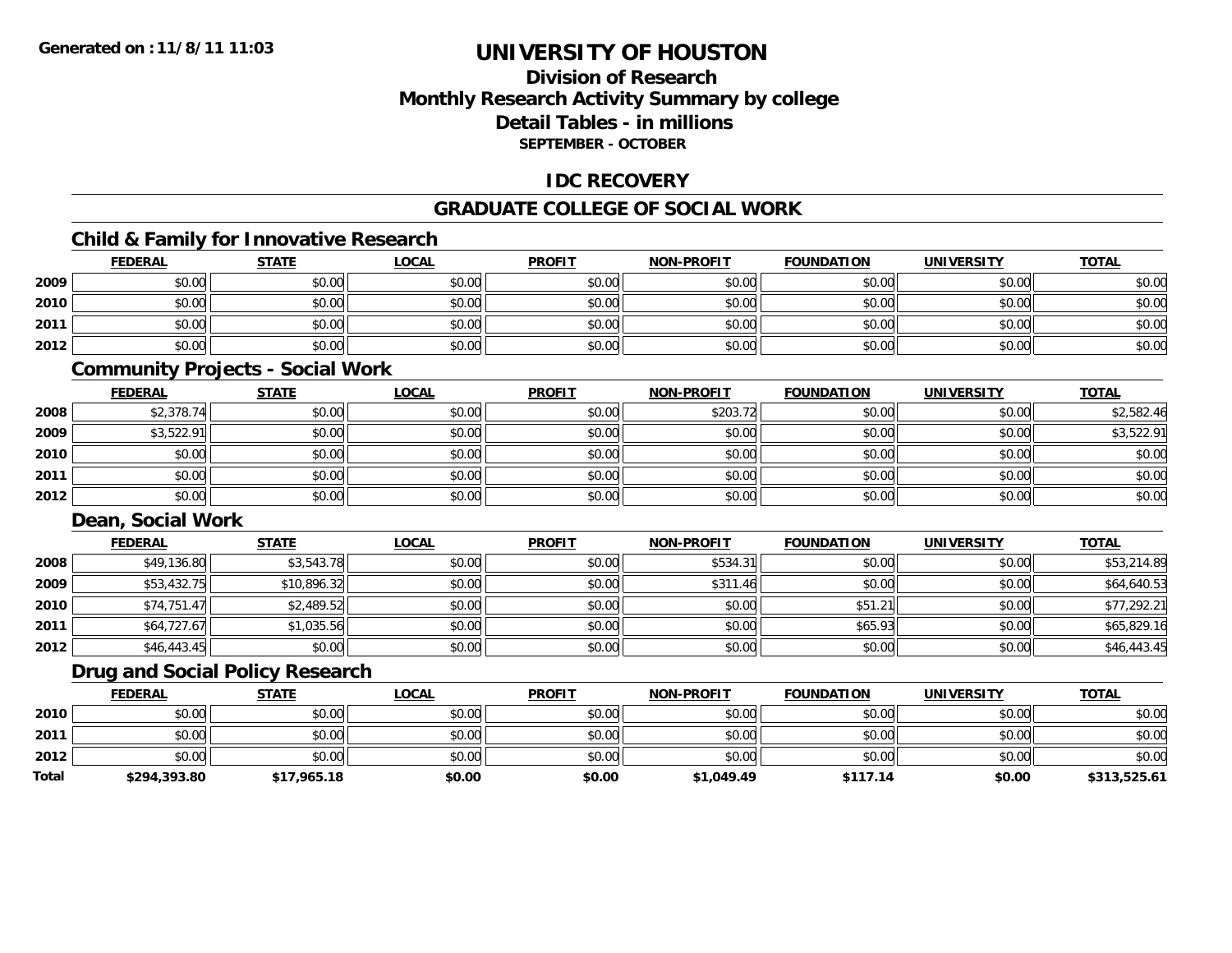### **Division of ResearchMonthly Research Activity Summary by college Detail Tables - in millionsSEPTEMBER - OCTOBER**

### **IDC RECOVERY**

### **GRADUATE COLLEGE OF SOCIAL WORK**

### **Child & Family for Innovative Research**

|      | <b>FEDERAL</b> | <b>STATE</b> | <b>LOCAL</b> | <b>PROFIT</b> | <b>NON-PROFIT</b> | <b>FOUNDATION</b> | <b>UNIVERSITY</b> | <b>TOTAL</b> |
|------|----------------|--------------|--------------|---------------|-------------------|-------------------|-------------------|--------------|
| 2009 | \$0.00         | \$0.00       | \$0.00       | \$0.00        | \$0.00            | \$0.00            | \$0.00            | \$0.00       |
| 2010 | \$0.00         | \$0.00       | \$0.00       | \$0.00        | \$0.00            | \$0.00            | \$0.00            | \$0.00       |
| 2011 | \$0.00         | \$0.00       | \$0.00       | \$0.00        | \$0.00            | \$0.00            | \$0.00            | \$0.00       |
| 2012 | \$0.00         | \$0.00       | \$0.00       | \$0.00        | \$0.00            | \$0.00            | \$0.00            | \$0.00       |

#### **Community Projects - Social Work**

|      | <b>FEDERAL</b> | <b>STATE</b> | <b>LOCAL</b> | <b>PROFIT</b> | <b>NON-PROFIT</b> | <b>FOUNDATION</b> | <b>UNIVERSITY</b> | <u>TOTAL</u> |
|------|----------------|--------------|--------------|---------------|-------------------|-------------------|-------------------|--------------|
| 2008 | \$2,378.74     | \$0.00       | \$0.00       | \$0.00        | \$203.72          | \$0.00            | \$0.00            | \$2,582.46   |
| 2009 | \$3,522.91     | \$0.00       | \$0.00       | \$0.00        | \$0.00            | \$0.00            | \$0.00            | \$3,522.91   |
| 2010 | \$0.00         | \$0.00       | \$0.00       | \$0.00        | \$0.00            | \$0.00            | \$0.00            | \$0.00       |
| 2011 | \$0.00         | \$0.00       | \$0.00       | \$0.00        | \$0.00            | \$0.00            | \$0.00            | \$0.00       |
| 2012 | \$0.00         | \$0.00       | \$0.00       | \$0.00        | \$0.00            | \$0.00            | \$0.00            | \$0.00       |

### **Dean, Social Work**

|      | <b>FEDERAL</b> | <b>STATE</b> | <b>LOCAL</b> | <b>PROFIT</b> | <b>NON-PROFIT</b> | <b>FOUNDATION</b> | <b>UNIVERSITY</b> | <b>TOTAL</b> |
|------|----------------|--------------|--------------|---------------|-------------------|-------------------|-------------------|--------------|
| 2008 | \$49,136.80    | \$3,543.78   | \$0.00       | \$0.00        | \$534.31          | \$0.00            | \$0.00            | \$53,214.89  |
| 2009 | \$53,432.75    | \$10,896.32  | \$0.00       | \$0.00        | \$311.46          | \$0.00            | \$0.00            | \$64,640.53  |
| 2010 | \$74,751.47    | \$2,489.52   | \$0.00       | \$0.00        | \$0.00            | \$51.21           | \$0.00            | \$77,292.21  |
| 2011 | \$64,727.67    | \$1,035.56   | \$0.00       | \$0.00        | \$0.00            | \$65.93           | \$0.00            | \$65,829.16  |
| 2012 | \$46,443.45    | \$0.00       | \$0.00       | \$0.00        | \$0.00            | \$0.00            | \$0.00            | \$46,443.45  |

### **Drug and Social Policy Research**

|              | <b>FEDERAL</b> | <b>STATE</b> | LOCAL  | <b>PROFIT</b> | <b>NON-PROFIT</b> | <b>FOUNDATION</b> | <b>UNIVERSITY</b> | <b>TOTAL</b> |
|--------------|----------------|--------------|--------|---------------|-------------------|-------------------|-------------------|--------------|
| 2010         | \$0.00         | \$0.00       | \$0.00 | \$0.00        | \$0.00            | \$0.00            | \$0.00            | \$0.00       |
| 2011         | \$0.00         | \$0.00       | \$0.00 | \$0.00        | \$0.00            | \$0.00            | \$0.00            | \$0.00       |
| 2012         | \$0.00         | \$0.00       | \$0.00 | \$0.00        | \$0.00            | \$0.00            | \$0.00            | \$0.00       |
| <b>Total</b> | \$294,393.80   | \$17,965.18  | \$0.00 | \$0.00        | \$1,049.49        | \$117.14          | \$0.00            | \$313,525.61 |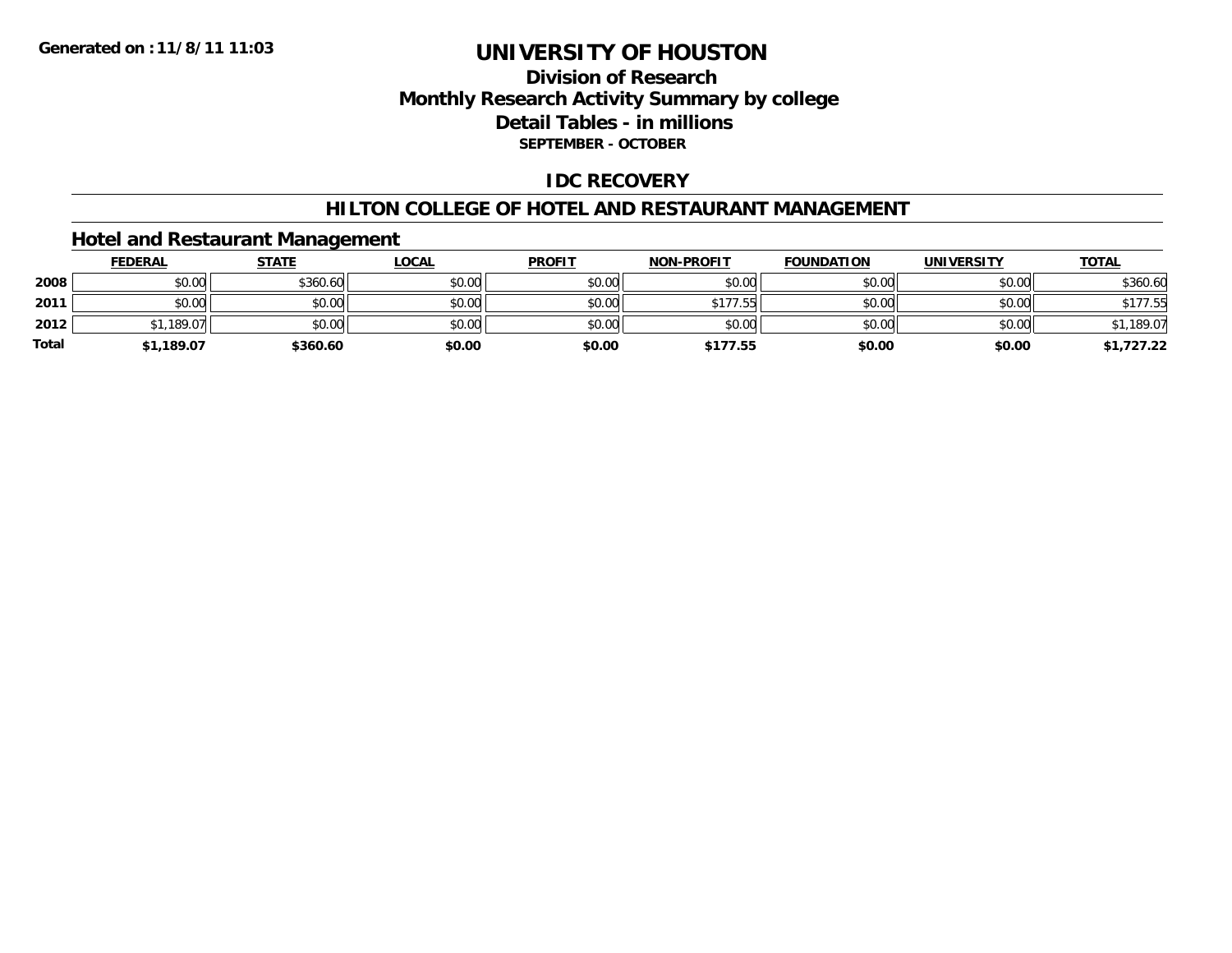### **Division of ResearchMonthly Research Activity Summary by college Detail Tables - in millions SEPTEMBER - OCTOBER**

### **IDC RECOVERY**

#### **HILTON COLLEGE OF HOTEL AND RESTAURANT MANAGEMENT**

### **Hotel and Restaurant Management**

|              | <b>FEDERAL</b> | <b>STATE</b> | <u>LOCAL</u> | <b>PROFIT</b> | <b>NON-PROFIT</b> | <b>FOUNDATION</b> | <b>UNIVERSITY</b> | <u>TOTAL</u> |
|--------------|----------------|--------------|--------------|---------------|-------------------|-------------------|-------------------|--------------|
| 2008         | \$0.00         | \$360.60     | \$0.00       | \$0.00        | \$0.00            | \$0.00            | \$0.00            | \$360.60     |
| 2011         | \$0.00         | \$0.00       | \$0.00       | \$0.00        | \$177.55          | \$0.00            | \$0.00            | \$177.55     |
| 2012         | $*1,189.07$    | \$0.00       | \$0.00       | \$0.00        | \$0.00            | \$0.00            | \$0.00            | \$1,189.07   |
| <b>Total</b> | \$1,189.07     | \$360.60     | \$0.00       | \$0.00        | \$177.55          | \$0.00            | \$0.00            | \$1,727.22   |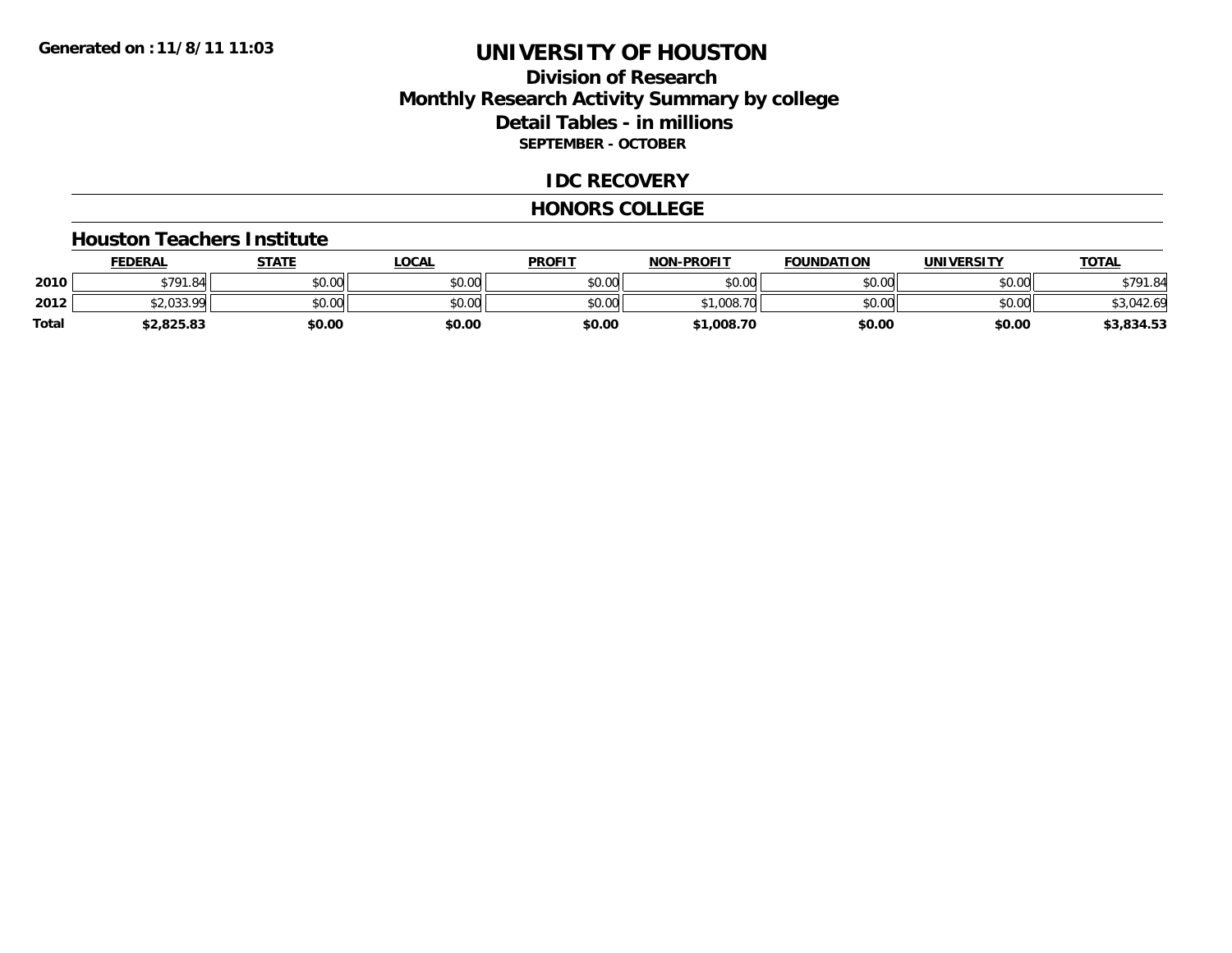### **Division of ResearchMonthly Research Activity Summary by college Detail Tables - in millions SEPTEMBER - OCTOBER**

#### **IDC RECOVERY**

#### **HONORS COLLEGE**

#### **Houston Teachers Institute**

|       | <b>FEDERAL</b>        | <b>STATE</b> | LOCAL  | <b>PROFIT</b> | <b>NON-PROFIT</b>             | <b>FOUNDATION</b> | <b>UNIVERSITY</b> | <u>TOTAL</u> |
|-------|-----------------------|--------------|--------|---------------|-------------------------------|-------------------|-------------------|--------------|
| 2010  | \$791.84              | \$0.00       | \$0.00 | \$0.00        | \$0.00                        | \$0.00            | \$0.00            | \$791.84     |
| 2012  | ¢J USS 00<br>92.UJJ.7 | \$0.00       | \$0.00 | \$0.00        | 008<br>ሖ ኅ<br>70 <sub>1</sub> | \$0.00            | \$0.00            | \$3,042.69   |
| Total | 2,825.83              | \$0.00       | \$0.00 | \$0.00        | \$1,008.70                    | \$0.00            | \$0.00            | \$3,834.53   |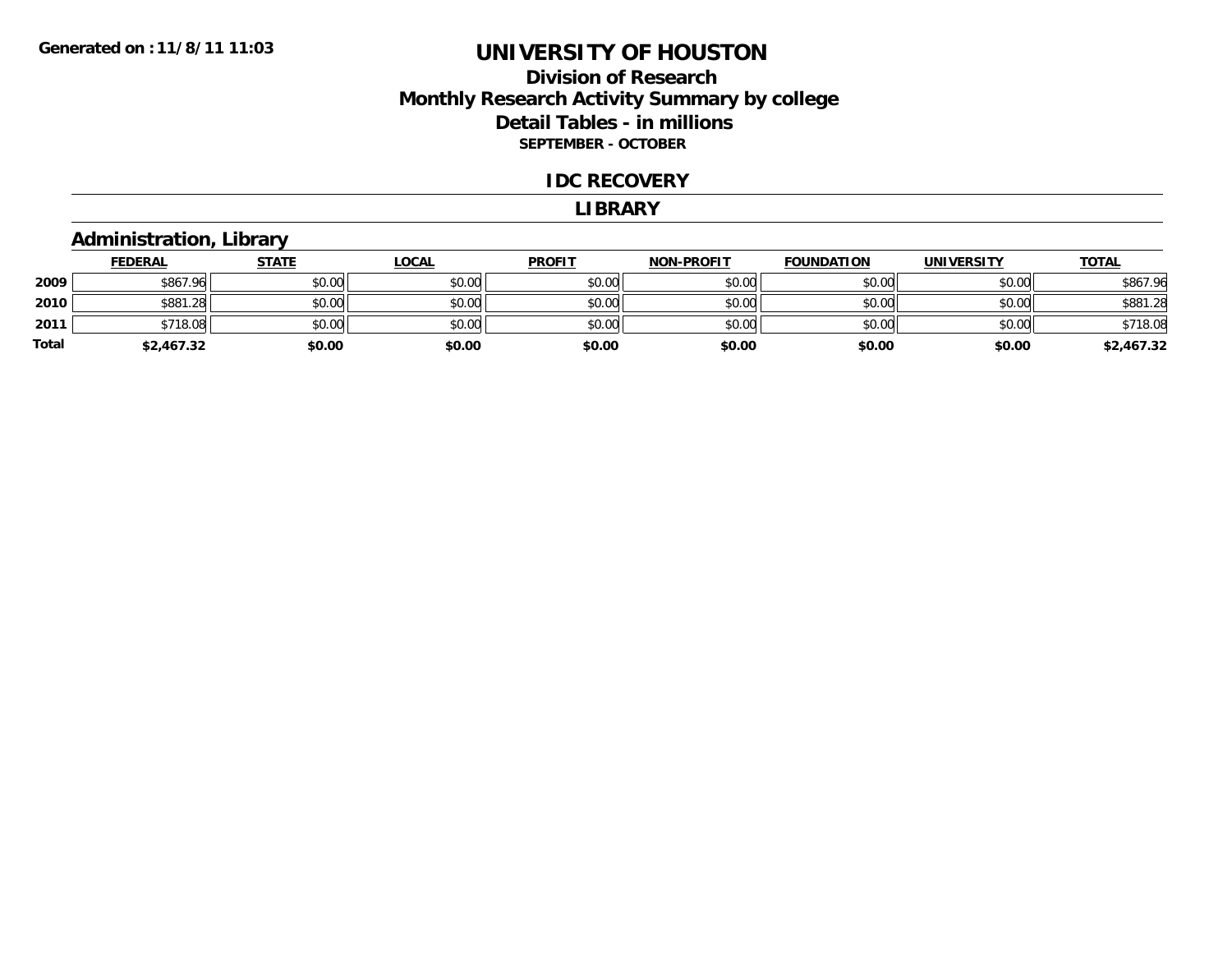### **Division of ResearchMonthly Research Activity Summary by college Detail Tables - in millions SEPTEMBER - OCTOBER**

#### **IDC RECOVERY**

#### **LIBRARY**

### **Administration, Library**

|       | <b>FEDERAL</b> | <u>STATE</u> | <u>LOCAL</u> | <b>PROFIT</b> | <b>NON-PROFIT</b> | <b>FOUNDATION</b> | <b>UNIVERSITY</b> | <b>TOTAL</b> |
|-------|----------------|--------------|--------------|---------------|-------------------|-------------------|-------------------|--------------|
| 2009  | \$867.96       | \$0.00       | \$0.00       | \$0.00        | \$0.00            | \$0.00            | \$0.00            | \$867.96     |
| 2010  | \$881.28       | \$0.00       | \$0.00       | \$0.00        | \$0.00            | \$0.00            | \$0.00            | \$881.28     |
| 2011  | \$718.08       | \$0.00       | \$0.00       | \$0.00        | \$0.00            | \$0.00            | \$0.00            | \$718.08     |
| Total | \$2,467.32     | \$0.00       | \$0.00       | \$0.00        | \$0.00            | \$0.00            | \$0.00            | \$2,467.32   |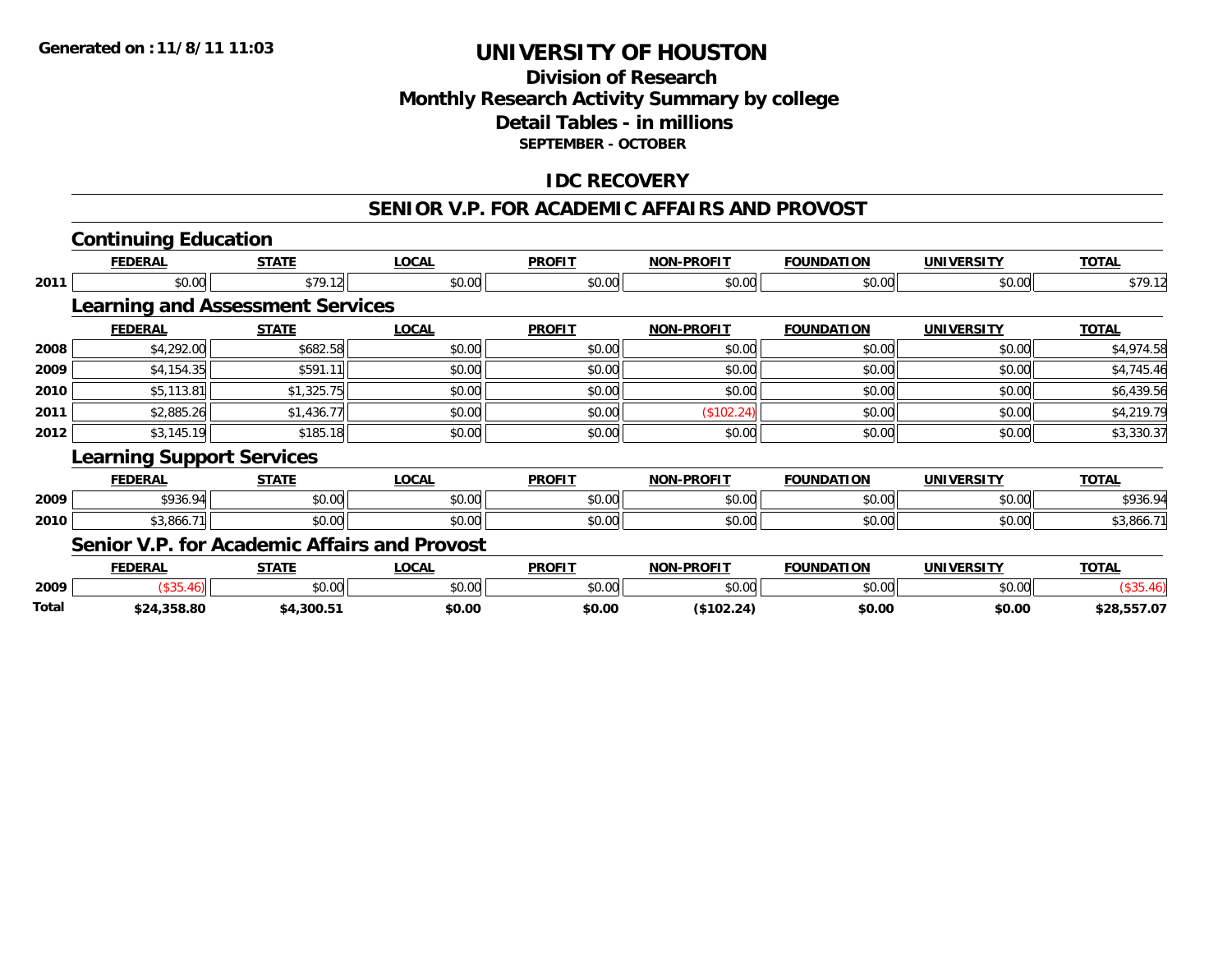### **Division of ResearchMonthly Research Activity Summary by college Detail Tables - in millions SEPTEMBER - OCTOBER**

### **IDC RECOVERY**

### **SENIOR V.P. FOR ACADEMIC AFFAIRS AND PROVOST**

# **Continuing Education**

|      | <b>FEDERAL</b>                          | <b>STATE</b> | <b>LOCAL</b>                                        | <b>PROFIT</b> | <b>NON-PROFIT</b> | <b>FOUNDATION</b> | <b>UNIVERSITY</b> | <b>TOTAL</b> |
|------|-----------------------------------------|--------------|-----------------------------------------------------|---------------|-------------------|-------------------|-------------------|--------------|
| 2011 | \$0.00                                  | \$79.12      | \$0.00                                              | \$0.00        | \$0.00            | \$0.00            | \$0.00            | \$79.12      |
|      | <b>Learning and Assessment Services</b> |              |                                                     |               |                   |                   |                   |              |
|      | <b>FEDERAL</b>                          | <b>STATE</b> | <b>LOCAL</b>                                        | <b>PROFIT</b> | <b>NON-PROFIT</b> | <b>FOUNDATION</b> | <b>UNIVERSITY</b> | <b>TOTAL</b> |
| 2008 | \$4,292.00                              | \$682.58     | \$0.00                                              | \$0.00        | \$0.00            | \$0.00            | \$0.00            | \$4,974.58   |
| 2009 | \$4,154.35                              | \$591.11     | \$0.00                                              | \$0.00        | \$0.00            | \$0.00            | \$0.00            | \$4,745.46   |
| 2010 | \$5,113.81                              | \$1,325.75   | \$0.00                                              | \$0.00        | \$0.00            | \$0.00            | \$0.00            | \$6,439.56   |
| 2011 | \$2,885.26                              | \$1,436.77   | \$0.00                                              | \$0.00        | (\$102.24)        | \$0.00            | \$0.00            | \$4,219.79   |
| 2012 | \$3,145.19                              | \$185.18     | \$0.00                                              | \$0.00        | \$0.00            | \$0.00            | \$0.00            | \$3,330.37   |
|      | <b>Learning Support Services</b>        |              |                                                     |               |                   |                   |                   |              |
|      | <b>FEDERAL</b>                          | <b>STATE</b> | <b>LOCAL</b>                                        | <b>PROFIT</b> | <b>NON-PROFIT</b> | <b>FOUNDATION</b> | <b>UNIVERSITY</b> | <b>TOTAL</b> |
| 2009 | \$936.94                                | \$0.00       | \$0.00                                              | \$0.00        | \$0.00            | \$0.00            | \$0.00            | \$936.94     |
| 2010 | \$3,866.71                              | \$0.00       | \$0.00                                              | \$0.00        | \$0.00            | \$0.00            | \$0.00            | \$3,866.71   |
|      |                                         |              | <b>Senior V.P. for Academic Affairs and Provost</b> |               |                   |                   |                   |              |

|              | <b>FEDERAL</b> | ~~**          | <b>LOCA</b>  | <b>PROFIT</b> | <b>I-PROFIT</b><br>וחרו | <b>FOUNDATION</b> | <b>IINTVF</b> | <b>TOTAL</b>  |  |
|--------------|----------------|---------------|--------------|---------------|-------------------------|-------------------|---------------|---------------|--|
| 2009         |                | 0000<br>JU.UU | 0000<br>ט.טע | \$0.00        | \$0.00                  | $\sim$ 00         | \$0.00        |               |  |
| <b>Total</b> | 324,358.80     | 4.300.5.      | \$0.00       | \$0.00        | \$102.24]               | \$0.00            | \$0.00        | 557.07<br>taa |  |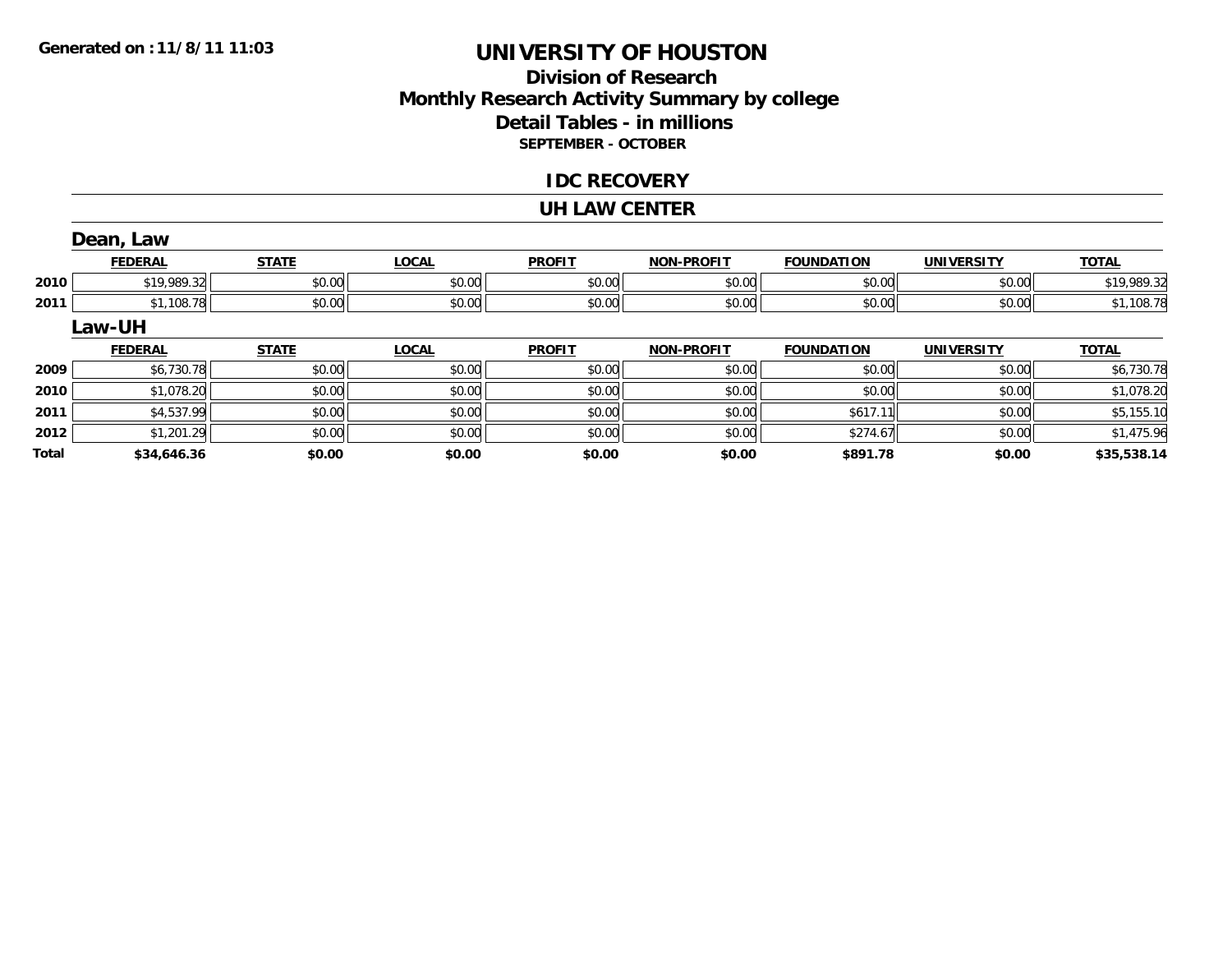**Total**

# **UNIVERSITY OF HOUSTON**

### **Division of ResearchMonthly Research Activity Summary by college Detail Tables - in millions SEPTEMBER - OCTOBER**

#### **IDC RECOVERY**

#### **UH LAW CENTER**

|      | Dean, Law      |              |              |               |                   |                   |                   |              |
|------|----------------|--------------|--------------|---------------|-------------------|-------------------|-------------------|--------------|
|      | <b>FEDERAL</b> | <b>STATE</b> | <b>LOCAL</b> | <b>PROFIT</b> | <b>NON-PROFIT</b> | <b>FOUNDATION</b> | <b>UNIVERSITY</b> | <b>TOTAL</b> |
| 2010 | \$19,989.32    | \$0.00       | \$0.00       | \$0.00        | \$0.00            | \$0.00            | \$0.00            | \$19,989.32  |
| 2011 | \$1,108.78     | \$0.00       | \$0.00       | \$0.00        | \$0.00            | \$0.00            | \$0.00            | \$1,108.78   |
|      | Law-UH         |              |              |               |                   |                   |                   |              |
|      | <b>FEDERAL</b> | <b>STATE</b> | <b>LOCAL</b> | <b>PROFIT</b> | <b>NON-PROFIT</b> | <b>FOUNDATION</b> | <b>UNIVERSITY</b> | <b>TOTAL</b> |
| 2009 | \$6,730.78     | \$0.00       | \$0.00       | \$0.00        | \$0.00            | \$0.00            | \$0.00            | \$6,730.78   |
| 2010 | \$1,078.20     | \$0.00       | \$0.00       | \$0.00        | \$0.00            | \$0.00            | \$0.00            | \$1,078.20   |
| 2011 | \$4,537.99     | \$0.00       | \$0.00       | \$0.00        | \$0.00            | \$617.11          | \$0.00            | \$5,155.10   |
| 2012 | \$1,201.29     | \$0.00       | \$0.00       | \$0.00        | \$0.00            | \$274.67          | \$0.00            | \$1,475.96   |

**\$34,646.36 \$0.00 \$0.00 \$0.00 \$0.00 \$891.78 \$0.00 \$35,538.14**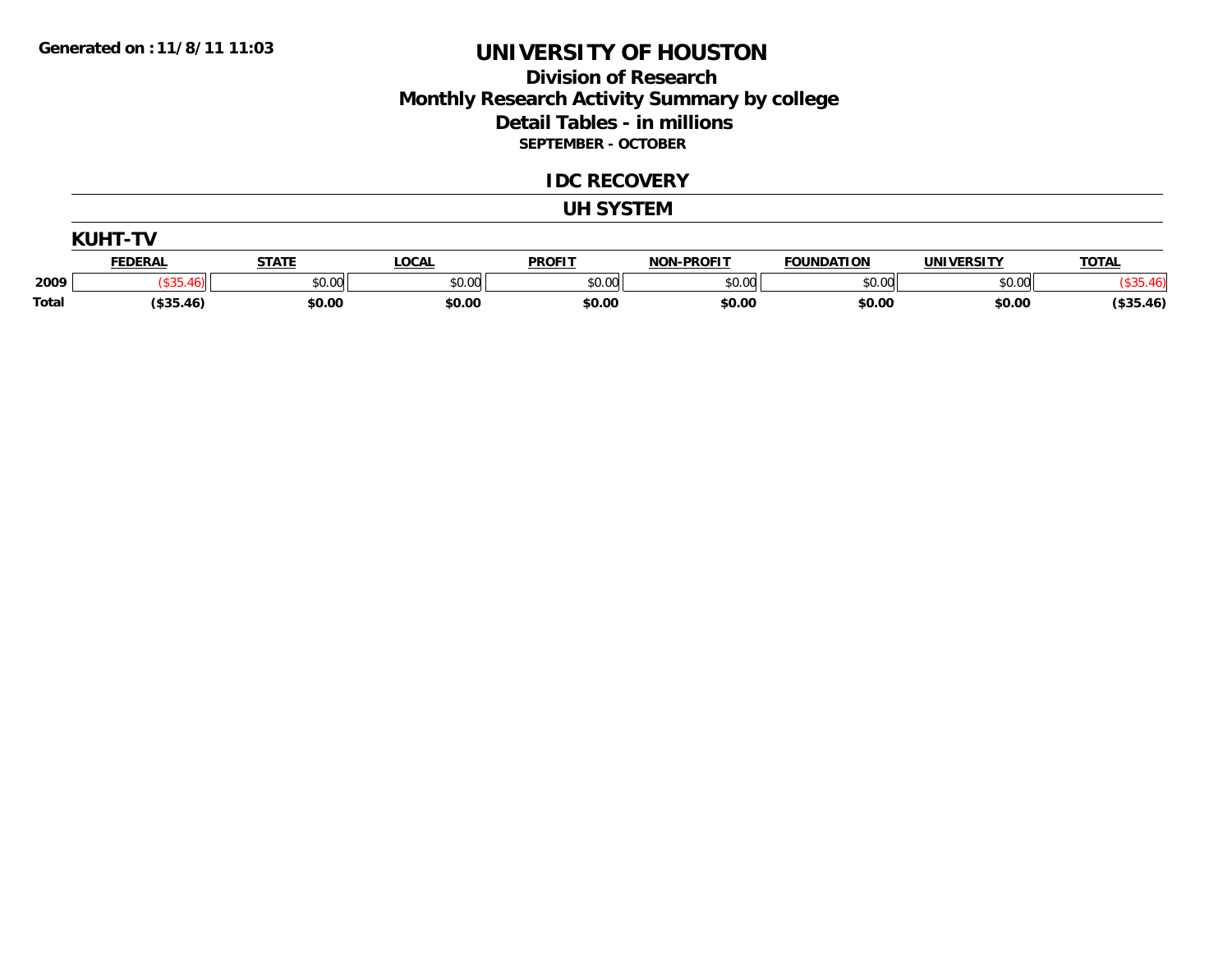### **Division of Research Monthly Research Activity Summary by college Detail Tables - in millions SEPTEMBER - OCTOBER**

#### **IDC RECOVERY**

#### **UH SYSTEM**

|              | <b>KUHT-TV</b> |              |              |               |                   |                   |                   |              |
|--------------|----------------|--------------|--------------|---------------|-------------------|-------------------|-------------------|--------------|
|              | <b>FEDERAL</b> | <b>STATE</b> | <b>LOCAL</b> | <b>PROFIT</b> | <b>NON-PROFIT</b> | <b>FOUNDATION</b> | <b>UNIVERSITY</b> | <b>TOTAL</b> |
| 2009         |                | \$0.00       | \$0.00       | \$0.00        | \$0.00            | \$0.00            | \$0.00            |              |
| <b>Total</b> | $($ \$35.46)   | \$0.00       | \$0.00       | \$0.00        | \$0.00            | \$0.00            | \$0.00            | $($ \$35.46) |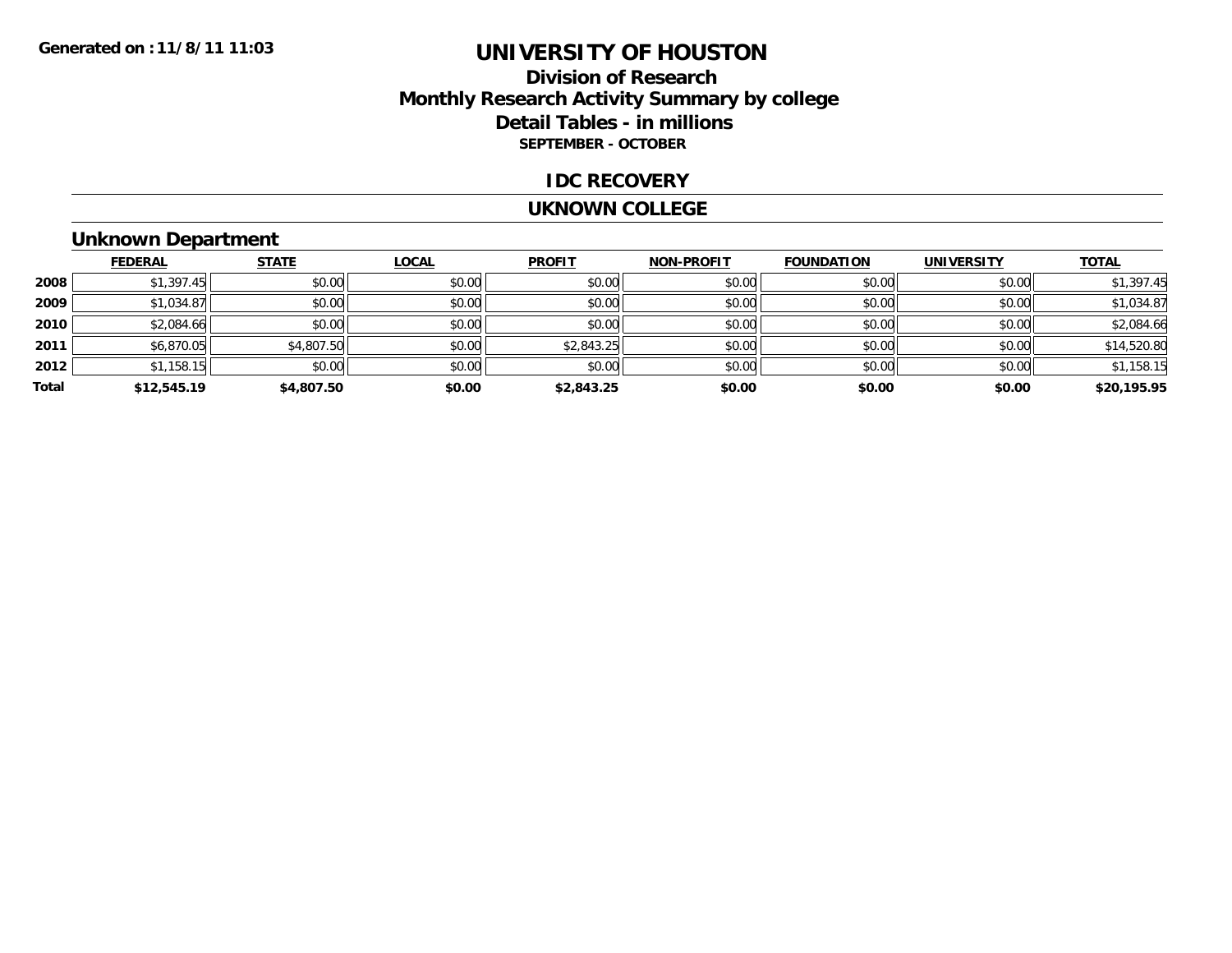### **Division of ResearchMonthly Research Activity Summary by college Detail Tables - in millions SEPTEMBER - OCTOBER**

#### **IDC RECOVERY**

#### **UKNOWN COLLEGE**

### **Unknown Department**

|       | <b>FEDERAL</b> | <b>STATE</b> | <b>LOCAL</b> | <b>PROFIT</b> | <b>NON-PROFIT</b> | <b>FOUNDATION</b> | <b>UNIVERSITY</b> | <b>TOTAL</b> |
|-------|----------------|--------------|--------------|---------------|-------------------|-------------------|-------------------|--------------|
| 2008  | \$1,397.45     | \$0.00       | \$0.00       | \$0.00        | \$0.00            | \$0.00            | \$0.00            | \$1,397.45   |
| 2009  | \$1,034.87     | \$0.00       | \$0.00       | \$0.00        | \$0.00            | \$0.00            | \$0.00            | \$1,034.87   |
| 2010  | \$2,084.66     | \$0.00       | \$0.00       | \$0.00        | \$0.00            | \$0.00            | \$0.00            | \$2,084.66   |
| 2011  | \$6,870.05     | \$4,807.50   | \$0.00       | \$2,843.25    | \$0.00            | \$0.00            | \$0.00            | \$14,520.80  |
| 2012  | \$1,158.15     | \$0.00       | \$0.00       | \$0.00        | \$0.00            | \$0.00            | \$0.00            | \$1,158.15   |
| Total | \$12,545.19    | \$4,807.50   | \$0.00       | \$2,843.25    | \$0.00            | \$0.00            | \$0.00            | \$20,195.95  |